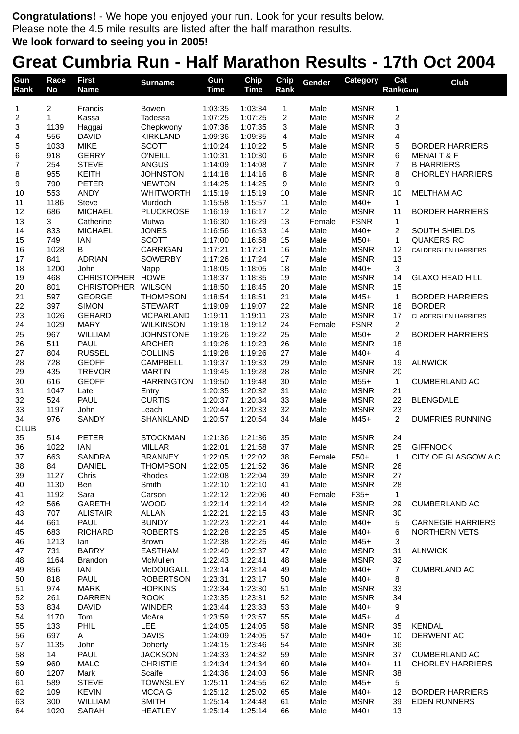**Congratulations!** - We hope you enjoyed your run. Look for your results below. Please note the 4.5 mile results are listed after the half marathon results. **We look forward to seeing you in 2005!**

## **Great Cumbria Run - Half Marathon Results - 17th Oct 2004**

| Gun<br>Rank         | Race<br>No     | <b>First</b><br><b>Name</b>  | <b>Surname</b>                       | Gun<br><b>Time</b> | Chip<br><b>Time</b> | Chip<br>Rank            | Gender         | <b>Category</b>            | Cat<br>Rank(Gun)     | Club                                      |
|---------------------|----------------|------------------------------|--------------------------------------|--------------------|---------------------|-------------------------|----------------|----------------------------|----------------------|-------------------------------------------|
|                     | $\overline{c}$ | Francis                      |                                      | 1:03:35            | 1:03:34             | $\mathbf 1$             | Male           | <b>MSNR</b>                |                      |                                           |
| 1<br>$\overline{c}$ | 1              | Kassa                        | Bowen<br>Tadessa                     | 1:07:25            | 1:07:25             | $\overline{\mathbf{c}}$ | Male           | <b>MSNR</b>                | 1<br>$\overline{c}$  |                                           |
| 3                   | 1139           | Haggai                       | Chepkwony                            | 1:07:36            | 1:07:35             | 3                       | Male           | <b>MSNR</b>                | 3                    |                                           |
| 4                   | 556            | <b>DAVID</b>                 | <b>KIRKLAND</b>                      | 1:09:36            | 1:09:35             | 4                       | Male           | <b>MSNR</b>                | 4                    |                                           |
| 5                   | 1033           | <b>MIKE</b>                  | <b>SCOTT</b>                         | 1:10:24            | 1:10:22             | 5                       | Male           | <b>MSNR</b>                | 5                    | <b>BORDER HARRIERS</b>                    |
| 6                   | 918            | <b>GERRY</b>                 | <b>O'NEILL</b>                       | 1:10:31            | 1:10:30             | 6                       | Male           | <b>MSNR</b>                | 6                    | <b>MENAIT &amp; F</b>                     |
| $\overline{7}$      | 254            | <b>STEVE</b>                 | <b>ANGUS</b>                         | 1:14:09            | 1:14:08             | 7                       | Male           | <b>MSNR</b>                | 7                    | <b>B HARRIERS</b>                         |
| 8                   | 955            | <b>KEITH</b>                 | <b>JOHNSTON</b>                      | 1:14:18            | 1:14:16             | 8                       | Male           | <b>MSNR</b>                | 8                    | <b>CHORLEY HARRIERS</b>                   |
| 9                   | 790            | <b>PETER</b>                 | <b>NEWTON</b>                        | 1:14:25            | 1:14:25             | 9                       | Male           | <b>MSNR</b>                | 9                    |                                           |
| 10                  | 553            | <b>ANDY</b>                  | <b>WHITWORTH</b>                     | 1:15:19            | 1:15:19             | 10                      | Male           | <b>MSNR</b>                | 10                   | MELTHAM AC                                |
| 11<br>12            | 1186<br>686    | Steve<br><b>MICHAEL</b>      | Murdoch<br><b>PLUCKROSE</b>          | 1:15:58<br>1:16:19 | 1:15:57<br>1:16:17  | 11<br>12                | Male<br>Male   | M40+<br><b>MSNR</b>        | 1<br>11              | <b>BORDER HARRIERS</b>                    |
| 13                  | 3              | Catherine                    | Mutwa                                | 1:16:30            | 1:16:29             | 13                      | Female         | <b>FSNR</b>                | 1                    |                                           |
| 14                  | 833            | <b>MICHAEL</b>               | <b>JONES</b>                         | 1:16:56            | 1:16:53             | 14                      | Male           | M40+                       | $\overline{c}$       | <b>SOUTH SHIELDS</b>                      |
| 15                  | 749            | <b>IAN</b>                   | <b>SCOTT</b>                         | 1:17:00            | 1:16:58             | 15                      | Male           | $M50+$                     | 1                    | <b>QUAKERS RC</b>                         |
| 16                  | 1028           | В                            | CARRIGAN                             | 1:17:21            | 1:17:21             | 16                      | Male           | <b>MSNR</b>                | 12                   | <b>CALDERGLEN HARRIERS</b>                |
| 17                  | 841            | <b>ADRIAN</b>                | <b>SOWERBY</b>                       | 1:17:26            | 1:17:24             | 17                      | Male           | <b>MSNR</b>                | 13                   |                                           |
| 18                  | 1200           | John                         | Napp                                 | 1:18:05            | 1:18:05             | 18                      | Male           | M40+                       | $\mathbf{3}$         |                                           |
| 19                  | 468            | <b>CHRISTOPHER</b>           | <b>HOWE</b>                          | 1:18:37            | 1:18:35             | 19                      | Male           | <b>MSNR</b>                | 14                   | <b>GLAXO HEAD HILL</b>                    |
| 20                  | 801            | CHRISTOPHER WILSON           |                                      | 1:18:50            | 1:18:45             | 20                      | Male           | <b>MSNR</b>                | 15                   |                                           |
| 21                  | 597            | <b>GEORGE</b>                | <b>THOMPSON</b>                      | 1:18:54            | 1:18:51             | 21                      | Male           | $M45+$                     | $\mathbf{1}$         | <b>BORDER HARRIERS</b>                    |
| 22                  | 397            | <b>SIMON</b>                 | <b>STEWART</b>                       | 1:19:09            | 1:19:07             | 22                      | Male           | <b>MSNR</b>                | 16                   | <b>BORDER</b>                             |
| 23<br>24            | 1026<br>1029   | <b>GERARD</b><br><b>MARY</b> | <b>MCPARLAND</b><br><b>WILKINSON</b> | 1:19:11<br>1:19:18 | 1:19:11<br>1:19:12  | 23<br>24                | Male<br>Female | <b>MSNR</b><br><b>FSNR</b> | 17<br>$\overline{c}$ | <b>CLADERGLEN HARRIERS</b>                |
| 25                  | 967            | <b>WILLIAM</b>               | <b>JOHNSTONE</b>                     | 1:19:26            | 1:19:22             | 25                      | Male           | $M50+$                     | $\overline{2}$       | <b>BORDER HARRIERS</b>                    |
| 26                  | 511            | <b>PAUL</b>                  | <b>ARCHER</b>                        | 1:19:26            | 1:19:23             | 26                      | Male           | <b>MSNR</b>                | 18                   |                                           |
| 27                  | 804            | <b>RUSSEL</b>                | <b>COLLINS</b>                       | 1:19:28            | 1:19:26             | 27                      | Male           | M40+                       | $\overline{4}$       |                                           |
| 28                  | 728            | <b>GEOFF</b>                 | CAMPBELL                             | 1:19:37            | 1:19:33             | 29                      | Male           | <b>MSNR</b>                | 19                   | <b>ALNWICK</b>                            |
| 29                  | 435            | <b>TREVOR</b>                | <b>MARTIN</b>                        | 1:19:45            | 1:19:28             | 28                      | Male           | <b>MSNR</b>                | 20                   |                                           |
| 30                  | 616            | <b>GEOFF</b>                 | <b>HARRINGTON</b>                    | 1:19:50            | 1:19:48             | 30                      | Male           | $M55+$                     | $\mathbf{1}$         | <b>CUMBERLAND AC</b>                      |
| 31                  | 1047           | Late                         | Entry                                | 1:20:35            | 1:20:32             | 31                      | Male           | <b>MSNR</b>                | 21                   |                                           |
| 32                  | 524            | PAUL                         | <b>CURTIS</b>                        | 1:20:37            | 1:20:34             | 33                      | Male           | <b>MSNR</b>                | 22                   | <b>BLENGDALE</b>                          |
| 33                  | 1197           | John                         | Leach                                | 1:20:44            | 1:20:33             | 32                      | Male           | <b>MSNR</b>                | 23                   |                                           |
| 34<br><b>CLUB</b>   | 976            | <b>SANDY</b>                 | SHANKLAND                            | 1:20:57            | 1:20:54             | 34                      | Male           | M45+                       | 2                    | <b>DUMFRIES RUNNING</b>                   |
| 35                  | 514            | <b>PETER</b>                 | <b>STOCKMAN</b>                      | 1:21:36            | 1:21:36             | 35                      | Male           | <b>MSNR</b>                | 24                   |                                           |
| 36                  | 1022           | <b>IAN</b>                   | <b>MILLAR</b>                        | 1:22:01            | 1:21:58             | 37                      | Male           | <b>MSNR</b>                | 25                   | <b>GIFFNOCK</b>                           |
| 37                  | 663            | <b>SANDRA</b>                | <b>BRANNEY</b>                       | 1:22:05            | 1:22:02             | 38                      | Female         | $F50+$                     | $\mathbf{1}$         | CITY OF GLASGOW A C                       |
| 38                  | 84             | <b>DANIEL</b>                | THOMPSON                             | 1:22:05            | 1:21:52             | 36                      | Male           | <b>MSNR</b>                | 26                   |                                           |
| 39                  | 1127           | Chris                        | Rhodes                               | 1:22:08            | 1:22:04             | 39                      | Male           | <b>MSNR</b>                | 27                   |                                           |
| 40                  | 1130           | Ben                          | Smith                                | 1:22:10            | 1:22:10             | 41                      | Male           | <b>MSNR</b>                | 28                   |                                           |
| 41                  | 1192           | Sara                         | Carson                               | 1:22:12            | 1:22:06             | 40                      | Female         | $F35+$                     | $\mathbf{1}$         |                                           |
| 42                  | 566            | <b>GARETH</b>                | <b>WOOD</b>                          | 1:22:14            | 1:22:14             | 42                      | Male           | <b>MSNR</b>                | 29                   | <b>CUMBERLAND AC</b>                      |
| 43                  | 707            | <b>ALISTAIR</b>              | <b>ALLAN</b>                         | 1:22:21            | 1:22:15             | 43                      | Male           | <b>MSNR</b>                | 30                   |                                           |
| 44                  | 661            | <b>PAUL</b>                  | <b>BUNDY</b><br><b>ROBERTS</b>       | 1:22:23            | 1:22:21             | 44                      | Male           | M40+                       | 5                    | <b>CARNEGIE HARRIERS</b><br>NORTHERN VETS |
| 45<br>46            | 683<br>1213    | <b>RICHARD</b><br>lan        | <b>Brown</b>                         | 1:22:28<br>1:22:38 | 1:22:25<br>1:22:25  | 45<br>46                | Male<br>Male   | M40+<br>M45+               | 6<br>3               |                                           |
| 47                  | 731            | <b>BARRY</b>                 | <b>EASTHAM</b>                       | 1:22:40            | 1:22:37             | 47                      | Male           | <b>MSNR</b>                | 31                   | <b>ALNWICK</b>                            |
| 48                  | 1164           | <b>Brandon</b>               | McMullen                             | 1:22:43            | 1:22:41             | 48                      | Male           | <b>MSNR</b>                | 32                   |                                           |
| 49                  | 856            | IAN                          | <b>McDOUGALL</b>                     | 1:23:14            | 1:23:14             | 49                      | Male           | M40+                       | $\overline{7}$       | <b>CUMBRLAND AC</b>                       |
| 50                  | 818            | <b>PAUL</b>                  | <b>ROBERTSON</b>                     | 1:23:31            | 1:23:17             | 50                      | Male           | $M40+$                     | 8                    |                                           |
| 51                  | 974            | <b>MARK</b>                  | <b>HOPKINS</b>                       | 1:23:34            | 1:23:30             | 51                      | Male           | <b>MSNR</b>                | 33                   |                                           |
| 52                  | 261            | <b>DARREN</b>                | <b>ROOK</b>                          | 1:23:35            | 1:23:31             | 52                      | Male           | <b>MSNR</b>                | 34                   |                                           |
| 53                  | 834            | <b>DAVID</b>                 | <b>WINDER</b>                        | 1:23:44            | 1:23:33             | 53                      | Male           | M40+                       | 9                    |                                           |
| 54                  | 1170           | Tom                          | McAra                                | 1:23:59            | 1:23:57             | 55                      | Male           | $M45+$                     | 4                    |                                           |
| 55                  | 133            | PHIL                         | <b>LEE</b>                           | 1:24:05            | 1:24:05             | 58                      | Male           | <b>MSNR</b>                | 35                   | <b>KENDAL</b>                             |
| 56                  | 697<br>1135    | Α<br>John                    | <b>DAVIS</b>                         | 1:24:09            | 1:24:05             | 57                      | Male<br>Male   | M40+<br><b>MSNR</b>        | 10                   | DERWENT AC                                |
| 57<br>58            | 14             | PAUL                         | Doherty<br><b>JACKSON</b>            | 1:24:15<br>1:24:33 | 1:23:46<br>1:24:32  | 54<br>59                | Male           | <b>MSNR</b>                | 36<br>37             | <b>CUMBERLAND AC</b>                      |
| 59                  | 960            | <b>MALC</b>                  | <b>CHRISTIE</b>                      | 1:24:34            | 1:24:34             | 60                      | Male           | $M40+$                     | 11                   | <b>CHORLEY HARRIERS</b>                   |
| 60                  | 1207           | Mark                         | Scaife                               | 1:24:36            | 1:24:03             | 56                      | Male           | <b>MSNR</b>                | 38                   |                                           |
| 61                  | 589            | <b>STEVE</b>                 | <b>TOWNSLEY</b>                      | 1:25:11            | 1:24:55             | 62                      | Male           | M45+                       | 5                    |                                           |
| 62                  | 109            | <b>KEVIN</b>                 | <b>MCCAIG</b>                        | 1:25:12            | 1:25:02             | 65                      | Male           | M40+                       | 12                   | <b>BORDER HARRIERS</b>                    |
| 63                  | 300            | WILLIAM                      | <b>SMITH</b>                         | 1:25:14            | 1:24:48             | 61                      | Male           | <b>MSNR</b>                | 39                   | <b>EDEN RUNNERS</b>                       |
| 64                  | 1020           | <b>SARAH</b>                 | <b>HEATLEY</b>                       | 1:25:14            | 1:25:14             | 66                      | Male           | M40+                       | 13                   |                                           |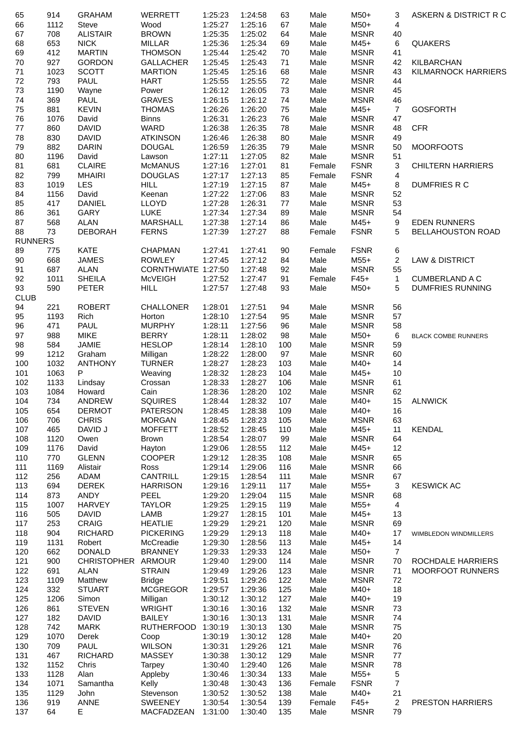| 65             | 914  | <b>GRAHAM</b>      | WERRETT             | 1:25:23 | 1:24:58 | 63  | Male   | M50+        | 3                       | ASKERN & DISTRICT R C      |
|----------------|------|--------------------|---------------------|---------|---------|-----|--------|-------------|-------------------------|----------------------------|
| 66             | 1112 | Steve              | Wood                | 1:25:27 | 1:25:16 | 67  | Male   | M50+        | 4                       |                            |
| 67             | 708  | <b>ALISTAIR</b>    | <b>BROWN</b>        | 1:25:35 | 1:25:02 | 64  | Male   | <b>MSNR</b> | 40                      |                            |
| 68             | 653  | <b>NICK</b>        | <b>MILLAR</b>       | 1:25:36 | 1:25:34 | 69  | Male   | $M45+$      | 6                       | <b>QUAKERS</b>             |
| 69             | 412  | <b>MARTIN</b>      | <b>THOMSON</b>      | 1:25:44 | 1:25:42 | 70  | Male   | <b>MSNR</b> | 41                      |                            |
| 70             | 927  | <b>GORDON</b>      | <b>GALLACHER</b>    | 1:25:45 | 1:25:43 | 71  | Male   | <b>MSNR</b> | 42                      | <b>KILBARCHAN</b>          |
| 71             | 1023 | <b>SCOTT</b>       | <b>MARTION</b>      | 1:25:45 | 1:25:16 | 68  | Male   | <b>MSNR</b> | 43                      | <b>KILMARNOCK HARRIERS</b> |
| 72             | 793  | <b>PAUL</b>        | <b>HART</b>         | 1:25:55 | 1:25:55 | 72  | Male   | <b>MSNR</b> | 44                      |                            |
| 73             | 1190 | Wayne              | Power               | 1:26:12 | 1:26:05 | 73  | Male   | <b>MSNR</b> | 45                      |                            |
| 74             | 369  | PAUL               | <b>GRAVES</b>       | 1:26:15 | 1:26:12 | 74  | Male   | <b>MSNR</b> | 46                      |                            |
| 75             | 881  | <b>KEVIN</b>       | <b>THOMAS</b>       | 1:26:26 | 1:26:20 | 75  | Male   | $M45+$      | $\overline{7}$          | <b>GOSFORTH</b>            |
| 76             | 1076 | David              | <b>Binns</b>        | 1:26:31 | 1:26:23 | 76  | Male   | <b>MSNR</b> | 47                      |                            |
| $77 \,$        | 860  | <b>DAVID</b>       | <b>WARD</b>         | 1:26:38 | 1:26:35 | 78  | Male   | <b>MSNR</b> | 48                      | <b>CFR</b>                 |
| 78             | 830  | <b>DAVID</b>       | <b>ATKINSON</b>     | 1:26:46 | 1:26:38 | 80  | Male   | <b>MSNR</b> | 49                      |                            |
| 79             | 882  | <b>DARIN</b>       | <b>DOUGAL</b>       | 1:26:59 | 1:26:35 | 79  | Male   | <b>MSNR</b> | 50                      | <b>MOORFOOTS</b>           |
| 80             | 1196 | David              | Lawson              | 1:27:11 | 1:27:05 | 82  | Male   | <b>MSNR</b> | 51                      |                            |
| 81             | 681  | <b>CLAIRE</b>      | <b>McMANUS</b>      | 1:27:16 | 1:27:01 | 81  | Female | <b>FSNR</b> | 3                       | <b>CHILTERN HARRIERS</b>   |
| 82             | 799  | <b>MHAIRI</b>      | <b>DOUGLAS</b>      | 1:27:17 | 1:27:13 | 85  | Female | <b>FSNR</b> | 4                       |                            |
| 83             | 1019 | <b>LES</b>         | <b>HILL</b>         | 1:27:19 | 1:27:15 | 87  | Male   | $M45+$      | 8                       | <b>DUMFRIES R C</b>        |
| 84             | 1156 | David              | Keenan              | 1:27:22 | 1:27:06 | 83  | Male   | <b>MSNR</b> | 52                      |                            |
| 85             | 417  | <b>DANIEL</b>      | <b>LLOYD</b>        | 1:27:28 | 1:26:31 | 77  | Male   | <b>MSNR</b> | 53                      |                            |
| 86             | 361  | <b>GARY</b>        | LUKE                | 1:27:34 | 1:27:34 | 89  | Male   | <b>MSNR</b> | 54                      |                            |
| 87             | 568  | <b>ALAN</b>        | <b>MARSHALL</b>     | 1:27:38 | 1:27:14 | 86  | Male   | $M45+$      | 9                       | <b>EDEN RUNNERS</b>        |
| 88             | 73   | <b>DEBORAH</b>     | <b>FERNS</b>        | 1:27:39 | 1:27:27 | 88  | Female | <b>FSNR</b> | 5                       | <b>BELLAHOUSTON ROAD</b>   |
| <b>RUNNERS</b> |      |                    |                     |         |         |     |        |             |                         |                            |
| 89             | 775  | <b>KATE</b>        | <b>CHAPMAN</b>      | 1:27:41 | 1:27:41 | 90  | Female | <b>FSNR</b> | 6                       |                            |
| 90             | 668  | <b>JAMES</b>       | <b>ROWLEY</b>       | 1:27:45 | 1:27:12 | 84  | Male   | $M55+$      | $\overline{c}$          | <b>LAW &amp; DISTRICT</b>  |
| 91             | 687  | <b>ALAN</b>        | CORNTHWIATE 1:27:50 |         | 1:27:48 | 92  | Male   | <b>MSNR</b> | 55                      |                            |
| 92             | 1011 | <b>SHEILA</b>      | <b>McVEIGH</b>      | 1:27:52 | 1:27:47 | 91  | Female | $F45+$      | $\mathbf{1}$            | <b>CUMBERLAND A C</b>      |
| 93             | 590  | <b>PETER</b>       | <b>HILL</b>         | 1:27:57 | 1:27:48 | 93  | Male   | M50+        | 5                       | <b>DUMFRIES RUNNING</b>    |
| <b>CLUB</b>    |      |                    |                     |         |         |     |        |             |                         |                            |
| 94             | 221  | <b>ROBERT</b>      | <b>CHALLONER</b>    | 1:28:01 | 1:27:51 | 94  | Male   | <b>MSNR</b> | 56                      |                            |
| 95             | 1193 | Rich               | Horton              | 1:28:10 | 1:27:54 | 95  | Male   | <b>MSNR</b> | 57                      |                            |
| 96             | 471  | <b>PAUL</b>        | <b>MURPHY</b>       | 1:28:11 | 1:27:56 | 96  | Male   | <b>MSNR</b> | 58                      |                            |
| 97             | 988  | <b>MIKE</b>        | <b>BERRY</b>        | 1:28:11 | 1:28:02 | 98  | Male   | M50+        | 6                       | <b>BLACK COMBE RUNNERS</b> |
| 98             | 584  | <b>JAMIE</b>       | <b>HESLOP</b>       | 1:28:14 | 1:28:10 | 100 | Male   | <b>MSNR</b> | 59                      |                            |
| 99             | 1212 | Graham             | Milligan            | 1:28:22 | 1:28:00 | 97  | Male   | <b>MSNR</b> | 60                      |                            |
| 100            | 1032 | <b>ANTHONY</b>     | <b>TURNER</b>       | 1:28:27 | 1:28:23 | 103 | Male   | M40+        | 14                      |                            |
| 101            | 1063 | P                  | Weaving             | 1:28:32 | 1:28:23 | 104 | Male   | $M45+$      | 10                      |                            |
| 102            | 1133 | Lindsay            | Crossan             | 1:28:33 | 1:28:27 | 106 | Male   | <b>MSNR</b> | 61                      |                            |
| 103            | 1084 | Howard             | Cain                | 1:28:36 | 1:28:20 | 102 | Male   | <b>MSNR</b> | 62                      |                            |
| 104            | 734  | ANDREW             | <b>SQUIRES</b>      | 1:28:44 | 1:28:32 | 107 | Male   | M40+        | 15                      | <b>ALNWICK</b>             |
| 105            | 654  | <b>DERMOT</b>      | <b>PATERSON</b>     | 1:28:45 | 1:28:38 | 109 | Male   | M40+        | 16                      |                            |
| 106            | 706  | <b>CHRIS</b>       | <b>MORGAN</b>       | 1:28:45 | 1:28:23 | 105 | Male   | <b>MSNR</b> | 63                      |                            |
| 107            | 465  | DAVID J            | <b>MOFFETT</b>      | 1:28:52 | 1:28:45 | 110 | Male   | $M45+$      | 11                      | <b>KENDAL</b>              |
| 108            | 1120 | Owen               | Brown               | 1:28:54 | 1:28:07 | 99  | Male   | <b>MSNR</b> | 64                      |                            |
| 109            | 1176 | David              | Hayton              | 1:29:06 | 1:28:55 | 112 | Male   | $M45+$      | 12                      |                            |
| 110            | 770  | <b>GLENN</b>       | <b>COOPER</b>       | 1:29:12 | 1:28:35 | 108 | Male   | <b>MSNR</b> | 65                      |                            |
| 111            | 1169 | Alistair           | Ross                | 1:29:14 | 1:29:06 | 116 | Male   | <b>MSNR</b> | 66                      |                            |
| 112            | 256  | ADAM               | <b>CANTRILL</b>     | 1:29:15 | 1:28:54 | 111 | Male   | <b>MSNR</b> | 67                      |                            |
| 113            | 694  | <b>DEREK</b>       | <b>HARRISON</b>     | 1:29:16 | 1:29:11 | 117 | Male   | $M55+$      | 3                       | <b>KESWICK AC</b>          |
| 114            | 873  | <b>ANDY</b>        | PEEL                | 1:29:20 | 1:29:04 | 115 | Male   | <b>MSNR</b> | 68                      |                            |
| 115            | 1007 | <b>HARVEY</b>      | <b>TAYLOR</b>       | 1:29:25 | 1:29:15 | 119 | Male   | M55+        | 4                       |                            |
| 116            | 505  | <b>DAVID</b>       | LAMB                | 1:29:27 | 1:28:15 | 101 | Male   | $M45+$      | 13                      |                            |
| 117            | 253  | <b>CRAIG</b>       | <b>HEATLIE</b>      | 1:29:29 | 1:29:21 | 120 | Male   | <b>MSNR</b> | 69                      |                            |
| 118            | 904  | <b>RICHARD</b>     | <b>PICKERING</b>    | 1:29:29 | 1:29:13 | 118 | Male   | M40+        | 17                      | WIMBLEDON WINDMILLERS      |
| 119            | 1131 | Robert             | McCreadie           | 1:29:30 | 1:28:56 | 113 | Male   | $M45+$      | 14                      |                            |
| 120            | 662  | <b>DONALD</b>      | <b>BRANNEY</b>      | 1:29:33 | 1:29:33 | 124 | Male   | $M50+$      | $\overline{7}$          |                            |
| 121            | 900  | CHRISTOPHER ARMOUR |                     | 1:29:40 | 1:29:00 | 114 | Male   | <b>MSNR</b> | 70                      | ROCHDALE HARRIERS          |
| 122            | 691  | <b>ALAN</b>        | <b>STRAIN</b>       | 1:29:49 | 1:29:26 | 123 | Male   | <b>MSNR</b> | 71                      | <b>MOORFOOT RUNNERS</b>    |
| 123            | 1109 | Matthew            | <b>Bridge</b>       | 1:29:51 | 1:29:26 | 122 | Male   | <b>MSNR</b> | 72                      |                            |
| 124            | 332  | <b>STUART</b>      | <b>MCGREGOR</b>     | 1:29:57 | 1:29:36 | 125 | Male   | M40+        | 18                      |                            |
| 125            | 1206 | Simon              | Milligan            | 1:30:12 | 1:30:12 | 127 | Male   | M40+        | 19                      |                            |
| 126            | 861  | <b>STEVEN</b>      | <b>WRIGHT</b>       | 1:30:16 | 1:30:16 | 132 | Male   | <b>MSNR</b> | 73                      |                            |
| 127            | 182  | <b>DAVID</b>       | <b>BAILEY</b>       | 1:30:16 | 1:30:13 | 131 | Male   | <b>MSNR</b> | 74                      |                            |
| 128            | 742  | <b>MARK</b>        | RUTHERFOOD 1:30:19  |         | 1:30:13 | 130 | Male   | <b>MSNR</b> | 75                      |                            |
| 129            | 1070 | Derek              | Coop                | 1:30:19 | 1:30:12 | 128 | Male   | M40+        | 20                      |                            |
| 130            | 709  | PAUL               | <b>WILSON</b>       | 1:30:31 | 1:29:26 | 121 | Male   | <b>MSNR</b> | 76                      |                            |
| 131            | 467  | <b>RICHARD</b>     | <b>MASSEY</b>       | 1:30:38 | 1:30:12 | 129 | Male   | <b>MSNR</b> | 77                      |                            |
| 132            | 1152 | Chris              | Tarpey              | 1:30:40 | 1:29:40 | 126 | Male   | <b>MSNR</b> | 78                      |                            |
| 133            | 1128 | Alan               | Appleby             | 1:30:46 | 1:30:34 | 133 | Male   | $M55+$      | 5                       |                            |
| 134            | 1071 | Samantha           | Kelly               | 1:30:48 | 1:30:43 | 136 | Female | <b>FSNR</b> | $\overline{\mathbf{7}}$ |                            |
| 135            | 1129 | John               | Stevenson           | 1:30:52 | 1:30:52 | 138 | Male   | M40+        | 21                      |                            |
| 136            | 919  | ANNE               | <b>SWEENEY</b>      | 1:30:54 | 1:30:54 | 139 | Female | $F45+$      | $\overline{2}$          | PRESTON HARRIERS           |
| 137            | 64   | E                  | MACFADZEAN          | 1:31:00 | 1:30:40 | 135 | Male   | <b>MSNR</b> | 79                      |                            |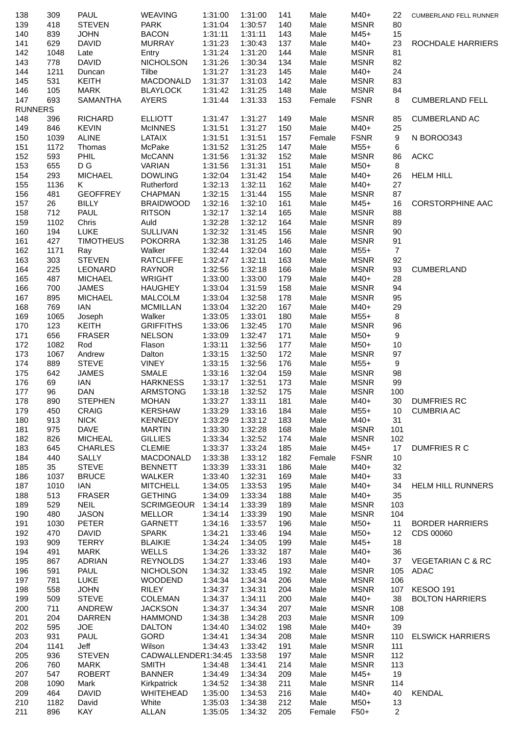| 138            | 309         | PAUL                         | <b>WEAVING</b>                     | 1:31:00            | 1:31:00            | 141        | Male         | M40+                       | 22              | CUMBERLAND FELL RUNNER       |
|----------------|-------------|------------------------------|------------------------------------|--------------------|--------------------|------------|--------------|----------------------------|-----------------|------------------------------|
| 139            | 418         | <b>STEVEN</b>                | <b>PARK</b>                        | 1:31:04            | 1:30:57            | 140        | Male         | <b>MSNR</b>                | 80              |                              |
| 140            | 839         | <b>JOHN</b>                  | <b>BACON</b>                       | 1:31:11            | 1:31:11            | 143        | Male         | $M45+$                     | 15              |                              |
| 141            | 629         | <b>DAVID</b>                 | MURRAY                             | 1:31:23            | 1:30:43            | 137        | Male         | M40+                       | 23              | ROCHDALE HARRIERS            |
| 142            | 1048        | Late                         | Entry                              | 1:31:24            | 1:31:20            | 144        | Male         | <b>MSNR</b>                | 81              |                              |
| 143<br>144     | 778<br>1211 | <b>DAVID</b><br>Duncan       | <b>NICHOLSON</b><br>Tilbe          | 1:31:26<br>1:31:27 | 1:30:34<br>1:31:23 | 134<br>145 | Male<br>Male | <b>MSNR</b><br>M40+        | 82<br>24        |                              |
| 145            | 531         | <b>KEITH</b>                 | MACDONALD                          | 1:31:37            | 1:31:03            | 142        | Male         | <b>MSNR</b>                | 83              |                              |
| 146            | 105         | MARK                         | <b>BLAYLOCK</b>                    | 1:31:42            | 1:31:25            | 148        | Male         | <b>MSNR</b>                | 84              |                              |
| 147            | 693         | <b>SAMANTHA</b>              | AYERS                              | 1:31:44            | 1:31:33            | 153        | Female       | <b>FSNR</b>                | 8               | <b>CUMBERLAND FELL</b>       |
| <b>RUNNERS</b> |             |                              |                                    |                    |                    |            |              |                            |                 |                              |
| 148            | 396         | <b>RICHARD</b>               | <b>ELLIOTT</b>                     | 1:31:47            | 1:31:27            | 149        | Male         | <b>MSNR</b>                | 85              | <b>CUMBERLAND AC</b>         |
| 149            | 846         | <b>KEVIN</b>                 | <b>McINNES</b>                     | 1:31:51            | 1:31:27            | 150        | Male         | M40+                       | 25              |                              |
| 150            | 1039        | <b>ALINE</b>                 | LATAIX                             | 1:31:51            | 1:31:51            | 157        | Female       | <b>FSNR</b>                | 9               | N BOROO343                   |
| 151            | 1172        | Thomas                       | McPake                             | 1:31:52            | 1:31:25            | 147        | Male         | $M55+$                     | 6               |                              |
| 152            | 593         | PHIL                         | McCANN                             | 1:31:56            | 1:31:32            | 152        | Male         | <b>MSNR</b>                | 86              | <b>ACKC</b>                  |
| 153            | 655         | D G                          | VARIAN                             | 1:31:56            | 1:31:31            | 151        | Male         | $M50+$                     | 8               |                              |
| 154            | 293         | <b>MICHAEL</b>               | <b>DOWLING</b>                     | 1:32:04            | 1:31:42            | 154        | Male         | M40+                       | 26              | <b>HELM HILL</b>             |
| 155            | 1136        | K                            | Rutherford                         | 1:32:13            | 1:32:11            | 162        | Male         | M40+                       | 27              |                              |
| 156            | 481         | <b>GEOFFREY</b>              | <b>CHAPMAN</b>                     | 1:32:15            | 1:31:44            | 155        | Male         | <b>MSNR</b>                | 87              |                              |
| 157<br>158     | 26          | <b>BILLY</b><br>PAUL         | <b>BRAIDWOOD</b><br><b>RITSON</b>  | 1:32:16<br>1:32:17 | 1:32:10<br>1:32:14 | 161        | Male         | $M45+$<br><b>MSNR</b>      | 16              | <b>CORSTORPHINE AAC</b>      |
| 159            | 712<br>1102 | Chris                        | Auld                               | 1:32:28            | 1:32:12            | 165<br>164 | Male<br>Male | <b>MSNR</b>                | 88<br>89        |                              |
| 160            | 194         | <b>LUKE</b>                  | <b>SULLIVAN</b>                    | 1:32:32            | 1:31:45            | 156        | Male         | <b>MSNR</b>                | 90              |                              |
| 161            | 427         | <b>TIMOTHEUS</b>             | <b>POKORRA</b>                     | 1:32:38            | 1:31:25            | 146        | Male         | <b>MSNR</b>                | 91              |                              |
| 162            | 1171        | Ray                          | Walker                             | 1:32:44            | 1:32:04            | 160        | Male         | $M55+$                     | $\overline{7}$  |                              |
| 163            | 303         | <b>STEVEN</b>                | <b>RATCLIFFE</b>                   | 1:32:47            | 1:32:11            | 163        | Male         | <b>MSNR</b>                | 92              |                              |
| 164            | 225         | LEONARD                      | RAYNOR                             | 1:32:56            | 1:32:18            | 166        | Male         | <b>MSNR</b>                | 93              | <b>CUMBERLAND</b>            |
| 165            | 487         | <b>MICHAEL</b>               | WRIGHT                             | 1:33:00            | 1:33:00            | 179        | Male         | M40+                       | 28              |                              |
| 166            | 700         | <b>JAMES</b>                 | HAUGHEY                            | 1:33:04            | 1:31:59            | 158        | Male         | <b>MSNR</b>                | 94              |                              |
| 167            | 895         | <b>MICHAEL</b>               | <b>MALCOLM</b>                     | 1:33:04            | 1:32:58            | 178        | Male         | <b>MSNR</b>                | 95              |                              |
| 168            | 769         | IAN                          | <b>MCMILLAN</b>                    | 1:33:04            | 1:32:20            | 167        | Male         | M40+                       | 29              |                              |
| 169            | 1065        | Joseph                       | Walker                             | 1:33:05            | 1:33:01            | 180        | Male         | $M55+$                     | 8               |                              |
| 170            | 123         | <b>KEITH</b>                 | <b>GRIFFITHS</b>                   | 1:33:06            | 1:32:45            | 170        | Male         | <b>MSNR</b>                | 96              |                              |
| 171            | 656         | <b>FRASER</b>                | <b>NELSON</b>                      | 1:33:09            | 1:32:47            | 171        | Male         | $M50+$                     | 9               |                              |
| 172            | 1082        | Rod                          | Flason                             | 1:33:11            | 1:32:56            | 177        | Male         | M50+                       | 10              |                              |
| 173            | 1067        | Andrew                       | Dalton                             | 1:33:15            | 1:32:50            | 172        | Male         | <b>MSNR</b>                | 97              |                              |
| 174<br>175     | 889<br>642  | <b>STEVE</b><br><b>JAMES</b> | <b>VINEY</b><br><b>SMALE</b>       | 1:33:15<br>1:33:16 | 1:32:56<br>1:32:04 | 176<br>159 | Male         | $M55+$<br><b>MSNR</b>      | 9<br>98         |                              |
| 176            | 69          | IAN                          | <b>HARKNESS</b>                    | 1:33:17            | 1:32:51            | 173        | Male<br>Male | <b>MSNR</b>                | 99              |                              |
| 177            | 96          | <b>DAN</b>                   | ARMSTONG                           | 1:33:18            | 1:32:52            | 175        | Male         | <b>MSNR</b>                | 100             |                              |
| 178            | 890         | <b>STEPHEN</b>               | <b>MOHAN</b>                       | 1:33:27  1:33:11   |                    | 181        | Male         | M40+                       | 30 <sup>°</sup> | <b>DUMFRIES RC</b>           |
| 179            | 450         | <b>CRAIG</b>                 | <b>KERSHAW</b>                     | 1:33:29            | 1:33:16            | 184        | Male         | $M55+$                     | 10              | <b>CUMBRIA AC</b>            |
| 180            | 913         | <b>NICK</b>                  | <b>KENNEDY</b>                     | 1:33:29            | 1:33:12            | 183        | Male         | M40+                       | 31              |                              |
| 181            | 975         | <b>DAVE</b>                  | <b>MARTIN</b>                      | 1:33:30            | 1:32:28            | 168        | Male         | <b>MSNR</b>                | 101             |                              |
| 182            | 826         | <b>MICHEAL</b>               | <b>GILLIES</b>                     | 1:33:34            | 1:32:52            | 174        | Male         | <b>MSNR</b>                | 102             |                              |
| 183            | 645         | <b>CHARLES</b>               | <b>CLEMIE</b>                      | 1:33:37            | 1:33:24            | 185        | Male         | $M45+$                     | 17              | <b>DUMFRIES R C</b>          |
| 184            | 440         | <b>SALLY</b>                 | MACDONALD                          | 1:33:38            | 1:33:12            | 182        | Female       | <b>FSNR</b>                | 10              |                              |
| 185            | 35          | <b>STEVE</b>                 | <b>BENNETT</b>                     | 1:33:39            | 1:33:31            | 186        | Male         | M40+                       | 32              |                              |
| 186            | 1037        | <b>BRUCE</b>                 | WALKER                             | 1:33:40            | 1:32:31            | 169        | Male         | M40+                       | 33              |                              |
| 187            | 1010        | ian                          | <b>MITCHELL</b>                    | 1:34:05            | 1:33:53            | 195        | Male         | M40+                       | 34              | <b>HELM HILL RUNNERS</b>     |
| 188            | 513         | <b>FRASER</b>                | <b>GETHING</b>                     | 1:34:09            | 1:33:34            | 188        | Male         | M40+                       | 35              |                              |
| 189            | 529<br>480  | <b>NEIL</b><br><b>JASON</b>  | <b>SCRIMGEOUR</b><br><b>MELLOR</b> | 1:34:14            | 1:33:39            | 189<br>190 | Male         | <b>MSNR</b><br><b>MSNR</b> | 103<br>104      |                              |
| 190<br>191     | 1030        | <b>PETER</b>                 | <b>GARNETT</b>                     | 1:34:14<br>1:34:16 | 1:33:39<br>1:33:57 | 196        | Male<br>Male | M50+                       | 11              | <b>BORDER HARRIERS</b>       |
| 192            | 470         | <b>DAVID</b>                 | <b>SPARK</b>                       | 1:34:21            | 1:33:46            | 194        | Male         | M50+                       | 12              | CDS 00060                    |
| 193            | 909         | <b>TERRY</b>                 | <b>BLAIKIE</b>                     | 1:34:24            | 1:34:05            | 199        | Male         | M45+                       | 18              |                              |
| 194            | 491         | <b>MARK</b>                  | WELLS                              | 1:34:26            | 1:33:32            | 187        | Male         | M40+                       | 36              |                              |
| 195            | 867         | ADRIAN                       | <b>REYNOLDS</b>                    | 1:34:27            | 1:33:46            | 193        | Male         | M40+                       | 37              | <b>VEGETARIAN C &amp; RC</b> |
| 196            | 591         | PAUL                         | <b>NICHOLSON</b>                   | 1:34:32            | 1:33:45            | 192        | Male         | <b>MSNR</b>                | 105             | ADAC                         |
| 197            | 781         | <b>LUKE</b>                  | <b>WOODEND</b>                     | 1:34:34            | 1:34:34            | 206        | Male         | <b>MSNR</b>                | 106             |                              |
| 198            | 558         | <b>JOHN</b>                  | <b>RILEY</b>                       | 1:34:37            | 1:34:31            | 204        | Male         | <b>MSNR</b>                | 107             | <b>KESOO 191</b>             |
| 199            | 509         | <b>STEVE</b>                 | <b>COLEMAN</b>                     | 1:34:37            | 1:34:11            | 200        | Male         | M40+                       | 38              | <b>BOLTON HARRIERS</b>       |
| 200            | 711         | ANDREW                       | <b>JACKSON</b>                     | 1:34:37            | 1:34:34            | 207        | Male         | <b>MSNR</b>                | 108             |                              |
| 201            | 204         | <b>DARREN</b>                | <b>HAMMOND</b>                     | 1:34:38            | 1:34:28            | 203        | Male         | <b>MSNR</b>                | 109             |                              |
| 202            | 595         | <b>JOE</b>                   | <b>DALTON</b>                      | 1:34:40            | 1:34:02            | 198        | Male         | M40+                       | 39              |                              |
| 203            | 931         | PAUL                         | GORD                               | 1:34:41            | 1:34:34            | 208        | Male         | <b>MSNR</b>                | 110             | <b>ELSWICK HARRIERS</b>      |
| 204            | 1141        | Jeff                         | Wilson                             | 1:34:43            | 1:33:42            | 191        | Male         | <b>MSNR</b>                | 111             |                              |
| 205            | 936         | <b>STEVEN</b>                | CADWALLENDER1:34:45                |                    | 1:33:58            | 197        | Male         | <b>MSNR</b>                | 112             |                              |
| 206<br>207     | 760<br>547  | <b>MARK</b><br><b>ROBERT</b> | <b>SMITH</b><br><b>BANNER</b>      | 1:34:48<br>1:34:49 | 1:34:41<br>1:34:34 | 214        | Male         | <b>MSNR</b><br>$M45+$      | 113<br>19       |                              |
| 208            | 1090        | Mark                         | Kirkpatrick                        | 1:34:52            | 1:34:38            | 209<br>211 | Male<br>Male | <b>MSNR</b>                | 114             |                              |
| 209            | 464         | <b>DAVID</b>                 | WHITEHEAD                          | 1:35:00            | 1:34:53            | 216        | Male         | M40+                       | 40              | <b>KENDAL</b>                |
| 210            | 1182        | David                        | White                              | 1:35:03            | 1:34:38            | 212        | Male         | M50+                       | 13              |                              |
| 211            | 896         | KAY                          | <b>ALLAN</b>                       | 1:35:05            | 1:34:32            | 205        | Female       | $F50+$                     | $\overline{2}$  |                              |
|                |             |                              |                                    |                    |                    |            |              |                            |                 |                              |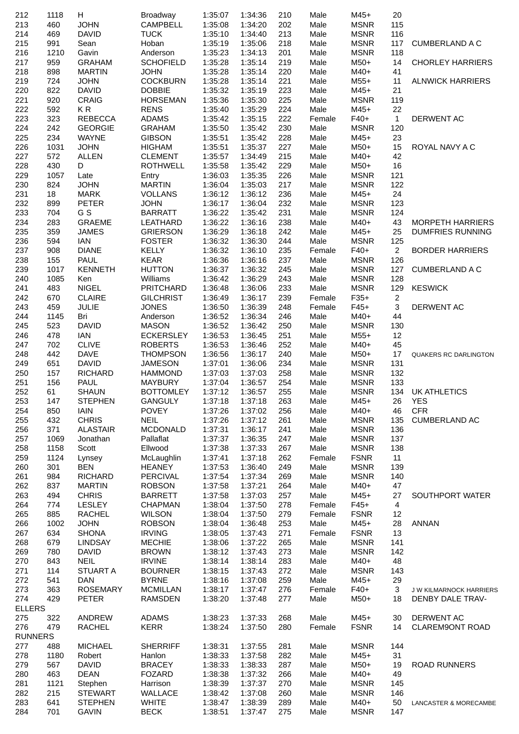| 212            | 1118       | H                             | Broadway                        | 1:35:07            | 1:34:36            | 210        | Male         | $M45+$              | 20             |                                                    |
|----------------|------------|-------------------------------|---------------------------------|--------------------|--------------------|------------|--------------|---------------------|----------------|----------------------------------------------------|
| 213            | 460        | <b>JOHN</b>                   | CAMPBELL                        | 1:35:08            | 1:34:20            | 202        | Male         | <b>MSNR</b>         | 115            |                                                    |
| 214            | 469        | <b>DAVID</b>                  | <b>TUCK</b>                     | 1:35:10            | 1:34:40            | 213        | Male         | <b>MSNR</b>         | 116            |                                                    |
| 215            | 991        | Sean                          | Hoban                           | 1:35:19            | 1:35:06            | 218        | Male         | <b>MSNR</b>         | 117            | <b>CUMBERLAND A C</b>                              |
| 216            | 1210       | Gavin                         | Anderson                        | 1:35:23            | 1:34:13            | 201        | Male         | <b>MSNR</b>         | 118            |                                                    |
| 217            | 959        | <b>GRAHAM</b>                 | <b>SCHOFIELD</b>                | 1:35:28            | 1:35:14            | 219        | Male         | $M50+$              | 14             | <b>CHORLEY HARRIERS</b>                            |
| 218            | 898<br>724 | <b>MARTIN</b><br><b>JOHN</b>  | <b>JOHN</b><br><b>COCKBURN</b>  | 1:35:28<br>1:35:28 | 1:35:14<br>1:35:14 | 220<br>221 | Male         | M40+<br>$M55+$      | 41<br>11       | <b>ALNWICK HARRIERS</b>                            |
| 219<br>220     | 822        | <b>DAVID</b>                  | <b>DOBBIE</b>                   | 1:35:32            | 1:35:19            | 223        | Male<br>Male | $M45+$              | 21             |                                                    |
| 221            | 920        | <b>CRAIG</b>                  | <b>HORSEMAN</b>                 | 1:35:36            | 1:35:30            | 225        | Male         | <b>MSNR</b>         | 119            |                                                    |
| 222            | 592        | KR                            | <b>RENS</b>                     | 1:35:40            | 1:35:29            | 224        | Male         | $M45+$              | 22             |                                                    |
| 223            | 323        | <b>REBECCA</b>                | <b>ADAMS</b>                    | 1:35:42            | 1:35:15            | 222        | Female       | $F40+$              | $\mathbf{1}$   | DERWENT AC                                         |
| 224            | 242        | <b>GEORGIE</b>                | <b>GRAHAM</b>                   | 1:35:50            | 1:35:42            | 230        | Male         | <b>MSNR</b>         | 120            |                                                    |
| 225            | 234        | <b>WAYNE</b>                  | <b>GIBSON</b>                   | 1:35:51            | 1:35:42            | 228        | Male         | $M45+$              | 23             |                                                    |
| 226            | 1031       | <b>JOHN</b>                   | <b>HIGHAM</b>                   | 1:35:51            | 1:35:37            | 227        | Male         | $M50+$              | 15             | ROYAL NAVY A C                                     |
| 227            | 572        | <b>ALLEN</b>                  | <b>CLEMENT</b>                  | 1:35:57            | 1:34:49            | 215        | Male         | M40+                | 42             |                                                    |
| 228            | 430        | D                             | <b>ROTHWELL</b>                 | 1:35:58            | 1:35:42            | 229        | Male         | $M50+$              | 16             |                                                    |
| 229            | 1057       | Late                          | Entry                           | 1:36:03            | 1:35:35            | 226        | Male         | <b>MSNR</b>         | 121            |                                                    |
| 230            | 824        | <b>JOHN</b>                   | <b>MARTIN</b>                   | 1:36:04            | 1:35:03            | 217        | Male         | <b>MSNR</b>         | 122            |                                                    |
| 231            | 18         | <b>MARK</b>                   | <b>VOLLANS</b>                  | 1:36:12            | 1:36:12            | 236        | Male         | M45+                | 24             |                                                    |
| 232            | 899        | <b>PETER</b>                  | <b>JOHN</b>                     | 1:36:17            | 1:36:04            | 232        | Male         | <b>MSNR</b>         | 123            |                                                    |
| 233            | 704        | G S                           | <b>BARRATT</b>                  | 1:36:22            | 1:35:42            | 231        | Male         | <b>MSNR</b>         | 124            |                                                    |
| 234<br>235     | 283<br>359 | <b>GRAEME</b><br><b>JAMES</b> | LEATHARD<br><b>GRIERSON</b>     | 1:36:22<br>1:36:29 | 1:36:16<br>1:36:18 | 238<br>242 | Male<br>Male | M40+<br>$M45+$      | 43<br>25       | <b>MORPETH HARRIERS</b><br><b>DUMFRIES RUNNING</b> |
| 236            | 594        | <b>IAN</b>                    | <b>FOSTER</b>                   | 1:36:32            | 1:36:30            | 244        | Male         | <b>MSNR</b>         | 125            |                                                    |
| 237            | 908        | <b>DIANE</b>                  | <b>KELLY</b>                    | 1:36:32            | 1:36:10            | 235        | Female       | $F40+$              | $\overline{2}$ | <b>BORDER HARRIERS</b>                             |
| 238            | 155        | PAUL                          | <b>KEAR</b>                     | 1:36:36            | 1:36:16            | 237        | Male         | <b>MSNR</b>         | 126            |                                                    |
| 239            | 1017       | <b>KENNETH</b>                | <b>HUTTON</b>                   | 1:36:37            | 1:36:32            | 245        | Male         | <b>MSNR</b>         | 127            | <b>CUMBERLAND A C</b>                              |
| 240            | 1085       | Ken                           | Williams                        | 1:36:42            | 1:36:29            | 243        | Male         | <b>MSNR</b>         | 128            |                                                    |
| 241            | 483        | <b>NIGEL</b>                  | <b>PRITCHARD</b>                | 1:36:48            | 1:36:06            | 233        | Male         | <b>MSNR</b>         | 129            | <b>KESWICK</b>                                     |
| 242            | 670        | <b>CLAIRE</b>                 | <b>GILCHRIST</b>                | 1:36:49            | 1:36:17            | 239        | Female       | $F35+$              | $\overline{c}$ |                                                    |
| 243            | 459        | JULIE                         | <b>JONES</b>                    | 1:36:50            | 1:36:39            | 248        | Female       | $F45+$              | $\mathbf{3}$   | DERWENT AC                                         |
| 244            | 1145       | Bri                           | Anderson                        | 1:36:52            | 1:36:34            | 246        | Male         | M40+                | 44             |                                                    |
| 245            | 523        | <b>DAVID</b>                  | <b>MASON</b>                    | 1:36:52            | 1:36:42            | 250        | Male         | <b>MSNR</b>         | 130            |                                                    |
| 246            | 478        | <b>IAN</b>                    | <b>ECKERSLEY</b>                | 1:36:53            | 1:36:45            | 251        | Male         | M55+                | 12             |                                                    |
| 247            | 702        | <b>CLIVE</b>                  | <b>ROBERTS</b>                  | 1:36:53            | 1:36:46            | 252        | Male         | M40+                | 45             |                                                    |
| 248            | 442        | <b>DAVE</b>                   | <b>THOMPSON</b>                 | 1:36:56            | 1:36:17            | 240        | Male         | $M50+$              | 17             | QUAKERS RC DARLINGTON                              |
| 249            | 651        | <b>DAVID</b>                  | <b>JAMESON</b>                  | 1:37:01            | 1:36:06            | 234        | Male         | <b>MSNR</b>         | 131            |                                                    |
| 250            | 157        | <b>RICHARD</b>                | <b>HAMMOND</b>                  | 1:37:03            | 1:37:03            | 258        | Male         | <b>MSNR</b>         | 132            |                                                    |
| 251            | 156        | PAUL                          | <b>MAYBURY</b>                  | 1:37:04            | 1:36:57            | 254        | Male         | <b>MSNR</b>         | 133            |                                                    |
| 252            | 61         | <b>SHAUN</b>                  | <b>BOTTOMLEY</b>                | 1:37:12            | 1:36:57            | 255        | Male         | <b>MSNR</b>         |                | 134 UK ATHLETICS                                   |
| 253            | 147        | <b>STEPHEN</b><br><b>IAIN</b> | GANGULY 1:37:18<br><b>POVEY</b> | 1:37:26            | 1:37:18            | 263        | Male         | M45+<br>M40+        | 46             | 26 YES<br><b>CFR</b>                               |
| 254<br>255     | 850<br>432 | <b>CHRIS</b>                  | <b>NEIL</b>                     | 1:37:26            | 1:37:02<br>1:37:12 | 256<br>261 | Male<br>Male | <b>MSNR</b>         | 135            | CUMBERLAND AC                                      |
| 256            | 371        | <b>ALASTAIR</b>               | <b>MCDONALD</b>                 | 1:37:31            | 1:36:17            | 241        | Male         | <b>MSNR</b>         | 136            |                                                    |
| 257            | 1069       | Jonathan                      | Pallaflat                       | 1:37:37            | 1:36:35            | 247        | Male         | <b>MSNR</b>         | 137            |                                                    |
| 258            | 1158       | Scott                         | Ellwood                         | 1:37:38            | 1:37:33            | 267        | Male         | <b>MSNR</b>         | 138            |                                                    |
| 259            | 1124       | Lynsey                        | McLaughlin                      | 1:37:41            | 1:37:18            | 262        | Female       | <b>FSNR</b>         | 11             |                                                    |
| 260            | 301        | <b>BEN</b>                    | <b>HEANEY</b>                   | 1:37:53            | 1:36:40            | 249        | Male         | <b>MSNR</b>         | 139            |                                                    |
| 261            | 984        | <b>RICHARD</b>                | <b>PERCIVAL</b>                 | 1:37:54            | 1:37:34            | 269        | Male         | <b>MSNR</b>         | 140            |                                                    |
| 262            | 837        | <b>MARTIN</b>                 | <b>ROBSON</b>                   | 1:37:58            | 1:37:21            | 264        | Male         | M40+                | 47             |                                                    |
| 263            | 494        | <b>CHRIS</b>                  | <b>BARRETT</b>                  | 1:37:58            | 1:37:03            | 257        | Male         | $M45+$              | 27             | SOUTHPORT WATER                                    |
| 264            | 774        | <b>LESLEY</b>                 | <b>CHAPMAN</b>                  | 1:38:04            | 1:37:50            | 278        | Female       | $F45+$              | 4              |                                                    |
| 265            | 885        | <b>RACHEL</b>                 | <b>WILSON</b>                   | 1:38:04            | 1:37:50            | 279        | Female       | <b>FSNR</b>         | 12             |                                                    |
| 266            | 1002       | <b>JOHN</b>                   | <b>ROBSON</b>                   | 1:38:04            | 1:36:48            | 253        | Male         | M45+                | 28             | <b>ANNAN</b>                                       |
| 267            | 634        | <b>SHONA</b>                  | <b>IRVING</b>                   | 1:38:05            | 1:37:43            | 271        | Female       | <b>FSNR</b>         | 13             |                                                    |
| 268            | 679        | <b>LINDSAY</b>                | <b>MECHIE</b>                   | 1:38:06            | 1:37:22            | 265        | Male         | <b>MSNR</b>         | 141            |                                                    |
| 269            | 780        | <b>DAVID</b><br><b>NEIL</b>   | <b>BROWN</b><br><b>IRVINE</b>   | 1:38:12<br>1:38:14 | 1:37:43<br>1:38:14 | 273<br>283 | Male         | <b>MSNR</b><br>M40+ | 142<br>48      |                                                    |
| 270<br>271     | 843<br>114 | STUART A                      | <b>BOURNER</b>                  | 1:38:15            | 1:37:43            | 272        | Male<br>Male | <b>MSNR</b>         | 143            |                                                    |
| 272            | 541        | <b>DAN</b>                    | <b>BYRNE</b>                    | 1:38:16            | 1:37:08            | 259        | Male         | $M45+$              | 29             |                                                    |
| 273            | 363        | <b>ROSEMARY</b>               | <b>MCMILLAN</b>                 | 1:38:17            | 1:37:47            | 276        | Female       | $F40+$              | 3              | J W KILMARNOCK HARRIERS                            |
| 274            | 429        | <b>PETER</b>                  | RAMSDEN                         | 1:38:20            | 1:37:48            | 277        | Male         | $M50+$              | 18             | DENBY DALE TRAV-                                   |
| <b>ELLERS</b>  |            |                               |                                 |                    |                    |            |              |                     |                |                                                    |
| 275            | 322        | ANDREW                        | <b>ADAMS</b>                    | 1:38:23            | 1:37:33            | 268        | Male         | $M45+$              | 30             | DERWENT AC                                         |
| 276            | 479        | <b>RACHEL</b>                 | <b>KERR</b>                     | 1:38:24            | 1:37:50            | 280        | Female       | <b>FSNR</b>         | 14             | <b>CLAREM9ONT ROAD</b>                             |
| <b>RUNNERS</b> |            |                               |                                 |                    |                    |            |              |                     |                |                                                    |
| 277            | 488        | <b>MICHAEL</b>                | <b>SHERRIFF</b>                 | 1:38:31            | 1:37:55            | 281        | Male         | <b>MSNR</b>         | 144            |                                                    |
| 278            | 1180       | Robert                        | Hanlon                          | 1:38:33            | 1:37:58            | 282        | Male         | $M45+$              | 31             |                                                    |
| 279            | 567        | <b>DAVID</b>                  | <b>BRACEY</b>                   | 1:38:33            | 1:38:33            | 287        | Male         | M50+                | 19             | <b>ROAD RUNNERS</b>                                |
| 280            | 463        | <b>DEAN</b>                   | <b>FOZARD</b>                   | 1:38:38            | 1:37:32            | 266        | Male         | M40+                | 49             |                                                    |
| 281            | 1121       | Stephen                       | Harrison                        | 1:38:39            | 1:37:37            | 270        | Male         | <b>MSNR</b>         | 145            |                                                    |
| 282            | 215        | <b>STEWART</b>                | WALLACE                         | 1:38:42            | 1:37:08            | 260        | Male         | <b>MSNR</b>         | 146            |                                                    |
| 283            | 641        | <b>STEPHEN</b>                | <b>WHITE</b>                    | 1:38:47            | 1:38:39            | 289        | Male         | M40+                | 50             | LANCASTER & MORECAMBE                              |
| 284            | 701        | <b>GAVIN</b>                  | <b>BECK</b>                     | 1:38:51            | 1:37:47            | 275        | Male         | <b>MSNR</b>         | 147            |                                                    |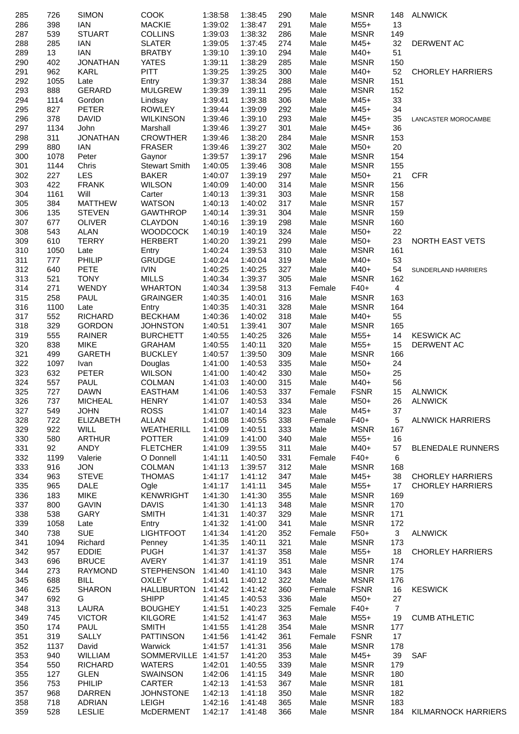| 285        | 726         | <b>SIMON</b>                | <b>COOK</b>                          | 1:38:58            | 1:38:45            | 290        | Male           | <b>MSNR</b>                | 148            | ALNWICK                    |
|------------|-------------|-----------------------------|--------------------------------------|--------------------|--------------------|------------|----------------|----------------------------|----------------|----------------------------|
| 286        | 398         | <b>IAN</b>                  | <b>MACKIE</b>                        | 1:39:02            | 1:38:47            | 291        | Male           | $M55+$                     | 13             |                            |
| 287        | 539         | <b>STUART</b>               | <b>COLLINS</b>                       | 1:39:03            | 1:38:32            | 286        | Male           | <b>MSNR</b>                | 149            |                            |
| 288        | 285         | <b>IAN</b>                  | <b>SLATER</b>                        | 1:39:05            | 1:37:45            | 274        | Male           | $M45+$                     | 32             | DERWENT AC                 |
| 289        | 13          | <b>IAN</b>                  | <b>BRATBY</b>                        | 1:39:10            | 1:39:10            | 294        | Male           | M40+                       | 51             |                            |
| 290        | 402         | <b>JONATHAN</b>             | <b>YATES</b>                         | 1:39:11            | 1:38:29            | 285        | Male           | <b>MSNR</b>                | 150            |                            |
| 291        | 962         | <b>KARL</b>                 | <b>PITT</b>                          | 1:39:25            | 1:39:25            | 300        | Male           | M40+                       | 52             | <b>CHORLEY HARRIERS</b>    |
| 292        | 1055        | Late                        | Entry                                | 1:39:37            | 1:38:34            | 288        | Male           | <b>MSNR</b>                | 151            |                            |
| 293<br>294 | 888<br>1114 | GERARD<br>Gordon            | <b>MULGREW</b>                       | 1:39:39<br>1:39:41 | 1:39:11<br>1:39:38 | 295<br>306 | Male<br>Male   | <b>MSNR</b><br>M45+        | 152<br>33      |                            |
| 295        | 827         | <b>PETER</b>                | Lindsay<br><b>ROWLEY</b>             | 1:39:44            | 1:39:09            | 292        | Male           | M45+                       | 34             |                            |
| 296        | 378         | <b>DAVID</b>                | <b>WILKINSON</b>                     | 1:39:46            | 1:39:10            | 293        | Male           | $M45+$                     | 35             | <b>LANCASTER MOROCAMBE</b> |
| 297        | 1134        | John                        | Marshall                             | 1:39:46            | 1:39:27            | 301        | Male           | $M45+$                     | 36             |                            |
| 298        | 311         | <b>JONATHAN</b>             | <b>CROWTHER</b>                      | 1:39:46            | 1:38:20            | 284        | Male           | <b>MSNR</b>                | 153            |                            |
| 299        | 880         | <b>IAN</b>                  | <b>FRASER</b>                        | 1:39:46            | 1:39:27            | 302        | Male           | $M50+$                     | 20             |                            |
| 300        | 1078        | Peter                       | Gaynor                               | 1:39:57            | 1:39:17            | 296        | Male           | <b>MSNR</b>                | 154            |                            |
| 301        | 1144        | Chris                       | <b>Stewart Smith</b>                 | 1:40:05            | 1:39:46            | 308        | Male           | <b>MSNR</b>                | 155            |                            |
| 302        | 227         | <b>LES</b>                  | <b>BAKER</b>                         | 1:40:07            | 1:39:19            | 297        | Male           | M50+                       | 21             | <b>CFR</b>                 |
| 303        | 422         | <b>FRANK</b>                | <b>WILSON</b>                        | 1:40:09            | 1:40:00            | 314        | Male           | <b>MSNR</b>                | 156            |                            |
| 304        | 1161        | Will                        | Carter                               | 1:40:13            | 1:39:31            | 303        | Male           | <b>MSNR</b>                | 158            |                            |
| 305        | 384         | <b>MATTHEW</b>              | <b>WATSON</b>                        | 1:40:13            | 1:40:02            | 317        | Male           | <b>MSNR</b>                | 157            |                            |
| 306        | 135         | <b>STEVEN</b>               | <b>GAWTHROP</b>                      | 1:40:14            | 1:39:31            | 304        | Male           | <b>MSNR</b>                | 159            |                            |
| 307        | 677         | <b>OLIVER</b>               | <b>CLAYDON</b>                       | 1:40:16            | 1:39:19            | 298        | Male           | <b>MSNR</b>                | 160            |                            |
| 308<br>309 | 543<br>610  | <b>ALAN</b><br><b>TERRY</b> | <b>WOODCOCK</b><br><b>HERBERT</b>    | 1:40:19<br>1:40:20 | 1:40:19<br>1:39:21 | 324<br>299 | Male<br>Male   | M50+<br>$M50+$             | 22<br>23       | NORTH EAST VETS            |
| 310        | 1050        | Late                        | Entry                                | 1:40:24            | 1:39:53            | 310        | Male           | <b>MSNR</b>                | 161            |                            |
| 311        | 777         | PHILIP                      | <b>GRUDGE</b>                        | 1:40:24            | 1:40:04            | 319        | Male           | M40+                       | 53             |                            |
| 312        | 640         | <b>PETE</b>                 | <b>IVIN</b>                          | 1:40:25            | 1:40:25            | 327        | Male           | M40+                       | 54             | SUNDERLAND HARRIERS        |
| 313        | 521         | <b>TONY</b>                 | <b>MILLS</b>                         | 1:40:34            | 1:39:37            | 305        | Male           | <b>MSNR</b>                | 162            |                            |
| 314        | 271         | <b>WENDY</b>                | <b>WHARTON</b>                       | 1:40:34            | 1:39:58            | 313        | Female         | $F40+$                     | 4              |                            |
| 315        | 258         | <b>PAUL</b>                 | <b>GRAINGER</b>                      | 1:40:35            | 1:40:01            | 316        | Male           | <b>MSNR</b>                | 163            |                            |
| 316        | 1100        | Late                        | Entry                                | 1:40:35            | 1:40:31            | 328        | Male           | <b>MSNR</b>                | 164            |                            |
| 317        | 552         | <b>RICHARD</b>              | <b>BECKHAM</b>                       | 1:40:36            | 1:40:02            | 318        | Male           | M40+                       | 55             |                            |
| 318        | 329         | <b>GORDON</b>               | <b>JOHNSTON</b>                      | 1:40:51            | 1:39:41            | 307        | Male           | <b>MSNR</b>                | 165            |                            |
| 319        | 555         | <b>RAINER</b>               | <b>BURCHETT</b>                      | 1:40:55            | 1:40:25            | 326        | Male           | $M55+$                     | 14             | <b>KESWICK AC</b>          |
| 320        | 838         | <b>MIKE</b>                 | <b>GRAHAM</b>                        | 1:40:55            | 1:40:11            | 320        | Male           | $M55+$                     | 15             | <b>DERWENT AC</b>          |
| 321        | 499         | <b>GARETH</b>               | <b>BUCKLEY</b>                       | 1:40:57            | 1:39:50            | 309        | Male           | <b>MSNR</b>                | 166            |                            |
| 322        | 1097        | Ivan                        | Douglas                              | 1:41:00            | 1:40:53            | 335        | Male           | $M50+$                     | 24             |                            |
| 323        | 632         | <b>PETER</b>                | <b>WILSON</b>                        | 1:41:00            | 1:40:42<br>1:40:00 | 330        | Male           | $M50+$                     | 25             |                            |
| 324<br>325 | 557<br>727  | <b>PAUL</b><br><b>DAWN</b>  | <b>COLMAN</b><br><b>EASTHAM</b>      | 1:41:03<br>1:41:06 | 1:40:53            | 315<br>337 | Male<br>Female | M40+<br><b>FSNR</b>        | 56<br>15       | <b>ALNWICK</b>             |
| 326        | 737         | <b>MICHEAL</b>              | <b>HENRY</b>                         | 1:41:07  1:40:53   |                    | 334        | Male           | $M50+$                     |                | 26 ALNWICK                 |
| 327        | 549         | <b>JOHN</b>                 | <b>ROSS</b>                          | 1:41:07            | 1:40:14            | 323        | Male           | M45+                       | 37             |                            |
| 328        | 722         | <b>ELIZABETH</b>            | <b>ALLAN</b>                         | 1:41:08            | 1:40:55            | 338        | Female         | $F40+$                     | 5              | <b>ALNWICK HARRIERS</b>    |
| 329        | 922         | WILL                        | WEATHERILL                           | 1:41:09            | 1:40:51            | 333        | Male           | <b>MSNR</b>                | 167            |                            |
| 330        | 580         | <b>ARTHUR</b>               | <b>POTTER</b>                        | 1:41:09            | 1:41:00            | 340        | Male           | $M55+$                     | 16             |                            |
| 331        | 92          | ANDY                        | <b>FLETCHER</b>                      | 1:41:09            | 1:39:55            | 311        | Male           | M40+                       | 57             | <b>BLENEDALE RUNNERS</b>   |
| 332        | 1199        | Valerie                     | O Donnell                            | 1:41:11            | 1:40:50            | 331        | Female         | $F40+$                     | 6              |                            |
| 333        | 916         | <b>JON</b>                  | <b>COLMAN</b>                        | 1:41:13            | 1:39:57            | 312        | Male           | <b>MSNR</b>                | 168            |                            |
| 334        | 963         | <b>STEVE</b>                | <b>THOMAS</b>                        | 1:41:17            | 1:41:12            | 347        | Male           | $M45+$                     | 38             | <b>CHORLEY HARRIERS</b>    |
| 335        | 965         | <b>DALE</b>                 | Ogle                                 | 1:41:17            | 1:41:11            | 345        | Male           | $M55+$                     | 17             | <b>CHORLEY HARRIERS</b>    |
| 336        | 183         | <b>MIKE</b>                 | <b>KENWRIGHT</b>                     | 1:41:30            | 1:41:30            | 355        | Male           | <b>MSNR</b>                | 169            |                            |
| 337        | 800         | <b>GAVIN</b>                | <b>DAVIS</b>                         | 1:41:30            | 1:41:13            | 348        | Male           | <b>MSNR</b>                | 170            |                            |
| 338<br>339 | 538<br>1058 | GARY<br>Late                | <b>SMITH</b><br>Entry                | 1:41:31<br>1:41:32 | 1:40:37<br>1:41:00 | 329<br>341 | Male<br>Male   | <b>MSNR</b><br><b>MSNR</b> | 171<br>172     |                            |
| 340        | 738         | <b>SUE</b>                  | <b>LIGHTFOOT</b>                     | 1:41:34            | 1:41:20            | 352        | Female         | $F50+$                     | 3              | <b>ALNWICK</b>             |
| 341        | 1094        | Richard                     | Penney                               | 1:41:35            | 1:40:11            | 321        | Male           | <b>MSNR</b>                | 173            |                            |
| 342        | 957         | <b>EDDIE</b>                | <b>PUGH</b>                          | 1:41:37            | 1:41:37            | 358        | Male           | M55+                       | 18             | <b>CHORLEY HARRIERS</b>    |
| 343        | 696         | <b>BRUCE</b>                | AVERY                                | 1:41:37            | 1:41:19            | 351        | Male           | <b>MSNR</b>                | 174            |                            |
| 344        | 273         | <b>RAYMOND</b>              | <b>STEPHENSON</b>                    | 1:41:40            | 1:41:10            | 343        | Male           | <b>MSNR</b>                | 175            |                            |
| 345        | 688         | <b>BILL</b>                 | <b>OXLEY</b>                         | 1:41:41            | 1:40:12            | 322        | Male           | <b>MSNR</b>                | 176            |                            |
| 346        | 625         | <b>SHARON</b>               | HALLIBURTON                          | 1:41:42            | 1:41:42            | 360        | Female         | <b>FSNR</b>                | 16             | <b>KESWICK</b>             |
| 347        | 692         | G                           | <b>SHIPP</b>                         | 1:41:45            | 1:40:53            | 336        | Male           | M50+                       | 27             |                            |
| 348        | 313         | LAURA                       | <b>BOUGHEY</b>                       | 1:41:51            | 1:40:23            | 325        | Female         | $F40+$                     | $\overline{7}$ |                            |
| 349        | 745         | <b>VICTOR</b>               | <b>KILGORE</b>                       | 1:41:52            | 1:41:47            | 363        | Male           | $M55+$                     | 19             | <b>CUMB ATHLETIC</b>       |
| 350        | 174         | PAUL                        | <b>SMITH</b>                         | 1:41:55            | 1:41:28            | 354        | Male           | <b>MSNR</b>                | 177            |                            |
| 351        | 319         | <b>SALLY</b>                | <b>PATTINSON</b>                     | 1:41:56            | 1:41:42            | 361        | Female         | <b>FSNR</b>                | 17             |                            |
| 352        | 1137        | David                       | Warwick                              | 1:41:57            | 1:41:31            | 356        | Male           | <b>MSNR</b>                | 178            |                            |
| 353<br>354 | 940<br>550  | WILLIAM<br><b>RICHARD</b>   | SOMMERVILLE 1:41:57<br><b>WATERS</b> | 1:42:01            | 1:41:20<br>1:40:55 | 353<br>339 | Male<br>Male   | $M45+$<br><b>MSNR</b>      | 39<br>179      | SAF                        |
| 355        | 127         | <b>GLEN</b>                 | <b>SWAINSON</b>                      | 1:42:06            | 1:41:15            | 349        | Male           | <b>MSNR</b>                | 180            |                            |
| 356        | 753         | PHILIP                      | <b>CARTER</b>                        | 1:42:13            | 1:41:53            | 367        | Male           | <b>MSNR</b>                | 181            |                            |
| 357        | 968         | <b>DARREN</b>               | <b>JOHNSTONE</b>                     | 1:42:13            | 1:41:18            | 350        | Male           | <b>MSNR</b>                | 182            |                            |
| 358        | 718         | <b>ADRIAN</b>               | <b>LEIGH</b>                         | 1:42:16            | 1:41:48            | 365        | Male           | <b>MSNR</b>                | 183            |                            |
| 359        | 528         | <b>LESLIE</b>               | <b>McDERMENT</b>                     | 1:42:17            | 1:41:48            | 366        | Male           | <b>MSNR</b>                | 184            | <b>KILMARNOCK HARRIERS</b> |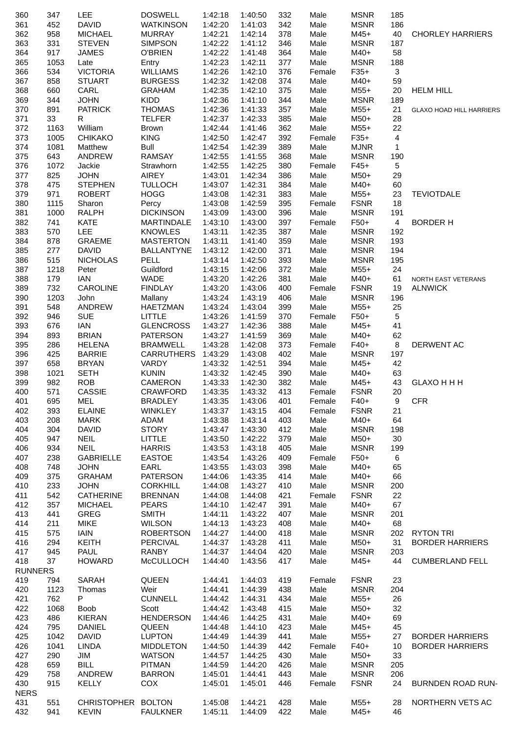| 360                   | 347        | <b>LEE</b>                    | <b>DOSWELL</b>                        | 1:42:18            | 1:40:50            | 332        | Male           | <b>MSNR</b>                | 185             |                                 |
|-----------------------|------------|-------------------------------|---------------------------------------|--------------------|--------------------|------------|----------------|----------------------------|-----------------|---------------------------------|
| 361                   | 452        | <b>DAVID</b>                  | <b>WATKINSON</b>                      | 1:42:20            | 1:41:03            | 342        | Male           | <b>MSNR</b>                | 186             |                                 |
| 362                   | 958        | <b>MICHAEL</b>                | <b>MURRAY</b>                         | 1:42:21            | 1:42:14            | 378        | Male           | $M45+$                     | 40              | <b>CHORLEY HARRIERS</b>         |
| 363                   | 331        | <b>STEVEN</b>                 | <b>SIMPSON</b>                        | 1:42:22            | 1:41:12            | 346        | Male           | <b>MSNR</b>                | 187             |                                 |
| 364                   | 917        | <b>JAMES</b>                  | <b>O'BRIEN</b>                        | 1:42:22            | 1:41:48            | 364        | Male           | M40+                       | 58              |                                 |
| 365                   | 1053       | Late                          | Entry                                 | 1:42:23            | 1:42:11            | 377        | Male           | <b>MSNR</b>                | 188             |                                 |
| 366                   | 534        | <b>VICTORIA</b>               | <b>WILLIAMS</b>                       | 1:42:26            | 1:42:10            | 376        | Female         | $F35+$                     | 3               |                                 |
| 367<br>368            | 858<br>660 | <b>STUART</b><br>CARL         | <b>BURGESS</b>                        | 1:42:32<br>1:42:35 | 1:42:08<br>1:42:10 | 374<br>375 | Male<br>Male   | M40+<br>$M55+$             | 59<br>20        |                                 |
| 369                   | 344        | <b>JOHN</b>                   | <b>GRAHAM</b><br><b>KIDD</b>          | 1:42:36            | 1:41:10            | 344        | Male           | <b>MSNR</b>                | 189             | <b>HELM HILL</b>                |
| 370                   | 891        | <b>PATRICK</b>                | <b>THOMAS</b>                         | 1:42:36            | 1:41:33            | 357        | Male           | $M55+$                     | 21              | <b>GLAXO HOAD HILL HARRIERS</b> |
| 371                   | 33         | R                             | <b>TELFER</b>                         | 1:42:37            | 1:42:33            | 385        | Male           | M50+                       | 28              |                                 |
| 372                   | 1163       | William                       | <b>Brown</b>                          | 1:42:44            | 1:41:46            | 362        | Male           | $M55+$                     | 22              |                                 |
| 373                   | 1005       | <b>CHIKAKO</b>                | <b>KING</b>                           | 1:42:50            | 1:42:47            | 392        | Female         | $F35+$                     | 4               |                                 |
| 374                   | 1081       | Matthew                       | Bull                                  | 1:42:54            | 1:42:39            | 389        | Male           | <b>MJNR</b>                | $\mathbf{1}$    |                                 |
| 375                   | 643        | ANDREW                        | <b>RAMSAY</b>                         | 1:42:55            | 1:41:55            | 368        | Male           | <b>MSNR</b>                | 190             |                                 |
| 376                   | 1072       | Jackie                        | Strawhorn                             | 1:42:55            | 1:42:25            | 380        | Female         | $F45+$                     | 5               |                                 |
| 377                   | 825        | <b>JOHN</b>                   | <b>AIREY</b>                          | 1:43:01            | 1:42:34            | 386        | Male           | M50+                       | 29              |                                 |
| 378                   | 475        | <b>STEPHEN</b>                | <b>TULLOCH</b>                        | 1:43:07            | 1:42:31            | 384        | Male           | M40+                       | 60              |                                 |
| 379                   | 971        | <b>ROBERT</b>                 | <b>HOGG</b>                           | 1:43:08            | 1:42:31            | 383        | Male           | $M55+$                     | 23              | <b>TEVIOTDALE</b>               |
| 380                   | 1115       | Sharon                        | Percy                                 | 1:43:08            | 1:42:59            | 395        | Female         | <b>FSNR</b>                | 18              |                                 |
| 381                   | 1000       | RALPH                         | <b>DICKINSON</b>                      | 1:43:09            | 1:43:00            | 396        | Male           | <b>MSNR</b>                | 191             |                                 |
| 382                   | 741        | <b>KATE</b>                   | <b>MARTINDALE</b>                     | 1:43:10            | 1:43:00            | 397        | Female         | $F50+$                     | $\overline{4}$  | <b>BORDER H</b>                 |
| 383                   | 570        | <b>LEE</b>                    | <b>KNOWLES</b>                        | 1:43:11            | 1:42:35            | 387        | Male           | <b>MSNR</b>                | 192             |                                 |
| 384<br>385            | 878<br>277 | <b>GRAEME</b><br><b>DAVID</b> | <b>MASTERTON</b><br><b>BALLANTYNE</b> | 1:43:11<br>1:43:12 | 1:41:40<br>1:42:00 | 359<br>371 | Male<br>Male   | <b>MSNR</b><br><b>MSNR</b> | 193<br>194      |                                 |
| 386                   | 515        | <b>NICHOLAS</b>               | PELL                                  | 1:43:14            | 1:42:50            | 393        | Male           | <b>MSNR</b>                | 195             |                                 |
| 387                   | 1218       | Peter                         | Guildford                             | 1:43:15            | 1:42:06            | 372        | Male           | $M55+$                     | 24              |                                 |
| 388                   | 179        | IAN                           | <b>WADE</b>                           | 1:43:20            | 1:42:26            | 381        | Male           | M40+                       | 61              | NORTH EAST VETERANS             |
| 389                   | 732        | CAROLINE                      | <b>FINDLAY</b>                        | 1:43:20            | 1:43:06            | 400        | Female         | <b>FSNR</b>                | 19              | <b>ALNWICK</b>                  |
| 390                   | 1203       | John                          | Mallany                               | 1:43:24            | 1:43:19            | 406        | Male           | <b>MSNR</b>                | 196             |                                 |
| 391                   | 548        | ANDREW                        | HAETZMAN                              | 1:43:24            | 1:43:04            | 399        | Male           | $M55+$                     | 25              |                                 |
| 392                   | 946        | <b>SUE</b>                    | <b>LITTLE</b>                         | 1:43:26            | 1:41:59            | 370        | Female         | F50+                       | 5               |                                 |
| 393                   | 676        | IAN                           | <b>GLENCROSS</b>                      | 1:43:27            | 1:42:36            | 388        | Male           | $M45+$                     | 41              |                                 |
| 394                   | 893        | <b>BRIAN</b>                  | <b>PATERSON</b>                       | 1:43:27            | 1:41:59            | 369        | Male           | M40+                       | 62              |                                 |
| 395                   | 286        | <b>HELENA</b>                 | <b>BRAMWELL</b>                       | 1:43:28            | 1:42:08            | 373        | Female         | $F40+$                     | 8               | DERWENT AC                      |
| 396                   | 425        | <b>BARRIE</b>                 | <b>CARRUTHERS</b>                     | 1:43:29            | 1:43:08            | 402        | Male           | <b>MSNR</b>                | 197             |                                 |
| 397                   | 658        | <b>BRYAN</b>                  | <b>VARDY</b>                          | 1:43:32            | 1:42:51            | 394        | Male           | $M45+$                     | 42              |                                 |
| 398                   | 1021       | <b>SETH</b>                   | <b>KUNIN</b>                          | 1:43:32            | 1:42:45            | 390        | Male           | M40+                       | 63              |                                 |
| 399                   | 982        | <b>ROB</b>                    | CAMERON                               | 1:43:33            | 1:42:30            | 382        | Male           | $M45+$                     | 43              | <b>GLAXO H H H</b>              |
| 400                   | 571        | CASSIE                        | <b>CRAWFORD</b>                       | 1:43:35            | 1:43:32            | 413        | Female         | <b>FSNR</b>                | 20              |                                 |
| 401                   | 695        | MEL                           | BRADLEY  1:43:35  1:43:06  401        |                    |                    |            | Female         | F40+                       | 9               | <b>CFR</b>                      |
| 402<br>403            | 393<br>208 | <b>ELAINE</b><br><b>MARK</b>  | WINKLEY<br>ADAM                       | 1:43:37<br>1:43:38 | 1:43:15<br>1:43:14 | 404<br>403 | Female<br>Male | <b>FSNR</b><br>M40+        | 21<br>64        |                                 |
| 404                   | 304        | <b>DAVID</b>                  | STORY                                 | 1:43:47            | 1:43:30            | 412        | Male           | <b>MSNR</b>                | 198             |                                 |
| 405                   | 947        | <b>NEIL</b>                   | LITTLE                                | 1:43:50            | 1:42:22            | 379        | Male           | $M50+$                     | 30              |                                 |
| 406                   | 934        | <b>NEIL</b>                   | <b>HARRIS</b>                         | 1:43:53            | 1:43:18            | 405        | Male           | <b>MSNR</b>                | 199             |                                 |
| 407                   | 238        | <b>GABRIELLE</b>              | <b>EASTOE</b>                         | 1:43:54            | 1:43:26            | 409        | Female         | $F50+$                     | 6               |                                 |
| 408                   | 748        | <b>JOHN</b>                   | EARL                                  | 1:43:55            | 1:43:03            | 398        | Male           | $M40+$                     | 65              |                                 |
| 409                   | 375        | <b>GRAHAM</b>                 | <b>PATERSON</b>                       | 1:44:06            | 1:43:35            | 414        | Male           | M40+                       | 66              |                                 |
| 410                   | 233        | <b>JOHN</b>                   | <b>CORKHILL</b>                       | 1:44:08            | 1:43:27            | 410        | Male           | <b>MSNR</b>                | 200             |                                 |
| 411                   | 542        | CATHERINE                     | <b>BRENNAN</b>                        | 1:44:08            | 1:44:08            | 421        | Female         | <b>FSNR</b>                | 22              |                                 |
| 412                   | 357        | <b>MICHAEL</b>                | <b>PEARS</b>                          | 1:44:10            | 1:42:47            | 391        | Male           | $M40+$                     | 67              |                                 |
| 413                   | 441        | GREG                          | <b>SMITH</b>                          | 1:44:11            | 1:43:22            | 407        | Male           | <b>MSNR</b>                | 201             |                                 |
| 414                   | 211        | MIKE                          | WILSON                                | 1:44:13            | 1:43:23            | 408        | Male           | M40+                       | 68              |                                 |
| 415                   | 575        | <b>IAIN</b>                   | <b>ROBERTSON</b>                      | 1:44:27            | 1:44:00            | 418        | Male           | <b>MSNR</b>                |                 | 202 RYTON TRI                   |
| 416                   | 294        | KEITH                         | PERCIVAL                              | 1:44:37            | 1:43:28            | 411        | Male           | $M50+$                     | 31              | <b>BORDER HARRIERS</b>          |
| 417                   | 945        | <b>PAUL</b>                   | RANBY                                 | 1:44:37            | 1:44:04            | 420        | Male           | <b>MSNR</b>                | 203<br>44       |                                 |
| 418<br><b>RUNNERS</b> | 37         | <b>HOWARD</b>                 | <b>McCULLOCH</b>                      | 1:44:40            | 1:43:56            | 417        | Male           | $M45+$                     |                 | <b>CUMBERLAND FELL</b>          |
| 419                   | 794        | SARAH                         | QUEEN                                 | 1:44:41            | 1:44:03            | 419        | Female         | <b>FSNR</b>                | 23              |                                 |
| 420                   | 1123       | Thomas                        | Weir                                  | 1:44:41            | 1:44:39            | 438        | Male           | <b>MSNR</b>                | 204             |                                 |
| 421                   | 762        | P.                            | <b>CUNNELL</b>                        | 1:44:42            | 1:44:31            | 434        | Male           | $M55+$                     | 26              |                                 |
| 422                   | 1068       | Boob                          | Scott                                 | 1:44:42            | 1:43:48            | 415        | Male           | $M50+$                     | 32              |                                 |
| 423                   | 486        | KIERAN                        | <b>HENDERSON</b>                      | 1:44:46            | 1:44:25            | 431        | Male           | M40+                       | 69              |                                 |
| 424                   | 795        | DANIEL                        | QUEEN                                 | 1:44:48            | 1:44:10            | 423        | Male           | $M45+$                     | 45              |                                 |
| 425                   | 1042       | <b>DAVID</b>                  | <b>LUPTON</b>                         | 1:44:49            | 1:44:39            | 441        | Male           | $M55+$                     | 27              | <b>BORDER HARRIERS</b>          |
| 426                   | 1041       | <b>LINDA</b>                  | <b>MIDDLETON</b>                      | 1:44:50            | 1:44:39            | 442        | Female         | $F40+$                     | 10 <sup>1</sup> | <b>BORDER HARRIERS</b>          |
| 427                   | 290        | JIM                           | <b>WATSON</b>                         | 1:44:57            | 1:44:25            | 430        | Male           | $M50+$                     | 33              |                                 |
| 428                   | 659        | BILL                          | PITMAN                                | 1:44:59            | 1:44:20            | 426        | Male           | <b>MSNR</b>                | 205             |                                 |
| 429                   | 758        | ANDREW                        | <b>BARRON</b>                         | 1:45:01            | 1:44:41            | 443        | Male           | <b>MSNR</b>                | 206             |                                 |
| 430                   | 915        | KELLY                         | COX                                   | 1:45:01            | 1:45:01            | 446        | Female         | <b>FSNR</b>                | 24              | <b>BURNDEN ROAD RUN-</b>        |
| <b>NERS</b>           |            |                               |                                       |                    |                    |            |                |                            |                 |                                 |
| 431                   | 551        | CHRISTOPHER BOLTON            | <b>FAULKNER</b>                       | 1:45:08            | 1:44:21            | 428        | Male           | $M55+$                     | 28              | NORTHERN VETS AC                |
| 432                   | 941        | <b>KEVIN</b>                  |                                       | 1:45:11            | 1:44:09            | 422        | Male           | $M45+$                     | 46              |                                 |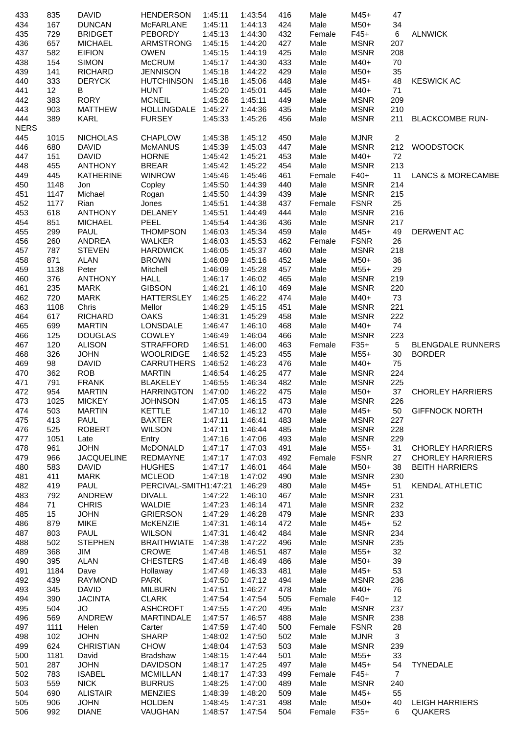| 433                | 835         | <b>DAVID</b>                    | <b>HENDERSON</b>               | 1:45:11            | 1:43:54            | 416        | Male         | M45+                       | 47                 |                              |
|--------------------|-------------|---------------------------------|--------------------------------|--------------------|--------------------|------------|--------------|----------------------------|--------------------|------------------------------|
| 434                | 167         | <b>DUNCAN</b>                   | <b>McFARLANE</b>               | 1:45:11            | 1:44:13            | 424        | Male         | M50+                       | 34                 |                              |
| 435                | 729         | <b>BRIDGET</b>                  | <b>PEBORDY</b>                 | 1:45:13            | 1:44:30            | 432        | Female       | $F45+$                     | 6                  | <b>ALNWICK</b>               |
| 436                | 657         | <b>MICHAEL</b>                  | ARMSTRONG                      | 1:45:15            | 1:44:20            | 427        | Male         | <b>MSNR</b>                | 207                |                              |
| 437                | 582         | <b>EIFION</b>                   | <b>OWEN</b>                    | 1:45:15            | 1:44:19            | 425        | Male         | <b>MSNR</b>                | 208                |                              |
| 438                | 154         | <b>SIMON</b>                    | <b>McCRUM</b>                  | 1:45:17            | 1:44:30            | 433        | Male         | $M40+$                     | 70                 |                              |
| 439                | 141         | <b>RICHARD</b>                  | <b>JENNISON</b>                | 1:45:18            | 1:44:22            | 429        | Male         | $M50+$                     | 35                 |                              |
| 440                | 333         | <b>DERYCK</b>                   | <b>HUTCHINSON</b>              | 1:45:18            | 1:45:06            | 448        | Male         | $M45+$                     | 48                 | <b>KESWICK AC</b>            |
| 441                | 12          | B                               | <b>HUNT</b>                    | 1:45:20            | 1:45:01            | 445        | Male         | M40+                       | 71                 |                              |
| 442                | 383         | <b>RORY</b>                     | <b>MCNEIL</b>                  | 1:45:26            | 1:45:11            | 449        | Male         | <b>MSNR</b>                | 209                |                              |
| 443                | 903         | <b>MATTHEW</b><br><b>KARL</b>   | HOLLINGDALE 1:45:27            |                    | 1:44:36            | 435        | Male         | <b>MSNR</b>                | 210                |                              |
| 444<br><b>NERS</b> | 389         |                                 | <b>FURSEY</b>                  | 1:45:33            | 1:45:26            | 456        | Male         | <b>MSNR</b>                | 211                | <b>BLACKCOMBE RUN-</b>       |
|                    |             | <b>NICHOLAS</b>                 | CHAPLOW                        |                    |                    |            |              |                            | $\overline{c}$     |                              |
| 445                | 1015        |                                 |                                | 1:45:38            | 1:45:12            | 450        | Male         | <b>MJNR</b>                |                    |                              |
| 446<br>447         | 680<br>151  | <b>DAVID</b><br><b>DAVID</b>    | <b>McMANUS</b><br><b>HORNE</b> | 1:45:39<br>1:45:42 | 1:45:03<br>1:45:21 | 447<br>453 | Male<br>Male | <b>MSNR</b><br>M40+        | 212<br>72          | <b>WOODSTOCK</b>             |
| 448                | 455         | <b>ANTHONY</b>                  | <b>BREAR</b>                   | 1:45:42            | 1:45:22            | 454        | Male         | <b>MSNR</b>                | 213                |                              |
| 449                | 445         | <b>KATHERINE</b>                | <b>WINROW</b>                  | 1:45:46            | 1:45:46            | 461        | Female       | $F40+$                     | 11                 | <b>LANCS &amp; MORECAMBE</b> |
| 450                | 1148        | Jon                             | Copley                         | 1:45:50            | 1:44:39            | 440        | Male         | <b>MSNR</b>                | 214                |                              |
| 451                | 1147        | Michael                         | Rogan                          | 1:45:50            | 1:44:39            | 439        | Male         | <b>MSNR</b>                | 215                |                              |
| 452                | 1177        | Rian                            | Jones                          | 1:45:51            | 1:44:38            | 437        | Female       | <b>FSNR</b>                | 25                 |                              |
| 453                | 618         | <b>ANTHONY</b>                  | DELANEY                        | 1:45:51            | 1:44:49            | 444        | Male         | <b>MSNR</b>                | 216                |                              |
| 454                | 851         | <b>MICHAEL</b>                  | <b>PEEL</b>                    | 1:45:54            | 1:44:36            | 436        | Male         | <b>MSNR</b>                | 217                |                              |
| 455                | 299         | <b>PAUL</b>                     | <b>THOMPSON</b>                | 1:46:03            | 1:45:34            | 459        | Male         | M45+                       | 49                 | DERWENT AC                   |
| 456                | 260         | ANDREA                          | <b>WALKER</b>                  | 1:46:03            | 1:45:53            | 462        | Female       | <b>FSNR</b>                | 26                 |                              |
| 457                | 787         | <b>STEVEN</b>                   | <b>HARDWICK</b>                | 1:46:05            | 1:45:37            | 460        | Male         | <b>MSNR</b>                | 218                |                              |
| 458                | 871         | <b>ALAN</b>                     | <b>BROWN</b>                   | 1:46:09            | 1:45:16            | 452        | Male         | $M50+$                     | 36                 |                              |
| 459                | 1138        | Peter                           | Mitchell                       | 1:46:09            | 1:45:28            | 457        | Male         | $M55+$                     | 29                 |                              |
| 460                | 376         | <b>ANTHONY</b>                  | <b>HALL</b>                    | 1:46:17            | 1:46:02            | 465        | Male         | <b>MSNR</b>                | 219                |                              |
| 461                | 235         | <b>MARK</b>                     | <b>GIBSON</b>                  | 1:46:21            | 1:46:10            | 469        | Male         | <b>MSNR</b>                | 220                |                              |
| 462                | 720         | <b>MARK</b>                     | <b>HATTERSLEY</b>              | 1:46:25            | 1:46:22            | 474        | Male         | M40+                       | 73                 |                              |
| 463                | 1108        | Chris                           | Mellor                         | 1:46:29            | 1:45:15            | 451        | Male         | <b>MSNR</b>                | 221                |                              |
| 464                | 617         | <b>RICHARD</b>                  | <b>OAKS</b>                    | 1:46:31            | 1:45:29            | 458        | Male         | <b>MSNR</b>                | 222                |                              |
| 465                | 699         | <b>MARTIN</b>                   | LONSDALE                       | 1:46:47            | 1:46:10            | 468        | Male         | M40+                       | 74                 |                              |
| 466                | 125         | <b>DOUGLAS</b>                  | <b>COWLEY</b>                  | 1:46:49            | 1:46:04            | 466        | Male         | <b>MSNR</b>                | 223                |                              |
| 467                | 120         | <b>ALISON</b>                   | <b>STRAFFORD</b>               | 1:46:51            | 1:46:00            | 463        | Female       | $F35+$                     | 5                  | <b>BLENGDALE RUNNERS</b>     |
| 468                | 326         | <b>JOHN</b>                     | <b>WOOLRIDGE</b>               | 1:46:52            | 1:45:23            | 455        | Male         | $M55+$                     | 30                 | <b>BORDER</b>                |
| 469                | 98          | <b>DAVID</b>                    | <b>CARRUTHERS</b>              | 1:46:52            | 1:46:23            | 476        | Male         | $M40+$                     | 75                 |                              |
| 470                | 362         | <b>ROB</b>                      | <b>MARTIN</b>                  | 1:46:54            | 1:46:25            | 477        | Male         | <b>MSNR</b>                | 224                |                              |
| 471                | 791         | <b>FRANK</b>                    | <b>BLAKELEY</b>                | 1:46:55            | 1:46:34            | 482        | Male         | <b>MSNR</b>                | 225                |                              |
| 472                | 954         | <b>MARTIN</b>                   | <b>HARRINGTON</b>              | 1:47:00            | 1:46:22            | 475        | Male         | $M50+$                     | 37                 | <b>CHORLEY HARRIERS</b>      |
| 473                | 1025        | <b>MICKEY</b>                   | <b>JOHNSON</b>                 | 1:47:05            | 1:46:15            | 473        | Male         | <b>MSNR</b>                | 226                |                              |
| 474                | 503         | <b>MARTIN</b>                   | <b>KETTLE</b>                  | 1:47:10            | 1:46:12            | 470        | Male         | M45+                       | 50                 | <b>GIFFNOCK NORTH</b>        |
| 475                | 413         | <b>PAUL</b>                     | <b>BAXTER</b>                  | 1:47:11            | 1:46:41            | 483        | Male         | <b>MSNR</b>                | 227                |                              |
| 476                | 525         | <b>ROBERT</b>                   | <b>WILSON</b>                  | 1:47:11            | 1:46:44            | 485        | Male         | <b>MSNR</b>                | 228                |                              |
| 477                | 1051        | Late                            | Entry                          | 1:47:16            | 1:47:06            | 493        | Male         | <b>MSNR</b>                | 229                |                              |
| 478                | 961         | <b>JOHN</b>                     | McDONALD                       | 1:47:17            | 1:47:03            | 491        | Male         | $M55+$                     | 31                 | <b>CHORLEY HARRIERS</b>      |
| 479                | 966         | <b>JACQUELINE</b>               | REDMAYNE                       | 1:47:17            | 1:47:03            | 492        | Female       | <b>FSNR</b>                | 27                 | <b>CHORLEY HARRIERS</b>      |
| 480                | 583         | <b>DAVID</b>                    | <b>HUGHES</b>                  | 1:47:17            | 1:46:01            | 464        | Male         | M50+                       | 38                 | <b>BEITH HARRIERS</b>        |
| 481                | 411         | <b>MARK</b>                     | <b>MCLEOD</b>                  | 1:47:18            | 1:47:02            | 490        | Male         | <b>MSNR</b>                | 230                |                              |
| 482                | 419         | <b>PAUL</b>                     | PERCIVAL-SMITH1:47:21          |                    | 1:46:29            | 480        | Male         | $M45+$                     | 51                 | <b>KENDAL ATHLETIC</b>       |
| 483                | 792         | ANDREW                          | <b>DIVALL</b>                  | 1:47:22            | 1:46:10            | 467        | Male         | <b>MSNR</b>                | 231                |                              |
| 484                | 71          | <b>CHRIS</b>                    | <b>WALDIE</b>                  | 1:47:23            | 1:46:14            | 471        | Male         | <b>MSNR</b>                | 232                |                              |
| 485                | 15          | <b>JOHN</b>                     | <b>GRIERSON</b>                | 1:47:29            | 1:46:28            | 479        | Male         | <b>MSNR</b>                | 233                |                              |
| 486                | 879         | <b>MIKE</b>                     | McKENZIE                       | 1:47:31            | 1:46:14            | 472        | Male         | $M45+$                     | 52                 |                              |
| 487                | 803         | PAUL                            | <b>WILSON</b>                  | 1:47:31            | 1:46:42            | 484        | Male         | <b>MSNR</b>                | 234                |                              |
| 488                | 502         | <b>STEPHEN</b>                  | <b>BRAITHWIATE</b>             | 1:47:38            | 1:47:22            | 496        | Male         | <b>MSNR</b>                | 235                |                              |
| 489                | 368         | JIM                             | <b>CROWE</b>                   | 1:47:48            | 1:46:51            | 487        | Male         | M55+                       | 32                 |                              |
| 490                | 395         | ALAN                            | <b>CHESTERS</b>                | 1:47:48            | 1:46:49            | 486        | Male         | M50+                       | 39                 |                              |
| 491                | 1184        | Dave                            | Hollaway                       | 1:47:49            | 1:46:33            | 481        | Male         | $M45+$                     | 53                 |                              |
| 492                | 439         | <b>RAYMOND</b>                  | PARK                           | 1:47:50            | 1:47:12            | 494        | Male         | <b>MSNR</b>                | 236                |                              |
| 493                | 345         | <b>DAVID</b>                    | <b>MILBURN</b>                 | 1:47:51            | 1:46:27            | 478        | Male         | $M40+$                     | 76                 |                              |
| 494                | 390         | <b>JACINTA</b>                  | <b>CLARK</b>                   | 1:47:54            | 1:47:54            | 505        | Female       | $F40+$                     | 12                 |                              |
| 495                | 504         | JO                              | <b>ASHCROFT</b>                | 1:47:55            | 1:47:20            | 495        | Male         | <b>MSNR</b>                | 237                |                              |
| 496                | 569         | ANDREW                          | <b>MARTINDALE</b>              | 1:47:57            | 1:46:57            | 488        | Male         | <b>MSNR</b>                | 238                |                              |
| 497                | 1111        | Helen                           | Carter                         | 1:47:59            | 1:47:40            | 500        | Female       | <b>FSNR</b>                | 28<br>$\mathbf{3}$ |                              |
| 498                | 102<br>624  | <b>JOHN</b><br><b>CHRISTIAN</b> | <b>SHARP</b><br><b>CHOW</b>    | 1:48:02<br>1:48:04 | 1:47:50            | 502<br>503 | Male         | <b>MJNR</b><br><b>MSNR</b> |                    |                              |
| 499                |             |                                 |                                |                    | 1:47:53            |            | Male         |                            | 239<br>33          |                              |
| 500<br>501         | 1181<br>287 | David<br><b>JOHN</b>            | Bradshaw<br><b>DAVIDSON</b>    | 1:48:15<br>1:48:17 | 1:47:44<br>1:47:25 | 501<br>497 | Male<br>Male | M55+<br>$M45+$             | 54                 | <b>TYNEDALE</b>              |
| 502                | 783         | <b>ISABEL</b>                   | <b>MCMILLAN</b>                | 1:48:17            | 1:47:33            | 499        | Female       | $F45+$                     | $\overline{7}$     |                              |
| 503                | 559         | <b>NICK</b>                     | <b>BURRUS</b>                  | 1:48:25            | 1:47:00            | 489        | Male         | <b>MSNR</b>                | 240                |                              |
| 504                | 690         | <b>ALISTAIR</b>                 | <b>MENZIES</b>                 | 1:48:39            | 1:48:20            | 509        | Male         | $M45+$                     | 55                 |                              |
| 505                | 906         | <b>JOHN</b>                     | <b>HOLDEN</b>                  | 1:48:45            | 1:47:31            | 498        | Male         | M50+                       | 40                 | <b>LEIGH HARRIERS</b>        |
| 506                | 992         | <b>DIANE</b>                    | VAUGHAN                        | 1:48:57            | 1:47:54            | 504        | Female       | $F35+$                     | 6                  | <b>QUAKERS</b>               |
|                    |             |                                 |                                |                    |                    |            |              |                            |                    |                              |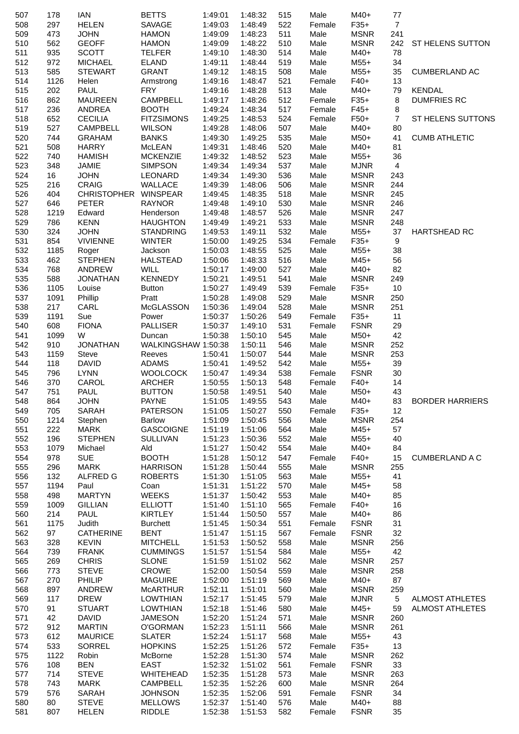| 507        | 178         | <b>IAN</b>                  | <b>BETTS</b>           | 1:49:01            | 1:48:32            | 515        | Male           | M40+                       | 77               |                        |
|------------|-------------|-----------------------------|------------------------|--------------------|--------------------|------------|----------------|----------------------------|------------------|------------------------|
| 508        | 297         | <b>HELEN</b>                | SAVAGE                 | 1:49:03            | 1:48:49            | 522        | Female         | $F35+$                     | $\overline{7}$   |                        |
| 509        | 473         | <b>JOHN</b>                 | <b>HAMON</b>           | 1:49:09            | 1:48:23            | 511        | Male           | <b>MSNR</b>                | 241              |                        |
| 510        | 562         | <b>GEOFF</b>                | <b>HAMON</b>           | 1:49:09            | 1:48:22            | 510        | Male           | <b>MSNR</b>                | 242              | ST HELENS SUTTON       |
| 511        | 935         | <b>SCOTT</b>                | <b>TELFER</b>          | 1:49:10            | 1:48:30            | 514        | Male           | M40+                       | 78               |                        |
| 512        | 972         | <b>MICHAEL</b>              | ELAND                  | 1:49:11            | 1:48:44            | 519        | Male           | $M55+$                     | 34               |                        |
| 513        | 585         | <b>STEWART</b>              | <b>GRANT</b>           | 1:49:12            | 1:48:15            | 508        | Male           | $M55+$                     | 35               | <b>CUMBERLAND AC</b>   |
| 514        | 1126        | Helen                       | Armstrong              | 1:49:16            | 1:48:47            | 521        | Female         | $F40+$                     | 13               |                        |
| 515        | 202         | <b>PAUL</b>                 | <b>FRY</b>             | 1:49:16            | 1:48:28            | 513        | Male           | M40+                       | 79               | <b>KENDAL</b>          |
| 516        | 862         | <b>MAUREEN</b>              | <b>CAMPBELL</b>        | 1:49:17            | 1:48:26            | 512        | Female         | $F35+$                     | 8                | <b>DUMFRIES RC</b>     |
| 517        | 236         | ANDREA                      | <b>BOOTH</b>           | 1:49:24            | 1:48:34            | 517        | Female         | $F45+$                     | $\bf 8$          |                        |
| 518        | 652         | <b>CECILIA</b>              | <b>FITZSIMONS</b>      | 1:49:25            | 1:48:53            | 524        | Female         | $F50+$                     | $\overline{7}$   | ST HELENS SUTTONS      |
| 519        | 527         | CAMPBELL                    | <b>WILSON</b>          | 1:49:28            | 1:48:06            | 507        | Male           | $M40+$                     | 80               |                        |
| 520        | 744         | <b>GRAHAM</b>               | <b>BANKS</b>           | 1:49:30            | 1:49:25            | 535        | Male           | $M50+$                     | 41               | <b>CUMB ATHLETIC</b>   |
| 521        | 508         | <b>HARRY</b>                | McLEAN                 | 1:49:31            | 1:48:46            | 520        | Male           | M40+                       | 81               |                        |
| 522        | 740         | <b>HAMISH</b>               | <b>MCKENZIE</b>        | 1:49:32            | 1:48:52            | 523        | Male           | $M55+$                     | 36               |                        |
| 523        | 348         | <b>JAMIE</b>                | <b>SIMPSON</b>         | 1:49:34            | 1:49:34            | 537        | Male           | <b>MJNR</b>                | $\overline{4}$   |                        |
| 524<br>525 | 16<br>216   | <b>JOHN</b><br><b>CRAIG</b> | LEONARD<br>WALLACE     | 1:49:34<br>1:49:39 | 1:49:30<br>1:48:06 | 536<br>506 | Male<br>Male   | <b>MSNR</b><br><b>MSNR</b> | 243<br>244       |                        |
|            | 404         | CHRISTOPHER WINSPEAR        |                        |                    | 1:48:35            | 518        | Male           | <b>MSNR</b>                | 245              |                        |
| 526<br>527 | 646         | <b>PETER</b>                | <b>RAYNOR</b>          | 1:49:45<br>1:49:48 |                    | 530        | Male           | <b>MSNR</b>                | 246              |                        |
| 528        | 1219        | Edward                      | Henderson              | 1:49:48            | 1:49:10<br>1:48:57 | 526        | Male           | <b>MSNR</b>                | 247              |                        |
| 529        | 786         | <b>KENN</b>                 | <b>HAUGHTON</b>        | 1:49:49            | 1:49:21            | 533        | Male           | <b>MSNR</b>                | 248              |                        |
| 530        | 324         | <b>JOHN</b>                 | <b>STANDRING</b>       | 1:49:53            | 1:49:11            | 532        | Male           | $M55+$                     | 37               | <b>HARTSHEAD RC</b>    |
| 531        | 854         | <b>VIVIENNE</b>             | <b>WINTER</b>          | 1:50:00            | 1:49:25            | 534        | Female         | $F35+$                     | $\boldsymbol{9}$ |                        |
| 532        | 1185        | Roger                       | Jackson                | 1:50:03            | 1:48:55            | 525        | Male           | $M55+$                     | 38               |                        |
| 533        | 462         | <b>STEPHEN</b>              | <b>HALSTEAD</b>        | 1:50:06            | 1:48:33            | 516        | Male           | $M45+$                     | 56               |                        |
| 534        | 768         | ANDREW                      | <b>WILL</b>            | 1:50:17            | 1:49:00            | 527        | Male           | M40+                       | 82               |                        |
| 535        | 588         | <b>JONATHAN</b>             | <b>KENNEDY</b>         | 1:50:21            | 1:49:51            | 541        | Male           | <b>MSNR</b>                | 249              |                        |
| 536        | 1105        | Louise                      | <b>Button</b>          | 1:50:27            | 1:49:49            | 539        | Female         | $F35+$                     | 10               |                        |
| 537        | 1091        | Phillip                     | Pratt                  | 1:50:28            | 1:49:08            | 529        | Male           | <b>MSNR</b>                | 250              |                        |
| 538        | 217         | CARL                        | McGLASSON              | 1:50:36            | 1:49:04            | 528        | Male           | <b>MSNR</b>                | 251              |                        |
| 539        | 1191        | Sue                         | Power                  | 1:50:37            | 1:50:26            | 549        | Female         | $F35+$                     | 11               |                        |
| 540        | 608         | <b>FIONA</b>                | <b>PALLISER</b>        | 1:50:37            | 1:49:10            | 531        | Female         | <b>FSNR</b>                | 29               |                        |
| 541        | 1099        | W                           | Duncan                 | 1:50:38            | 1:50:10            | 545        | Male           | $M50+$                     | 42               |                        |
| 542        | 910         | <b>JONATHAN</b>             | WALKINGSHAW 1:50:38    |                    | 1:50:11            | 546        | Male           | <b>MSNR</b>                | 252              |                        |
| 543        | 1159        | Steve                       | Reeves                 | 1:50:41            | 1:50:07            | 544        | Male           | <b>MSNR</b>                | 253              |                        |
| 544        | 118         | <b>DAVID</b>                | ADAMS                  | 1:50:41            | 1:49:52            | 542        | Male           | $M55+$                     | 39               |                        |
| 545        | 796         | <b>LYNN</b>                 | <b>WOOLCOCK</b>        | 1:50:47            | 1:49:34            | 538        | Female         | <b>FSNR</b>                | 30               |                        |
| 546        | 370         | CAROL                       | <b>ARCHER</b>          | 1:50:55            | 1:50:13            | 548        | Female         | $F40+$                     | 14               |                        |
| 547        | 751         | PAUL                        | <b>BUTTON</b>          | 1:50:58            | 1:49:51            | 540        | Male           | $M50+$                     | 43               |                        |
| 548        | 864         | <b>JOHN</b>                 | <b>PAYNE</b>           | 1:51:05  1:49:55   |                    | 543        | Male           | M40+                       | 83               | <b>BORDER HARRIERS</b> |
| 549        | 705         | SARAH                       | <b>PATERSON</b>        | 1:51:05            | 1:50:27            | 550        | Female         | $F35+$                     | 12               |                        |
| 550        | 1214        | Stephen                     | <b>Barlow</b>          | 1:51:09            | 1:50:45            | 556        | Male           | <b>MSNR</b>                | 254              |                        |
| 551        | 222         | <b>MARK</b>                 | GASCOIGNE              | 1:51:19            | 1:51:06            | 564        | Male           | $M45+$                     | 57               |                        |
| 552        | 196         | <b>STEPHEN</b>              | <b>SULLIVAN</b>        | 1:51:23            | 1:50:36            | 552        | Male           | $M55+$                     | 40               |                        |
| 553        | 1079        | Michael                     | Ald                    | 1:51:27            | 1:50:42            | 554        | Male           | M40+                       | 84               |                        |
| 554        | 978         | <b>SUE</b>                  | <b>BOOTH</b>           | 1:51:28            | 1:50:12            | 547        | Female         | $F40+$                     | 15               | <b>CUMBERLAND A C</b>  |
| 555        | 296         | MARK                        | <b>HARRISON</b>        | 1:51:28            | 1:50:44            | 555        | Male           | <b>MSNR</b>                | 255              |                        |
| 556        | 132         | ALFRED G                    | <b>ROBERTS</b>         | 1:51:30            | 1:51:05            | 563        | Male           | $M55+$                     | 41               |                        |
| 557        | 1194        | Paul                        | Coan                   | 1:51:31            | 1:51:22            | 570        | Male           | $M45+$                     | 58               |                        |
| 558        | 498         | <b>MARTYN</b>               | <b>WEEKS</b>           | 1:51:37            | 1:50:42            | 553        | Male           | M40+                       | 85               |                        |
| 559        | 1009        | <b>GILLIAN</b>              | <b>ELLIOTT</b>         | 1:51:40            | 1:51:10            | 565        | Female         | $F40+$                     | 16               |                        |
| 560        | 214         | <b>PAUL</b>                 | KIRTLEY                | 1:51:44            | 1:50:50            | 557        | Male           | M40+                       | 86               |                        |
| 561        | 1175        | Judith                      | <b>Burchett</b>        | 1:51:45            | 1:50:34            | 551        | Female         | <b>FSNR</b>                | 31               |                        |
| 562        | 97          | <b>CATHERINE</b>            | <b>BENT</b>            | 1:51:47            | 1:51:15            | 567        | Female         | <b>FSNR</b>                | 32               |                        |
| 563        | 328         | <b>KEVIN</b>                | <b>MITCHELL</b>        | 1:51:53            | 1:50:52            | 558        | Male           | <b>MSNR</b>                | 256              |                        |
| 564        | 739         | <b>FRANK</b>                | <b>CUMMINGS</b>        | 1:51:57            | 1:51:54            | 584        | Male           | $M55+$                     | 42               |                        |
| 565        | 269         | <b>CHRIS</b>                | <b>SLONE</b>           | 1:51:59            | 1:51:02            | 562        | Male           | <b>MSNR</b>                | 257              |                        |
| 566        | 773         | <b>STEVE</b>                | <b>CROWE</b>           | 1:52:00            | 1:50:54            | 559        | Male           | <b>MSNR</b>                | 258              |                        |
| 567        | 270         | PHILIP                      | <b>MAGUIRE</b>         | 1:52:00            | 1:51:19            | 569        | Male           | M40+                       | 87               |                        |
| 568        | 897         | ANDREW                      | <b>MCARTHUR</b>        | 1:52:11            | 1:51:01            | 560        | Male           | <b>MSNR</b>                | 259              |                        |
| 569        | 117         | <b>DREW</b>                 | <b>LOWTHIAN</b>        | 1:52:17            | 1:51:45            | 579        | Male           | <b>MJNR</b>                | $\overline{5}$   | <b>ALMOST ATHLETES</b> |
| 570        | 91          | <b>STUART</b>               | <b>LOWTHIAN</b>        | 1:52:18            | 1:51:46            | 580        | Male           | M45+                       | 59               | <b>ALMOST ATHLETES</b> |
| 571        | 42          | <b>DAVID</b>                | JAMESON                | 1:52:20            | 1:51:24            | 571        | Male           | <b>MSNR</b>                | 260              |                        |
| 572        | 912         | <b>MARTIN</b>               | O'GORMAN               | 1:52:23            | 1:51:11            | 566        | Male           | <b>MSNR</b>                | 261              |                        |
| 573        | 612         | <b>MAURICE</b>              | <b>SLATER</b>          | 1:52:24            | 1:51:17            | 568        | Male           | $M55+$                     | 43               |                        |
| 574        | 533         | <b>SORREL</b>               | <b>HOPKINS</b>         | 1:52:25            | 1:51:26            | 572        | Female         | $F35+$                     | 13               |                        |
| 575        | 1122<br>108 | Robin<br><b>BEN</b>         | McBorne<br><b>EAST</b> | 1:52:28<br>1:52:32 | 1:51:30            | 574        | Male<br>Female | <b>MSNR</b><br><b>FSNR</b> | 262<br>33        |                        |
| 576<br>577 | 714         | <b>STEVE</b>                | WHITEHEAD              | 1:52:35            | 1:51:02<br>1:51:28 | 561<br>573 | Male           | <b>MSNR</b>                | 263              |                        |
| 578        | 743         | <b>MARK</b>                 | CAMPBELL               | 1:52:35            | 1:52:26            | 600        | Male           | <b>MSNR</b>                | 264              |                        |
| 579        | 576         | SARAH                       | <b>JOHNSON</b>         | 1:52:35            | 1:52:06            | 591        | Female         | <b>FSNR</b>                | 34               |                        |
| 580        | 80          | <b>STEVE</b>                | <b>MELLOWS</b>         | 1:52:37            | 1:51:40            | 576        | Male           | M40+                       | 88               |                        |
| 581        | 807         | <b>HELEN</b>                | <b>RIDDLE</b>          | 1:52:38            | 1:51:53            | 582        | Female         | <b>FSNR</b>                | 35               |                        |
|            |             |                             |                        |                    |                    |            |                |                            |                  |                        |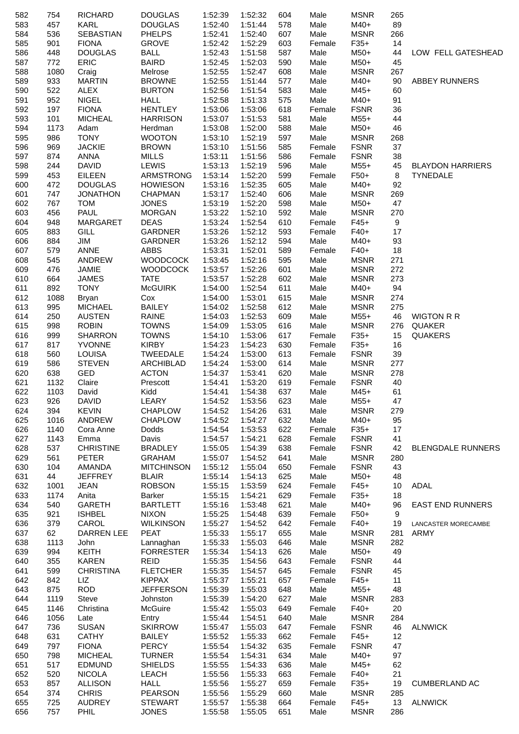| 582        | 754  | <b>RICHARD</b>         | <b>DOUGLAS</b>            | 1:52:39 | 1:52:32 | 604 | Male         | <b>MSNR</b> | 265              |                          |
|------------|------|------------------------|---------------------------|---------|---------|-----|--------------|-------------|------------------|--------------------------|
| 583        | 457  | KARL                   | <b>DOUGLAS</b>            | 1:52:40 | 1:51:44 | 578 | Male         | M40+        | 89               |                          |
| 584        | 536  | <b>SEBASTIAN</b>       | <b>PHELPS</b>             | 1:52:41 | 1:52:40 | 607 | Male         | <b>MSNR</b> | 266              |                          |
| 585        | 901  | <b>FIONA</b>           | <b>GROVE</b>              | 1:52:42 | 1:52:29 | 603 | Female       | $F35+$      | 14               |                          |
| 586        | 448  | <b>DOUGLAS</b>         | <b>BALL</b>               | 1:52:43 | 1:51:58 | 587 | Male         | $M50+$      | 44               | LOW FELL GATESHEAD       |
| 587        | 772  | ERIC                   | <b>BAIRD</b>              | 1:52:45 | 1:52:03 | 590 | Male         | M50+        | 45               |                          |
| 588        | 1080 | Craig                  | Melrose                   | 1:52:55 | 1:52:47 | 608 | Male         | <b>MSNR</b> | 267              |                          |
| 589        | 933  | <b>MARTIN</b>          | <b>BROWNE</b>             | 1:52:55 | 1:51:44 | 577 | Male         | $M40+$      | 90               | ABBEY RUNNERS            |
| 590        | 522  | <b>ALEX</b>            | <b>BURTON</b>             | 1:52:56 | 1:51:54 | 583 | Male         | M45+        | 60               |                          |
| 591        | 952  | <b>NIGEL</b>           | <b>HALL</b>               | 1:52:58 | 1:51:33 | 575 | Male         | $M40+$      | 91               |                          |
| 592        | 197  | <b>FIONA</b>           | <b>HENTLEY</b>            | 1:53:06 | 1:53:06 | 618 | Female       | <b>FSNR</b> | 36               |                          |
| 593        | 101  | <b>MICHEAL</b>         | <b>HARRISON</b>           | 1:53:07 | 1:51:53 | 581 | Male         | $M55+$      | 44               |                          |
| 594        | 1173 | Adam                   | Herdman                   | 1:53:08 | 1:52:00 | 588 | Male         | $M50+$      | 46               |                          |
| 595        | 986  | <b>TONY</b>            | <b>WOOTON</b>             | 1:53:10 | 1:52:19 | 597 | Male         | <b>MSNR</b> | 268              |                          |
| 596        | 969  | <b>JACKIE</b>          | <b>BROWN</b>              | 1:53:10 | 1:51:56 | 585 | Female       | <b>FSNR</b> | 37               |                          |
| 597        | 874  | ANNA                   | MILLS                     | 1:53:11 | 1:51:56 | 586 | Female       | <b>FSNR</b> | 38               |                          |
| 598        | 244  | <b>DAVID</b>           | LEWIS                     | 1:53:13 | 1:52:19 | 596 | Male         | $M55+$      | 45               | <b>BLAYDON HARRIERS</b>  |
| 599        | 453  | <b>EILEEN</b>          | ARMSTRONG                 | 1:53:14 | 1:52:20 | 599 | Female       | $F50+$      | 8                | <b>TYNEDALE</b>          |
| 600        | 472  | <b>DOUGLAS</b>         | <b>HOWIESON</b>           | 1:53:16 | 1:52:35 | 605 | Male         | $M40+$      | 92               |                          |
|            | 747  | <b>JONATHON</b>        | <b>CHAPMAN</b>            | 1:53:17 | 1:52:40 | 606 |              | <b>MSNR</b> |                  |                          |
| 601<br>602 | 767  | <b>TOM</b>             | <b>JONES</b>              | 1:53:19 | 1:52:20 | 598 | Male<br>Male | M50+        | 269<br>47        |                          |
| 603        | 456  | <b>PAUL</b>            | <b>MORGAN</b>             | 1:53:22 | 1:52:10 | 592 | Male         | <b>MSNR</b> |                  |                          |
|            |      |                        |                           |         | 1:52:54 |     |              |             | 270              |                          |
| 604        | 948  | <b>MARGARET</b>        | <b>DEAS</b>               | 1:53:24 |         | 610 | Female       | $F45+$      | $\boldsymbol{9}$ |                          |
| 605        | 883  | GILL                   | GARDNER                   | 1:53:26 | 1:52:12 | 593 | Female       | $F40+$      | 17               |                          |
| 606        | 884  | JIM                    | GARDNER                   | 1:53:26 | 1:52:12 | 594 | Male         | M40+        | 93               |                          |
| 607        | 579  | <b>ANNE</b>            | <b>ABBS</b>               | 1:53:31 | 1:52:01 | 589 | Female       | $F40+$      | 18               |                          |
| 608        | 545  | ANDREW                 | <b>WOODCOCK</b>           | 1:53:45 | 1:52:16 | 595 | Male         | <b>MSNR</b> | 271              |                          |
| 609        | 476  | JAMIE                  | <b>WOODCOCK</b>           | 1:53:57 | 1:52:26 | 601 | Male         | <b>MSNR</b> | 272              |                          |
| 610        | 664  | <b>JAMES</b>           | <b>TATE</b>               | 1:53:57 | 1:52:28 | 602 | Male         | <b>MSNR</b> | 273              |                          |
| 611        | 892  | <b>TONY</b>            | <b>McGUIRK</b>            | 1:54:00 | 1:52:54 | 611 | Male         | $M40+$      | 94               |                          |
| 612        | 1088 | Bryan                  | Cox                       | 1:54:00 | 1:53:01 | 615 | Male         | <b>MSNR</b> | 274              |                          |
| 613        | 995  | <b>MICHAEL</b>         | <b>BAILEY</b>             | 1:54:02 | 1:52:58 | 612 | Male         | <b>MSNR</b> | 275              |                          |
| 614        | 250  | <b>AUSTEN</b>          | <b>RAINE</b>              | 1:54:03 | 1:52:53 | 609 | Male         | $M55+$      | 46               | <b>WIGTON R R</b>        |
| 615        | 998  | <b>ROBIN</b>           | <b>TOWNS</b>              | 1:54:09 | 1:53:05 | 616 | Male         | <b>MSNR</b> | 276              | QUAKER                   |
| 616        | 999  | <b>SHARRON</b>         | <b>TOWNS</b>              | 1:54:10 | 1:53:06 | 617 | Female       | $F35+$      | 15               | <b>QUAKERS</b>           |
| 617        | 817  | <b>YVONNE</b>          | <b>KIRBY</b>              | 1:54:23 | 1:54:23 | 630 | Female       | $F35+$      | 16               |                          |
| 618        | 560  | <b>LOUISA</b>          | TWEEDALE                  | 1:54:24 | 1:53:00 | 613 | Female       | <b>FSNR</b> | 39               |                          |
| 619        | 586  | <b>STEVEN</b>          | <b>ARCHIBLAD</b>          | 1:54:24 | 1:53:00 | 614 | Male         | <b>MSNR</b> | 277              |                          |
| 620        | 638  | GED                    | <b>ACTON</b>              | 1:54:37 | 1:53:41 | 620 | Male         | <b>MSNR</b> | 278              |                          |
| 621        | 1132 | Claire                 | Prescott                  | 1:54:41 | 1:53:20 | 619 | Female       | <b>FSNR</b> | 40               |                          |
| 622        | 1103 | David                  | Kidd                      | 1:54:41 | 1:54:38 | 637 | Male         | $M45+$      | 61               |                          |
| 623        | 926  | <b>DAVID</b>           | LEARY                     | 1:54:52 | 1:53:56 | 623 | Male         | $M55+$      | 47               |                          |
| 624        | 394  | <b>KEVIN</b>           | <b>CHAPLOW</b>            | 1:54:52 | 1:54:26 | 631 | Male         | <b>MSNR</b> | 279              |                          |
| 625        | 1016 | ANDREW                 | <b>CHAPLOW</b>            | 1:54:52 | 1:54:27 | 632 | Male         | M40+        | 95               |                          |
| 626        | 1140 | Cora Anne              | Dodds                     | 1:54:54 | 1:53:53 | 622 | Female       | $F35+$      | 17               |                          |
| 627        | 1143 | Emma                   | Davis                     | 1:54:57 | 1:54:21 | 628 | Female       | <b>FSNR</b> | 41               |                          |
| 628        | 537  | <b>CHRISTINE</b>       | <b>BRADLEY</b>            | 1:55:05 | 1:54:39 | 638 | Female       | <b>FSNR</b> | 42               | <b>BLENGDALE RUNNERS</b> |
| 629        | 561  | <b>PETER</b>           | <b>GRAHAM</b>             | 1:55:07 | 1:54:52 | 641 | Male         | <b>MSNR</b> | 280              |                          |
| 630        | 104  | AMANDA                 | <b>MITCHINSON</b>         | 1:55:12 | 1:55:04 | 650 | Female       | <b>FSNR</b> | 43               |                          |
| 631        | 44   | <b>JEFFREY</b>         | <b>BLAIR</b>              | 1:55:14 | 1:54:13 | 625 | Male         | M50+        | 48               |                          |
| 632        | 1001 | <b>JEAN</b>            | <b>ROBSON</b>             | 1:55:15 | 1:53:59 | 624 | Female       | $F45+$      | 10               | ADAL                     |
| 633        | 1174 |                        |                           | 1:55:15 | 1:54:21 | 629 | Female       | $F35+$      | 18               |                          |
| 634        | 540  | Anita<br><b>GARETH</b> | Barker<br><b>BARTLETT</b> | 1:55:16 | 1:53:48 | 621 | Male         | M40+        | 96               | <b>EAST END RUNNERS</b>  |
|            | 921  |                        | <b>NIXON</b>              | 1:55:25 |         | 639 | Female       | F50+        | 9                |                          |
| 635        |      | <b>ISHBEL</b>          |                           |         | 1:54:48 |     |              |             |                  |                          |
| 636        | 379  | CAROL                  | <b>WILKINSON</b>          | 1:55:27 | 1:54:52 | 642 | Female       | $F40+$      | 19               | LANCASTER MORECAMBE      |
| 637        | 62   | DARREN LEE             | <b>PEAT</b>               | 1:55:33 | 1:55:17 | 655 | Male         | <b>MSNR</b> | 281              | ARMY                     |
| 638        | 1113 | John                   | Lannaghan                 | 1:55:33 | 1:55:03 | 646 | Male         | <b>MSNR</b> | 282              |                          |
| 639        | 994  | <b>KEITH</b>           | <b>FORRESTER</b>          | 1:55:34 | 1:54:13 | 626 | Male         | M50+        | 49               |                          |
| 640        | 355  | <b>KAREN</b>           | <b>REID</b>               | 1:55:35 | 1:54:56 | 643 | Female       | <b>FSNR</b> | 44               |                          |
| 641        | 599  | <b>CHRISTINA</b>       | <b>FLETCHER</b>           | 1:55:35 | 1:54:57 | 645 | Female       | <b>FSNR</b> | 45               |                          |
| 642        | 842  | LIZ                    | <b>KIPPAX</b>             | 1:55:37 | 1:55:21 | 657 | Female       | $F45+$      | 11               |                          |
| 643        | 875  | <b>ROD</b>             | <b>JEFFERSON</b>          | 1:55:39 | 1:55:03 | 648 | Male         | $M55+$      | 48               |                          |
| 644        | 1119 | <b>Steve</b>           | Johnston                  | 1:55:39 | 1:54:20 | 627 | Male         | <b>MSNR</b> | 283              |                          |
| 645        | 1146 | Christina              | McGuire                   | 1:55:42 | 1:55:03 | 649 | Female       | $F40+$      | 20               |                          |
| 646        | 1056 | Late                   | Entry                     | 1:55:44 | 1:54:51 | 640 | Male         | <b>MSNR</b> | 284              |                          |
| 647        | 736  | <b>SUSAN</b>           | <b>SKIRROW</b>            | 1:55:47 | 1:55:03 | 647 | Female       | <b>FSNR</b> | 46               | <b>ALNWICK</b>           |
| 648        | 631  | <b>CATHY</b>           | <b>BAILEY</b>             | 1:55:52 | 1:55:33 | 662 | Female       | $F45+$      | 12               |                          |
| 649        | 797  | <b>FIONA</b>           | <b>PERCY</b>              | 1:55:54 | 1:54:32 | 635 | Female       | <b>FSNR</b> | 47               |                          |
| 650        | 798  | <b>MICHEAL</b>         | <b>TURNER</b>             | 1:55:54 | 1:54:31 | 634 | Male         | M40+        | 97               |                          |
| 651        | 517  | <b>EDMUND</b>          | <b>SHIELDS</b>            | 1:55:55 | 1:54:33 | 636 | Male         | M45+        | 62               |                          |
| 652        | 520  | <b>NICOLA</b>          | <b>LEACH</b>              | 1:55:56 | 1:55:33 | 663 | Female       | $F40+$      | 21               |                          |
| 653        | 857  | <b>ALLISON</b>         | <b>HALL</b>               | 1:55:56 | 1:55:27 | 659 | Female       | $F35+$      | 19               | <b>CUMBERLAND AC</b>     |
| 654        | 374  | <b>CHRIS</b>           | <b>PEARSON</b>            | 1:55:56 | 1:55:29 | 660 | Male         | <b>MSNR</b> | 285              |                          |
| 655        | 725  | <b>AUDREY</b>          | <b>STEWART</b>            | 1:55:57 | 1:55:38 | 664 | Female       | $F45+$      | 13               | <b>ALNWICK</b>           |
| 656        | 757  | PHIL                   | <b>JONES</b>              | 1:55:58 | 1:55:05 | 651 | Male         | <b>MSNR</b> | 286              |                          |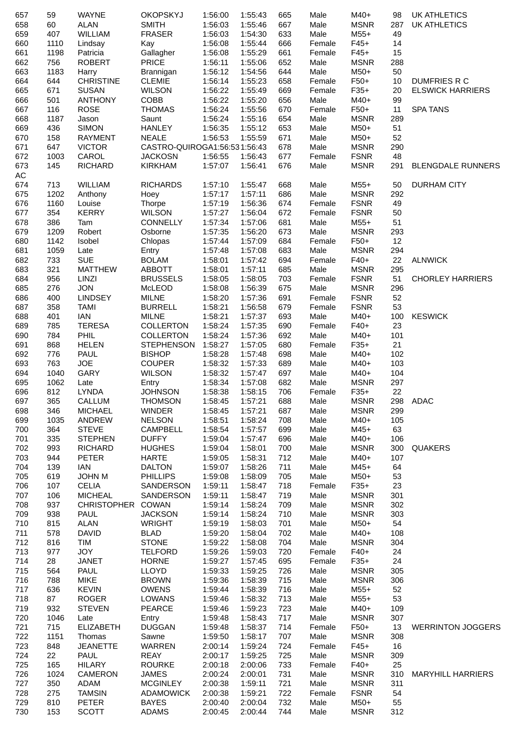| 657 | 59   | <b>WAYNE</b>      | <b>OKOPSKYJ</b>              | 1:56:00 | 1:55:43 | 665 | Male   | M40+        | 98        | <b>UK ATHLETICS</b>      |
|-----|------|-------------------|------------------------------|---------|---------|-----|--------|-------------|-----------|--------------------------|
| 658 | 60   | <b>ALAN</b>       | <b>SMITH</b>                 | 1:56:03 | 1:55:46 | 667 | Male   | <b>MSNR</b> | 287       | <b>UK ATHLETICS</b>      |
| 659 | 407  | <b>WILLIAM</b>    | <b>FRASER</b>                | 1:56:03 | 1:54:30 | 633 | Male   | $M55+$      | 49        |                          |
| 660 | 1110 | Lindsay           | Kay                          | 1:56:08 | 1:55:44 | 666 | Female | $F45+$      | 14        |                          |
| 661 | 1198 | Patricia          | Gallagher                    | 1:56:08 | 1:55:29 | 661 | Female | $F45+$      | 15        |                          |
| 662 | 756  | <b>ROBERT</b>     | <b>PRICE</b>                 | 1:56:11 | 1:55:06 | 652 | Male   | <b>MSNR</b> | 288       |                          |
| 663 | 1183 | Harry             | Brannigan                    | 1:56:12 | 1:54:56 | 644 | Male   | M50+        | 50        |                          |
| 664 | 644  | <b>CHRISTINE</b>  | <b>CLEMIE</b>                | 1:56:14 | 1:55:23 | 658 | Female | F50+        | 10        | <b>DUMFRIES R C</b>      |
| 665 | 671  | <b>SUSAN</b>      | <b>WILSON</b>                | 1:56:22 | 1:55:49 | 669 | Female | $F35+$      | 20        | <b>ELSWICK HARRIERS</b>  |
| 666 | 501  | <b>ANTHONY</b>    | COBB                         | 1:56:22 | 1:55:20 | 656 | Male   | M40+        | 99        |                          |
| 667 | 116  | <b>ROSE</b>       | <b>THOMAS</b>                | 1:56:24 | 1:55:56 | 670 | Female | $F50+$      | 11        | <b>SPA TANS</b>          |
| 668 | 1187 | Jason             | Saunt                        | 1:56:24 | 1:55:16 | 654 | Male   | <b>MSNR</b> |           |                          |
|     |      |                   |                              |         | 1:55:12 |     |        |             | 289<br>51 |                          |
| 669 | 436  | <b>SIMON</b>      | <b>HANLEY</b>                | 1:56:35 |         | 653 | Male   | M50+        |           |                          |
| 670 | 158  | <b>RAYMENT</b>    | <b>NEALE</b>                 | 1:56:53 | 1:55:59 | 671 | Male   | M50+        | 52        |                          |
| 671 | 647  | <b>VICTOR</b>     | CASTRO-QUIROGA1:56:531:56:43 |         |         | 678 | Male   | <b>MSNR</b> | 290       |                          |
| 672 | 1003 | CAROL             | <b>JACKOSN</b>               | 1:56:55 | 1:56:43 | 677 | Female | <b>FSNR</b> | 48        |                          |
| 673 | 145  | <b>RICHARD</b>    | <b>KIRKHAM</b>               | 1:57:07 | 1:56:41 | 676 | Male   | <b>MSNR</b> | 291       | <b>BLENGDALE RUNNERS</b> |
| AC  |      |                   |                              |         |         |     |        |             |           |                          |
| 674 | 713  | <b>WILLIAM</b>    | <b>RICHARDS</b>              | 1:57:10 | 1:55:47 | 668 | Male   | $M55+$      | 50        | <b>DURHAM CITY</b>       |
| 675 | 1202 | Anthony           | Hoey                         | 1:57:17 | 1:57:11 | 686 | Male   | <b>MSNR</b> | 292       |                          |
| 676 | 1160 | Louise            | Thorpe                       | 1:57:19 | 1:56:36 | 674 | Female | <b>FSNR</b> | 49        |                          |
| 677 | 354  | <b>KERRY</b>      | <b>WILSON</b>                | 1:57:27 | 1:56:04 | 672 | Female | <b>FSNR</b> | 50        |                          |
| 678 | 386  | Tam               | <b>CONNELLY</b>              | 1:57:34 | 1:57:06 | 681 | Male   | $M55+$      | 51        |                          |
| 679 | 1209 | Robert            | Osborne                      | 1:57:35 | 1:56:20 | 673 | Male   | <b>MSNR</b> | 293       |                          |
| 680 | 1142 | Isobel            | Chlopas                      | 1:57:44 | 1:57:09 | 684 | Female | $F50+$      | 12        |                          |
| 681 | 1059 | Late              | Entry                        | 1:57:48 | 1:57:08 | 683 | Male   | <b>MSNR</b> | 294       |                          |
| 682 | 733  | <b>SUE</b>        | <b>BOLAM</b>                 | 1:58:01 | 1:57:42 | 694 | Female | $F40+$      | 22        | <b>ALNWICK</b>           |
| 683 | 321  | <b>MATTHEW</b>    | <b>ABBOTT</b>                | 1:58:01 | 1:57:11 | 685 | Male   | <b>MSNR</b> | 295       |                          |
| 684 | 956  | LINZI             | <b>BRUSSELS</b>              | 1:58:05 | 1:58:05 | 703 | Female | <b>FSNR</b> | 51        | <b>CHORLEY HARRIERS</b>  |
| 685 | 276  | <b>JON</b>        | McLEOD                       | 1:58:08 | 1:56:39 | 675 | Male   | <b>MSNR</b> | 296       |                          |
| 686 | 400  | <b>LINDSEY</b>    | <b>MILNE</b>                 | 1:58:20 | 1:57:36 | 691 | Female | <b>FSNR</b> | 52        |                          |
| 687 | 358  | <b>TAMI</b>       | <b>BURRELL</b>               | 1:58:21 | 1:56:58 | 679 | Female | <b>FSNR</b> | 53        |                          |
| 688 | 401  | <b>IAN</b>        | <b>MILNE</b>                 | 1:58:21 | 1:57:37 | 693 | Male   | M40+        | 100       | <b>KESWICK</b>           |
| 689 | 785  | <b>TERESA</b>     | <b>COLLERTON</b>             | 1:58:24 | 1:57:35 | 690 | Female | $F40+$      | 23        |                          |
| 690 | 784  | PHIL              | <b>COLLERTON</b>             | 1:58:24 |         | 692 | Male   | M40+        | 101       |                          |
|     |      |                   |                              |         | 1:57:36 |     |        |             | 21        |                          |
| 691 | 868  | <b>HELEN</b>      | <b>STEPHENSON</b>            | 1:58:27 | 1:57:05 | 680 | Female | $F35+$      |           |                          |
| 692 | 776  | PAUL              | <b>BISHOP</b>                | 1:58:28 | 1:57:48 | 698 | Male   | M40+        | 102       |                          |
| 693 | 763  | <b>JOE</b>        | <b>COUPER</b>                | 1:58:32 | 1:57:33 | 689 | Male   | M40+        | 103       |                          |
| 694 | 1040 | GARY              | <b>WILSON</b>                | 1:58:32 | 1:57:47 | 697 | Male   | M40+        | 104       |                          |
| 695 | 1062 | Late              | Entry                        | 1:58:34 | 1:57:08 | 682 | Male   | <b>MSNR</b> | 297       |                          |
| 696 | 812  | <b>LYNDA</b>      | <b>JOHNSON</b>               | 1:58:38 | 1:58:15 | 706 | Female | $F35+$      | 22        |                          |
| 697 | 365  | CALLUM            | <b>THOMSON</b>               | 1:58:45 | 1:57:21 | 688 | Male   | <b>MSNR</b> |           | 298 ADAC                 |
| 698 | 346  | <b>MICHAEL</b>    | <b>WINDER</b>                | 1:58:45 | 1:57:21 | 687 | Male   | <b>MSNR</b> | 299       |                          |
| 699 | 1035 | ANDREW            | <b>NELSON</b>                | 1:58:51 | 1:58:24 | 708 | Male   | M40+        | 105       |                          |
| 700 | 364  | <b>STEVE</b>      | <b>CAMPBELL</b>              | 1:58:54 | 1:57:57 | 699 | Male   | $M45+$      | 63        |                          |
| 701 | 335  | <b>STEPHEN</b>    | <b>DUFFY</b>                 | 1:59:04 | 1:57:47 | 696 | Male   | M40+        | 106       |                          |
| 702 | 993  | <b>RICHARD</b>    | <b>HUGHES</b>                | 1:59:04 | 1:58:01 | 700 | Male   | <b>MSNR</b> | 300       | <b>QUAKERS</b>           |
| 703 | 944  | <b>PETER</b>      | <b>HARTE</b>                 | 1:59:05 | 1:58:31 | 712 | Male   | M40+        | 107       |                          |
| 704 | 139  | IAN               | <b>DALTON</b>                | 1:59:07 | 1:58:26 | 711 | Male   | $M45+$      | 64        |                          |
| 705 | 619  | <b>JOHN M</b>     | <b>PHILLIPS</b>              | 1:59:08 | 1:58:09 | 705 | Male   | M50+        | 53        |                          |
| 706 | 107  | <b>CELIA</b>      | SANDERSON                    | 1:59:11 | 1:58:47 | 718 | Female | $F35+$      | 23        |                          |
| 707 | 106  | <b>MICHEAL</b>    | SANDERSON                    | 1:59:11 | 1:58:47 | 719 | Male   | <b>MSNR</b> | 301       |                          |
| 708 | 937  | CHRISTOPHER COWAN |                              | 1:59:14 | 1:58:24 | 709 | Male   | <b>MSNR</b> | 302       |                          |
| 709 | 938  | <b>PAUL</b>       | <b>JACKSON</b>               | 1:59:14 | 1:58:24 | 710 | Male   | <b>MSNR</b> | 303       |                          |
| 710 | 815  | <b>ALAN</b>       | <b>WRIGHT</b>                | 1:59:19 | 1:58:03 | 701 | Male   | M50+        | 54        |                          |
| 711 | 578  | <b>DAVID</b>      | <b>BLAD</b>                  | 1:59:20 | 1:58:04 | 702 | Male   | M40+        | 108       |                          |
| 712 | 816  | TIM               | <b>STONE</b>                 | 1:59:22 | 1:58:08 | 704 | Male   | <b>MSNR</b> | 304       |                          |
| 713 | 977  | <b>JOY</b>        | <b>TELFORD</b>               | 1:59:26 | 1:59:03 | 720 | Female | $F40+$      | 24        |                          |
| 714 | 28   | JANET             | <b>HORNE</b>                 | 1:59:27 | 1:57:45 | 695 | Female | $F35+$      | 24        |                          |
|     | 564  | PAUL              | <b>LLOYD</b>                 | 1:59:33 | 1:59:25 |     |        | <b>MSNR</b> |           |                          |
| 715 |      |                   |                              |         |         | 726 | Male   |             | 305       |                          |
| 716 | 788  | <b>MIKE</b>       | <b>BROWN</b>                 | 1:59:36 | 1:58:39 | 715 | Male   | <b>MSNR</b> | 306       |                          |
| 717 | 636  | <b>KEVIN</b>      | <b>OWENS</b>                 | 1:59:44 | 1:58:39 | 716 | Male   | $M55+$      | 52        |                          |
| 718 | 87   | <b>ROGER</b>      | LOWANS                       | 1:59:46 | 1:58:32 | 713 | Male   | $M55+$      | 53        |                          |
| 719 | 932  | <b>STEVEN</b>     | PEARCE                       | 1:59:46 | 1:59:23 | 723 | Male   | M40+        | 109       |                          |
| 720 | 1046 | Late              | Entry                        | 1:59:48 | 1:58:43 | 717 | Male   | <b>MSNR</b> | 307       |                          |
| 721 | 715  | <b>ELIZABETH</b>  | <b>DUGGAN</b>                | 1:59:48 | 1:58:37 | 714 | Female | $F50+$      | 13        | <b>WERRINTON JOGGERS</b> |
| 722 | 1151 | Thomas            | Sawne                        | 1:59:50 | 1:58:17 | 707 | Male   | <b>MSNR</b> | 308       |                          |
| 723 | 848  | <b>JEANETTE</b>   | WARREN                       | 2:00:14 | 1:59:24 | 724 | Female | $F45+$      | 16        |                          |
| 724 | 22   | <b>PAUL</b>       | REAY                         | 2:00:17 | 1:59:25 | 725 | Male   | <b>MSNR</b> | 309       |                          |
| 725 | 165  | <b>HILARY</b>     | <b>ROURKE</b>                | 2:00:18 | 2:00:06 | 733 | Female | $F40+$      | 25        |                          |
| 726 | 1024 | CAMERON           | <b>JAMES</b>                 | 2:00:24 | 2:00:01 | 731 | Male   | <b>MSNR</b> | 310       | <b>MARYHILL HARRIERS</b> |
| 727 | 350  | ADAM              | <b>MCGINLEY</b>              | 2:00:38 | 1:59:11 | 721 | Male   | <b>MSNR</b> | 311       |                          |
| 728 | 275  | <b>TAMSIN</b>     | ADAMOWICK                    | 2:00:38 | 1:59:21 | 722 | Female | <b>FSNR</b> | 54        |                          |
| 729 | 810  | <b>PETER</b>      | <b>BAYES</b>                 | 2:00:40 | 2:00:04 | 732 | Male   | $M50+$      | 55        |                          |
| 730 | 153  | <b>SCOTT</b>      | ADAMS                        | 2:00:45 | 2:00:44 | 744 | Male   | <b>MSNR</b> | 312       |                          |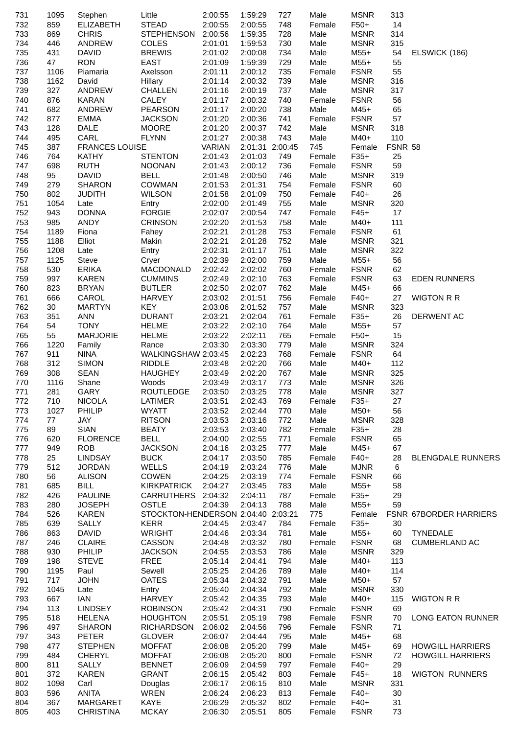| 731        | 1095 | Stephen               | Little                             | 2:00:55       | 1:59:29 | 727             | Male   | <b>MSNR</b> | 313     |                          |
|------------|------|-----------------------|------------------------------------|---------------|---------|-----------------|--------|-------------|---------|--------------------------|
| 732        | 859  | <b>ELIZABETH</b>      | <b>STEAD</b>                       | 2:00:55       | 2:00:55 | 748             | Female | $F50+$      | 14      |                          |
| 733        | 869  | <b>CHRIS</b>          | <b>STEPHENSON</b>                  | 2:00:56       | 1:59:35 | 728             | Male   | <b>MSNR</b> | 314     |                          |
| 734        | 446  | <b>ANDREW</b>         | COLES                              | 2:01:01       | 1:59:53 | 730             | Male   | <b>MSNR</b> | 315     |                          |
| 735        | 431  | <b>DAVID</b>          | <b>BREWIS</b>                      | 2:01:02       | 2:00:08 | 734             | Male   | $M55+$      | 54      | ELSWICK (186)            |
| 736        | 47   | <b>RON</b>            | <b>EAST</b>                        | 2:01:09       | 1:59:39 | 729             | Male   | $M55+$      | 55      |                          |
| 737        | 1106 | Piamaria              | Axelsson                           | 2:01:11       | 2:00:12 | 735             | Female | <b>FSNR</b> | 55      |                          |
| 738        | 1162 | David                 | Hillary                            | 2:01:14       | 2:00:32 | 739             | Male   | <b>MSNR</b> | 316     |                          |
| 739        | 327  | ANDREW                | <b>CHALLEN</b>                     | 2:01:16       | 2:00:19 | 737             | Male   | <b>MSNR</b> | 317     |                          |
| 740        | 876  | <b>KARAN</b>          | CALEY                              | 2:01:17       | 2:00:32 | 740             | Female | <b>FSNR</b> | 56      |                          |
| 741        | 682  | ANDREW                | <b>PEARSON</b>                     | 2:01:17       | 2:00:20 | 738             | Male   | M45+        | 65      |                          |
| 742        | 877  | <b>EMMA</b>           | <b>JACKSON</b>                     | 2:01:20       | 2:00:36 | 741             | Female | <b>FSNR</b> | 57      |                          |
| 743        | 128  | <b>DALE</b>           | <b>MOORE</b>                       | 2:01:20       | 2:00:37 | 742             | Male   | <b>MSNR</b> | 318     |                          |
| 744        | 495  | CARL                  | <b>FLYNN</b>                       | 2:01:27       | 2:00:38 | 743             | Male   | $M40+$      | 110     |                          |
| 745        | 387  | <b>FRANCES LOUISE</b> |                                    | <b>VARIAN</b> |         | 2:01:31 2:00:45 | 745    | Female      | FSNR 58 |                          |
| 746        | 764  | KATHY                 | <b>STENTON</b>                     | 2:01:43       | 2:01:03 | 749             | Female | $F35+$      | 25      |                          |
| 747        | 698  | <b>RUTH</b>           | <b>NOONAN</b>                      | 2:01:43       | 2:00:12 | 736             | Female | <b>FSNR</b> | 59      |                          |
| 748        | 95   | <b>DAVID</b>          | <b>BELL</b>                        | 2:01:48       | 2:00:50 | 746             | Male   | <b>MSNR</b> | 319     |                          |
| 749        | 279  | <b>SHARON</b>         | <b>COWMAN</b>                      | 2:01:53       | 2:01:31 | 754             | Female | <b>FSNR</b> | 60      |                          |
|            | 802  | <b>JUDITH</b>         | <b>WILSON</b>                      | 2:01:58       | 2:01:09 | 750             | Female | $F40+$      | 26      |                          |
| 750<br>751 | 1054 | Late                  |                                    | 2:02:00       | 2:01:49 | 755             | Male   | <b>MSNR</b> | 320     |                          |
|            | 943  | <b>DONNA</b>          | Entry<br><b>FORGIE</b>             |               |         | 747             |        | $F45+$      | 17      |                          |
| 752        |      |                       |                                    | 2:02:07       | 2:00:54 |                 | Female |             |         |                          |
| 753        | 985  | ANDY                  | <b>CRINSON</b>                     | 2:02:20       | 2:01:53 | 758             | Male   | M40+        | 111     |                          |
| 754        | 1189 | Fiona                 | Fahey                              | 2:02:21       | 2:01:28 | 753             | Female | <b>FSNR</b> | 61      |                          |
| 755        | 1188 | Elliot                | Makin                              | 2:02:21       | 2:01:28 | 752             | Male   | <b>MSNR</b> | 321     |                          |
| 756        | 1208 | Late                  | Entry                              | 2:02:31       | 2:01:17 | 751             | Male   | <b>MSNR</b> | 322     |                          |
| 757        | 1125 | Steve                 | Cryer                              | 2:02:39       | 2:02:00 | 759             | Male   | $M55+$      | 56      |                          |
| 758        | 530  | <b>ERIKA</b>          | MACDONALD                          | 2:02:42       | 2:02:02 | 760             | Female | <b>FSNR</b> | 62      |                          |
| 759        | 997  | <b>KAREN</b>          | <b>CUMMINS</b>                     | 2:02:49       | 2:02:10 | 763             | Female | <b>FSNR</b> | 63      | <b>EDEN RUNNERS</b>      |
| 760        | 823  | <b>BRYAN</b>          | <b>BUTLER</b>                      | 2:02:50       | 2:02:07 | 762             | Male   | M45+        | 66      |                          |
| 761        | 666  | CAROL                 | HARVEY                             | 2:03:02       | 2:01:51 | 756             | Female | $F40+$      | 27      | <b>WIGTON R R</b>        |
| 762        | 30   | <b>MARTYN</b>         | <b>KEY</b>                         | 2:03:06       | 2:01:52 | 757             | Male   | <b>MSNR</b> | 323     |                          |
| 763        | 351  | <b>ANN</b>            | <b>DURANT</b>                      | 2:03:21       | 2:02:04 | 761             | Female | $F35+$      | 26      | DERWENT AC               |
| 764        | 54   | <b>TONY</b>           | <b>HELME</b>                       | 2:03:22       | 2:02:10 | 764             | Male   | $M55+$      | 57      |                          |
| 765        | 55   | <b>MARJORIE</b>       | <b>HELME</b>                       | 2:03:22       | 2:02:11 | 765             | Female | F50+        | 15      |                          |
| 766        | 1220 | Family                | Rance                              | 2:03:30       | 2:03:30 | 779             | Male   | <b>MSNR</b> | 324     |                          |
| 767        | 911  | NINA                  | WALKINGSHAW 2:03:45                |               | 2:02:23 | 768             | Female | <b>FSNR</b> | 64      |                          |
| 768        | 312  | <b>SIMON</b>          | <b>RIDDLE</b>                      | 2:03:48       | 2:02:20 | 766             | Male   | $M40+$      | 112     |                          |
| 769        | 308  | <b>SEAN</b>           | <b>HAUGHEY</b>                     | 2:03:49       | 2:02:20 | 767             | Male   | <b>MSNR</b> | 325     |                          |
| 770        | 1116 | Shane                 | Woods                              | 2:03:49       | 2:03:17 | 773             | Male   | <b>MSNR</b> | 326     |                          |
| 771        | 281  | <b>GARY</b>           | <b>ROUTLEDGE</b>                   | 2:03:50       | 2:03:25 | 778             | Male   | <b>MSNR</b> | 327     |                          |
| 772        | 710  | <b>NICOLA</b>         | LATIMER                            | 2:03:51       | 2:02:43 | 769             | Female | $F35+$      | 27      |                          |
| 773        | 1027 | PHILIP                | <b>WYATT</b>                       | 2:03:52       | 2:02:44 | 770             | Male   | M50+        | 56      |                          |
| 774        | 77   | JAY                   | <b>RITSON</b>                      | 2:03:53       | 2:03:16 | 772             | Male   | <b>MSNR</b> | 328     |                          |
| 775        | 89   | <b>SIAN</b>           | <b>BEATY</b>                       | 2:03:53       | 2:03:40 | 782             | Female | $F35+$      | 28      |                          |
| 776        | 620  | <b>FLORENCE</b>       | <b>BELL</b>                        | 2:04:00       | 2:02:55 | 771             | Female | <b>FSNR</b> | 65      |                          |
| 777        | 949  | <b>ROB</b>            | <b>JACKSON</b>                     | 2:04:16       | 2:03:25 | 777             | Male   | M45+        | 67      |                          |
| 778        | 25   | <b>LINDSAY</b>        | <b>BUCK</b>                        | 2:04:17       | 2:03:50 | 785             | Female | $F40+$      | 28      | <b>BLENGDALE RUNNERS</b> |
| 779        | 512  | <b>JORDAN</b>         | <b>WELLS</b>                       | 2:04:19       | 2:03:24 | 776             | Male   | <b>MJNR</b> | 6       |                          |
| 780        | 56   | <b>ALISON</b>         | COWEN                              | 2:04:25       | 2:03:19 | 774             | Female | <b>FSNR</b> | 66      |                          |
| 781        | 685  | <b>BILL</b>           | <b>KIRKPATRICK</b>                 | 2:04:27       | 2:03:45 | 783             | Male   | M55+        | 58      |                          |
| 782        | 426  | <b>PAULINE</b>        | CARRUTHERS 2:04:32                 |               | 2:04:11 | 787             | Female | $F35+$      | 29      |                          |
| 783        | 280  | <b>JOSEPH</b>         | <b>OSTLE</b>                       | 2:04:39       | 2:04:13 | 788             | Male   | $M55+$      | 59      |                          |
| 784        | 526  | <b>KAREN</b>          | STOCKTON-HENDERSON 2:04:40 2:03:21 |               |         |                 | 775    | Female      |         | FSNR 67BORDER HARRIERS   |
| 785        | 639  | SALLY                 | <b>KERR</b>                        | 2:04:45       | 2:03:47 | 784             | Female | $F35+$      | 30      |                          |
| 786        | 863  | <b>DAVID</b>          | <b>WRIGHT</b>                      | 2:04:46       | 2:03:34 | 781             | Male   | $M55+$      | 60      | <b>TYNEDALE</b>          |
| 787        | 246  | <b>CLAIRE</b>         | CASSON                             | 2:04:48       | 2:03:32 | 780             | Female | <b>FSNR</b> | 68      | <b>CUMBERLAND AC</b>     |
| 788        | 930  | PHILIP                | <b>JACKSON</b>                     | 2:04:55       | 2:03:53 | 786             | Male   | <b>MSNR</b> | 329     |                          |
| 789        | 198  | <b>STEVE</b>          | <b>FREE</b>                        | 2:05:14       | 2:04:41 | 794             |        | M40+        | 113     |                          |
|            |      | Paul                  |                                    |               |         |                 | Male   |             |         |                          |
| 790        | 1195 |                       | Sewell                             | 2:05:25       | 2:04:26 | 789             | Male   | M40+        | 114     |                          |
| 791        | 717  | <b>JOHN</b>           | <b>OATES</b>                       | 2:05:34       | 2:04:32 | 791             | Male   | M50+        | 57      |                          |
| 792        | 1045 | Late                  | Entry                              | 2:05:40       | 2:04:34 | 792             | Male   | <b>MSNR</b> | 330     |                          |
| 793        | 667  | IAN                   | <b>HARVEY</b>                      | 2:05:42       | 2:04:35 | 793             | Male   | M40+        | 115     | <b>WIGTON R R</b>        |
| 794        | 113  | <b>LINDSEY</b>        | <b>ROBINSON</b>                    | 2:05:42       | 2:04:31 | 790             | Female | <b>FSNR</b> | 69      |                          |
| 795        | 518  | <b>HELENA</b>         | <b>HOUGHTON</b>                    | 2:05:51       | 2:05:19 | 798             | Female | <b>FSNR</b> | 70      | LONG EATON RUNNER        |
| 796        | 497  | <b>SHARON</b>         | <b>RICHARDSON</b>                  | 2:06:02       | 2:04:56 | 796             | Female | <b>FSNR</b> | 71      |                          |
| 797        | 343  | <b>PETER</b>          | <b>GLOVER</b>                      | 2:06:07       | 2:04:44 | 795             | Male   | $M45+$      | 68      |                          |
| 798        | 477  | <b>STEPHEN</b>        | <b>MOFFAT</b>                      | 2:06:08       | 2:05:20 | 799             | Male   | M45+        | 69      | <b>HOWGILL HARRIERS</b>  |
| 799        | 484  | <b>CHERYL</b>         | <b>MOFFAT</b>                      | 2:06:08       | 2:05:20 | 800             | Female | <b>FSNR</b> | 72      | <b>HOWGILL HARRIERS</b>  |
| 800        | 811  | SALLY                 | <b>BENNET</b>                      | 2:06:09       | 2:04:59 | 797             | Female | $F40+$      | 29      |                          |
| 801        | 372  | <b>KAREN</b>          | <b>GRANT</b>                       | 2:06:15       | 2:05:42 | 803             | Female | $F45+$      | 18      | <b>WIGTON RUNNERS</b>    |
| 802        | 1098 | Carl                  | Douglas                            | 2:06:17       | 2:06:15 | 810             | Male   | <b>MSNR</b> | 331     |                          |
| 803        | 596  | <b>ANITA</b>          | <b>WREN</b>                        | 2:06:24       | 2:06:23 | 813             | Female | $F40+$      | 30      |                          |
| 804        | 367  | MARGARET              | <b>KAYE</b>                        | 2:06:29       | 2:05:32 | 802             | Female | $F40+$      | 31      |                          |
| 805        | 403  | <b>CHRISTINA</b>      | <b>MCKAY</b>                       | 2:06:30       | 2:05:51 | 805             | Female | <b>FSNR</b> | 73      |                          |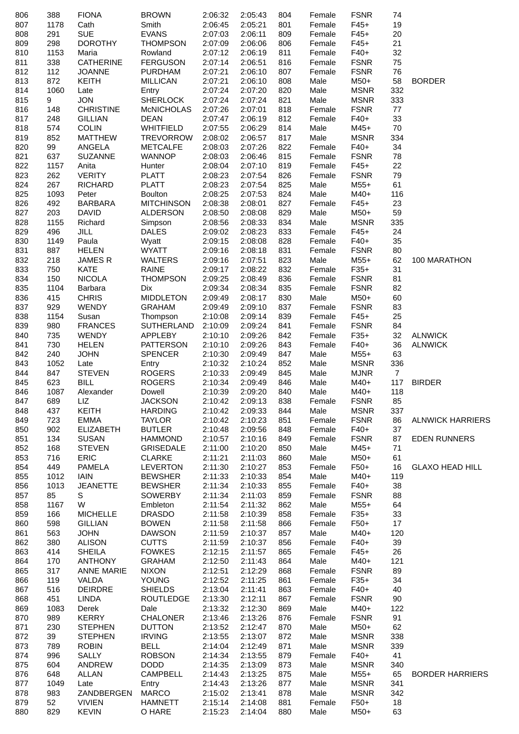| 806 | 388             | <b>FIONA</b>      | <b>BROWN</b>      | 2:06:32 | 2:05:43 | 804 | Female | <b>FSNR</b> | 74             |                         |
|-----|-----------------|-------------------|-------------------|---------|---------|-----|--------|-------------|----------------|-------------------------|
| 807 | 1178            | Cath              | Smith             | 2:06:45 | 2:05:21 | 801 | Female | $F45+$      | 19             |                         |
| 808 | 291             | <b>SUE</b>        | <b>EVANS</b>      | 2:07:03 | 2:06:11 | 809 | Female | $F45+$      | 20             |                         |
| 809 | 298             | <b>DOROTHY</b>    | <b>THOMPSON</b>   | 2:07:09 | 2:06:06 | 806 | Female | $F45+$      | 21             |                         |
| 810 | 1153            | Maria             | Rowland           | 2:07:12 | 2:06:19 | 811 | Female | $F40+$      | 32             |                         |
| 811 | 338             | <b>CATHERINE</b>  | <b>FERGUSON</b>   | 2:07:14 | 2:06:51 | 816 | Female | <b>FSNR</b> | 75             |                         |
| 812 | 112             | <b>JOANNE</b>     | <b>PURDHAM</b>    | 2:07:21 | 2:06:10 | 807 | Female | <b>FSNR</b> | 76             |                         |
| 813 | 872             | <b>KEITH</b>      | <b>MILLICAN</b>   | 2:07:21 | 2:06:10 | 808 | Male   | M50+        | 58             | <b>BORDER</b>           |
|     |                 |                   |                   |         |         |     |        |             |                |                         |
| 814 | 1060            | Late              | Entry             | 2:07:24 | 2:07:20 | 820 | Male   | <b>MSNR</b> | 332            |                         |
| 815 | 9               | <b>JON</b>        | <b>SHERLOCK</b>   | 2:07:24 | 2:07:24 | 821 | Male   | <b>MSNR</b> | 333            |                         |
| 816 | 148             | <b>CHRISTINE</b>  | <b>McNICHOLAS</b> | 2:07:26 | 2:07:01 | 818 | Female | <b>FSNR</b> | 77             |                         |
| 817 | 248             | <b>GILLIAN</b>    | <b>DEAN</b>       | 2:07:47 | 2:06:19 | 812 | Female | $F40+$      | 33             |                         |
| 818 | 574             | <b>COLIN</b>      | <b>WHITFIELD</b>  | 2:07:55 | 2:06:29 | 814 | Male   | $M45+$      | 70             |                         |
| 819 | 852             | <b>MATTHEW</b>    | TREVORROW         | 2:08:02 | 2:06:57 | 817 | Male   | <b>MSNR</b> | 334            |                         |
| 820 | 99              | ANGELA            | <b>METCALFE</b>   | 2:08:03 | 2:07:26 | 822 | Female | $F40+$      | 34             |                         |
| 821 | 637             | <b>SUZANNE</b>    | <b>WANNOP</b>     | 2:08:03 | 2:06:46 | 815 | Female | <b>FSNR</b> | 78             |                         |
| 822 | 1157            | Anita             | Hunter            | 2:08:04 | 2:07:10 | 819 | Female | $F45+$      | 22             |                         |
| 823 | 262             | <b>VERITY</b>     | <b>PLATT</b>      | 2:08:23 | 2:07:54 | 826 | Female | <b>FSNR</b> | 79             |                         |
| 824 | 267             | <b>RICHARD</b>    | <b>PLATT</b>      | 2:08:23 | 2:07:54 | 825 | Male   | $M55+$      | 61             |                         |
| 825 | 1093            | Peter             | <b>Boulton</b>    | 2:08:25 | 2:07:53 | 824 | Male   | M40+        | 116            |                         |
| 826 | 492             | <b>BARBARA</b>    | <b>MITCHINSON</b> | 2:08:38 | 2:08:01 | 827 | Female | $F45+$      | 23             |                         |
| 827 | 203             | <b>DAVID</b>      | ALDERSON          | 2:08:50 | 2:08:08 | 829 | Male   | M50+        | 59             |                         |
| 828 | 1155            | Richard           | Simpson           | 2:08:56 | 2:08:33 | 834 | Male   | <b>MSNR</b> | 335            |                         |
|     | 496             | <b>JILL</b>       | <b>DALES</b>      |         | 2:08:23 | 833 |        | $F45+$      | 24             |                         |
| 829 |                 |                   |                   | 2:09:02 |         |     | Female |             |                |                         |
| 830 | 1149            | Paula             | Wyatt             | 2:09:15 | 2:08:08 | 828 | Female | $F40+$      | 35             |                         |
| 831 | 887             | <b>HELEN</b>      | <b>WYATT</b>      | 2:09:16 | 2:08:18 | 831 | Female | <b>FSNR</b> | 80             |                         |
| 832 | 218             | JAMES R           | <b>WALTERS</b>    | 2:09:16 | 2:07:51 | 823 | Male   | $M55+$      | 62             | 100 MARATHON            |
| 833 | 750             | <b>KATE</b>       | <b>RAINE</b>      | 2:09:17 | 2:08:22 | 832 | Female | $F35+$      | 31             |                         |
| 834 | 150             | <b>NICOLA</b>     | <b>THOMPSON</b>   | 2:09:25 | 2:08:49 | 836 | Female | <b>FSNR</b> | 81             |                         |
| 835 | 1104            | Barbara           | Dix               | 2:09:34 | 2:08:34 | 835 | Female | <b>FSNR</b> | 82             |                         |
| 836 | 415             | <b>CHRIS</b>      | <b>MIDDLETON</b>  | 2:09:49 | 2:08:17 | 830 | Male   | M50+        | 60             |                         |
| 837 | 929             | <b>WENDY</b>      | <b>GRAHAM</b>     | 2:09:49 | 2:09:10 | 837 | Female | <b>FSNR</b> | 83             |                         |
| 838 | 1154            | Susan             | Thompson          | 2:10:08 | 2:09:14 | 839 | Female | $F45+$      | 25             |                         |
| 839 | 980             | <b>FRANCES</b>    | SUTHERLAND        | 2:10:09 | 2:09:24 | 841 | Female | <b>FSNR</b> | 84             |                         |
| 840 | 735             | <b>WENDY</b>      | APPLEBY           | 2:10:10 | 2:09:26 | 842 | Female | $F35+$      | 32             | <b>ALNWICK</b>          |
| 841 | 730             | <b>HELEN</b>      | <b>PATTERSON</b>  | 2:10:10 | 2:09:26 | 843 | Female | $F40+$      | 36             | <b>ALNWICK</b>          |
| 842 | 240             | <b>JOHN</b>       | <b>SPENCER</b>    | 2:10:30 | 2:09:49 | 847 | Male   | $M55+$      | 63             |                         |
| 843 | 1052            | Late              | Entry             | 2:10:32 | 2:10:24 | 852 | Male   | <b>MSNR</b> | 336            |                         |
|     |                 | <b>STEVEN</b>     | <b>ROGERS</b>     |         |         |     |        |             |                |                         |
| 844 | 847             |                   |                   | 2:10:33 | 2:09:49 | 845 | Male   | <b>MJNR</b> | $\overline{7}$ |                         |
| 845 | 623             | <b>BILL</b>       | <b>ROGERS</b>     | 2:10:34 | 2:09:49 | 846 | Male   | M40+        |                | 117 BIRDER              |
| 846 | 1087            | Alexander         | Dowell            | 2:10:39 | 2:09:20 | 840 | Male   | $M40+$      | 118            |                         |
| 847 | 689             | LIZ               | <b>JACKSON</b>    | 2:10:42 | 2:09:13 | 838 | Female | <b>FSNR</b> | 85             |                         |
| 848 | 437             | KEITH             | <b>HARDING</b>    | 2:10:42 | 2:09:33 | 844 | Male   | <b>MSNR</b> | 337            |                         |
| 849 | 723             | <b>EMMA</b>       | <b>TAYLOR</b>     | 2:10:42 | 2:10:23 | 851 | Female | <b>FSNR</b> | 86             | <b>ALNWICK HARRIERS</b> |
| 850 | 902             | <b>ELIZABETH</b>  | <b>BUTLER</b>     | 2:10:48 | 2:09:56 | 848 | Female | $F40+$      | 37             |                         |
| 851 | 134             | <b>SUSAN</b>      | <b>HAMMOND</b>    | 2:10:57 | 2:10:16 | 849 | Female | <b>FSNR</b> | 87             | <b>EDEN RUNNERS</b>     |
| 852 | 168             | <b>STEVEN</b>     | <b>GRISEDALE</b>  | 2:11:00 | 2:10:20 | 850 | Male   | $M45+$      | 71             |                         |
| 853 | 716             | ERIC              | <b>CLARKE</b>     | 2:11:21 | 2:11:03 | 860 | Male   | M50+        | 61             |                         |
| 854 | 449             | <b>PAMELA</b>     | <b>LEVERTON</b>   | 2:11:30 | 2:10:27 | 853 | Female | F50+        | 16             | <b>GLAXO HEAD HILL</b>  |
| 855 | 1012            | IAIN              | <b>BEWSHER</b>    | 2:11:33 | 2:10:33 | 854 | Male   | M40+        | 119            |                         |
| 856 | 1013            | <b>JEANETTE</b>   | <b>BEWSHER</b>    | 2:11:34 | 2:10:33 | 855 | Female | F40+        | 38             |                         |
| 857 | 85              | S                 | <b>SOWERBY</b>    | 2:11:34 | 2:11:03 | 859 | Female | <b>FSNR</b> | 88             |                         |
| 858 | 1167            | W                 | Embleton          | 2:11:54 | 2:11:32 | 862 | Male   | M55+        | 64             |                         |
| 859 | 166             | <b>MICHELLE</b>   | <b>DRASDO</b>     | 2:11:58 | 2:10:39 | 858 | Female | $F35+$      | 33             |                         |
| 860 | 598             | <b>GILLIAN</b>    | <b>BOWEN</b>      | 2:11:58 | 2:11:58 | 866 | Female | $F50+$      | 17             |                         |
|     |                 | <b>JOHN</b>       |                   |         |         |     |        |             |                |                         |
| 861 | 563             |                   | <b>DAWSON</b>     | 2:11:59 | 2:10:37 | 857 | Male   | M40+        | 120            |                         |
| 862 | 380             | <b>ALISON</b>     | <b>CUTTS</b>      | 2:11:59 | 2:10:37 | 856 | Female | $F40+$      | 39             |                         |
| 863 | 414             | <b>SHEILA</b>     | <b>FOWKES</b>     | 2:12:15 | 2:11:57 | 865 | Female | $F45+$      | 26             |                         |
| 864 | 170             | <b>ANTHONY</b>    | <b>GRAHAM</b>     | 2:12:50 | 2:11:43 | 864 | Male   | M40+        | 121            |                         |
| 865 | 317             | <b>ANNE MARIE</b> | <b>NIXON</b>      | 2:12:51 | 2:12:29 | 868 | Female | <b>FSNR</b> | 89             |                         |
| 866 | 119             | VALDA             | <b>YOUNG</b>      | 2:12:52 | 2:11:25 | 861 | Female | $F35+$      | 34             |                         |
| 867 | 516             | <b>DEIRDRE</b>    | <b>SHIELDS</b>    | 2:13:04 | 2:11:41 | 863 | Female | $F40+$      | 40             |                         |
| 868 | 451             | LINDA             | <b>ROUTLEDGE</b>  | 2:13:30 | 2:12:11 | 867 | Female | <b>FSNR</b> | 90             |                         |
| 869 | 1083            | Derek             | Dale              | 2:13:32 | 2:12:30 | 869 | Male   | M40+        | 122            |                         |
| 870 | 989             | <b>KERRY</b>      | <b>CHALONER</b>   | 2:13:46 | 2:13:26 | 876 | Female | <b>FSNR</b> | 91             |                         |
| 871 | 230             | <b>STEPHEN</b>    | <b>DUTTON</b>     | 2:13:52 | 2:12:47 | 870 | Male   | $M50+$      | 62             |                         |
| 872 | 39              | <b>STEPHEN</b>    | <b>IRVING</b>     | 2:13:55 | 2:13:07 | 872 | Male   | <b>MSNR</b> | 338            |                         |
| 873 | 789             | <b>ROBIN</b>      | <b>BELL</b>       | 2:14:04 | 2:12:49 | 871 | Male   | <b>MSNR</b> | 339            |                         |
| 874 | 996             | SALLY             | <b>ROBSON</b>     | 2:14:34 | 2:13:55 | 879 | Female | $F40+$      | 41             |                         |
| 875 | 604             | ANDREW            | <b>DODD</b>       | 2:14:35 | 2:13:09 | 873 | Male   | <b>MSNR</b> | 340            |                         |
| 876 | 648             | ALLAN             | <b>CAMPBELL</b>   | 2:14:43 | 2:13:25 | 875 | Male   | M55+        | 65             | <b>BORDER HARRIERS</b>  |
|     |                 |                   |                   |         |         |     | Male   | <b>MSNR</b> | 341            |                         |
| 877 | 1049            | Late              | Entry             | 2:14:43 | 2:13:26 | 877 |        | <b>MSNR</b> |                |                         |
| 878 | 983             | ZANDBERGEN        | <b>MARCO</b>      | 2:15:02 | 2:13:41 | 878 | Male   |             | 342            |                         |
| 879 | 52 <sub>2</sub> | <b>VIVIEN</b>     | <b>HAMNETT</b>    | 2:15:14 | 2:14:08 | 881 | Female | $F50+$      | 18             |                         |
| 880 | 829             | <b>KEVIN</b>      | O HARE            | 2:15:23 | 2:14:04 | 880 | Male   | M50+        | 63             |                         |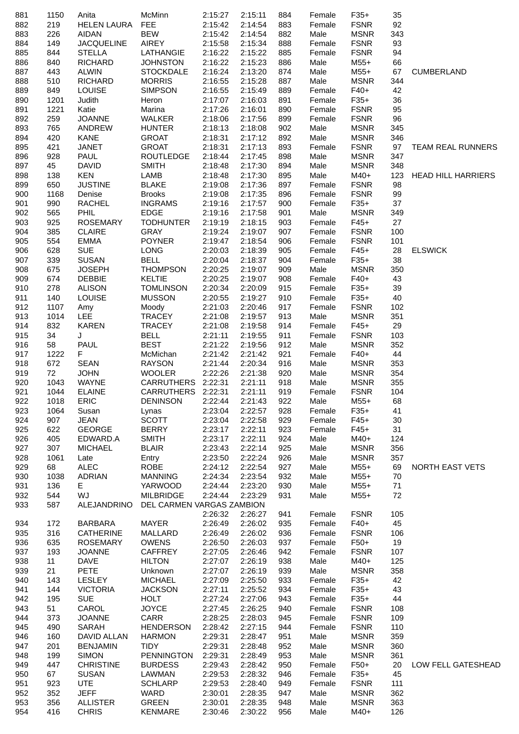| 881 | 1150 | Anita              | McMinn                                | 2:15:27 | 2:15:11 | 884 | Female | $F35+$      | 35  |                           |
|-----|------|--------------------|---------------------------------------|---------|---------|-----|--------|-------------|-----|---------------------------|
| 882 | 219  | <b>HELEN LAURA</b> | <b>FEE</b>                            | 2:15:42 | 2:14:54 | 883 | Female | <b>FSNR</b> | 92  |                           |
| 883 | 226  | <b>AIDAN</b>       | <b>BEW</b>                            | 2:15:42 | 2:14:54 | 882 | Male   | <b>MSNR</b> | 343 |                           |
| 884 | 149  | <b>JACQUELINE</b>  | AIREY                                 | 2:15:58 | 2:15:34 | 888 | Female | <b>FSNR</b> | 93  |                           |
| 885 | 844  | <b>STELLA</b>      | LATHANGIE                             | 2:16:22 | 2:15:22 | 885 | Female | <b>FSNR</b> | 94  |                           |
| 886 | 840  | <b>RICHARD</b>     | <b>JOHNSTON</b>                       | 2:16:22 | 2:15:23 | 886 | Male   | $M55+$      | 66  |                           |
| 887 | 443  | <b>ALWIN</b>       | <b>STOCKDALE</b>                      | 2:16:24 | 2:13:20 | 874 | Male   | $M55+$      | 67  | <b>CUMBERLAND</b>         |
| 888 | 510  | <b>RICHARD</b>     | <b>MORRIS</b>                         | 2:16:55 | 2:15:28 | 887 | Male   | <b>MSNR</b> | 344 |                           |
| 889 | 849  | <b>LOUISE</b>      | <b>SIMPSON</b>                        | 2:16:55 | 2:15:49 | 889 | Female | $F40+$      | 42  |                           |
| 890 | 1201 | Judith             | Heron                                 | 2:17:07 | 2:16:03 | 891 | Female | $F35+$      | 36  |                           |
| 891 | 1221 | Katie              | Marina                                | 2:17:26 | 2:16:01 | 890 | Female | <b>FSNR</b> | 95  |                           |
|     |      |                    |                                       |         |         |     |        |             | 96  |                           |
| 892 | 259  | <b>JOANNE</b>      | <b>WALKER</b>                         | 2:18:06 | 2:17:56 | 899 | Female | <b>FSNR</b> |     |                           |
| 893 | 765  | ANDREW             | <b>HUNTER</b>                         | 2:18:13 | 2:18:08 | 902 | Male   | <b>MSNR</b> | 345 |                           |
| 894 | 420  | <b>KANE</b>        | <b>GROAT</b>                          | 2:18:31 | 2:17:12 | 892 | Male   | <b>MSNR</b> | 346 |                           |
| 895 | 421  | <b>JANET</b>       | <b>GROAT</b>                          | 2:18:31 | 2:17:13 | 893 | Female | <b>FSNR</b> | 97  | <b>TEAM REAL RUNNERS</b>  |
| 896 | 928  | PAUL               | <b>ROUTLEDGE</b>                      | 2:18:44 | 2:17:45 | 898 | Male   | <b>MSNR</b> | 347 |                           |
| 897 | 45   | <b>DAVID</b>       | <b>SMITH</b>                          | 2:18:48 | 2:17:30 | 894 | Male   | <b>MSNR</b> | 348 |                           |
| 898 | 138  | <b>KEN</b>         | LAMB                                  | 2:18:48 | 2:17:30 | 895 | Male   | M40+        | 123 | <b>HEAD HILL HARRIERS</b> |
| 899 | 650  | <b>JUSTINE</b>     | <b>BLAKE</b>                          | 2:19:08 | 2:17:36 | 897 | Female | <b>FSNR</b> | 98  |                           |
| 900 | 1168 | Denise             | <b>Brooks</b>                         | 2:19:08 | 2:17:35 | 896 | Female | <b>FSNR</b> | 99  |                           |
| 901 | 990  | RACHEL             | <b>INGRAMS</b>                        | 2:19:16 | 2:17:57 | 900 | Female | $F35+$      | 37  |                           |
| 902 | 565  | <b>PHIL</b>        | <b>EDGE</b>                           | 2:19:16 | 2:17:58 | 901 | Male   | <b>MSNR</b> | 349 |                           |
| 903 | 925  | <b>ROSEMARY</b>    | <b>TODHUNTER</b>                      | 2:19:19 | 2:18:15 | 903 | Female | $F45+$      | 27  |                           |
| 904 | 385  | <b>CLAIRE</b>      | <b>GRAY</b>                           | 2:19:24 | 2:19:07 | 907 | Female | <b>FSNR</b> | 100 |                           |
|     |      |                    |                                       |         |         |     |        |             |     |                           |
| 905 | 554  | <b>EMMA</b>        | <b>POYNER</b>                         | 2:19:47 | 2:18:54 | 906 | Female | <b>FSNR</b> | 101 |                           |
| 906 | 628  | <b>SUE</b>         | <b>LONG</b>                           | 2:20:03 | 2:18:39 | 905 | Female | $F45+$      | 28  | <b>ELSWICK</b>            |
| 907 | 339  | <b>SUSAN</b>       | <b>BELL</b>                           | 2:20:04 | 2:18:37 | 904 | Female | $F35+$      | 38  |                           |
| 908 | 675  | <b>JOSEPH</b>      | <b>THOMPSON</b>                       | 2:20:25 | 2:19:07 | 909 | Male   | <b>MSNR</b> | 350 |                           |
| 909 | 674  | <b>DEBBIE</b>      | <b>KELTIE</b>                         | 2:20:25 | 2:19:07 | 908 | Female | $F40+$      | 43  |                           |
| 910 | 278  | <b>ALISON</b>      | <b>TOMLINSON</b>                      | 2:20:34 | 2:20:09 | 915 | Female | $F35+$      | 39  |                           |
| 911 | 140  | <b>LOUISE</b>      | <b>MUSSON</b>                         | 2:20:55 | 2:19:27 | 910 | Female | $F35+$      | 40  |                           |
| 912 | 1107 | Amy                | Moody                                 | 2:21:03 | 2:20:46 | 917 | Female | <b>FSNR</b> | 102 |                           |
| 913 | 1014 | LEE.               | <b>TRACEY</b>                         | 2:21:08 | 2:19:57 | 913 | Male   | <b>MSNR</b> | 351 |                           |
| 914 | 832  | <b>KAREN</b>       | <b>TRACEY</b>                         | 2:21:08 | 2:19:58 | 914 | Female | $F45+$      | 29  |                           |
| 915 | 34   | J                  | <b>BELL</b>                           | 2:21:11 | 2:19:55 | 911 | Female | <b>FSNR</b> | 103 |                           |
| 916 | 58   | <b>PAUL</b>        | <b>BEST</b>                           | 2:21:22 | 2:19:56 | 912 | Male   | <b>MSNR</b> | 352 |                           |
|     | 1222 | F                  | McMichan                              | 2:21:42 | 2:21:42 | 921 |        | $F40+$      | 44  |                           |
| 917 |      |                    |                                       |         |         |     | Female |             |     |                           |
| 918 | 672  | <b>SEAN</b>        | <b>RAYSON</b>                         | 2:21:44 | 2:20:34 | 916 | Male   | <b>MSNR</b> | 353 |                           |
| 919 | 72   | <b>JOHN</b>        | <b>WOOLER</b>                         | 2:22:26 | 2:21:38 | 920 | Male   | <b>MSNR</b> | 354 |                           |
| 920 | 1043 | <b>WAYNE</b>       | CARRUTHERS 2:22:31                    |         | 2:21:11 | 918 | Male   | <b>MSNR</b> | 355 |                           |
| 921 | 1044 | <b>ELAINE</b>      | CARRUTHERS 2:22:31                    |         | 2:21:11 | 919 | Female | <b>FSNR</b> | 104 |                           |
| 922 | 1018 | ERIC               | DENINSON                              | 2:22:44 | 2:21:43 | 922 | Male   | $M55+$      | 68  |                           |
| 923 | 1064 | Susan              | Lynas                                 | 2:23:04 | 2:22:57 | 928 | Female | $F35+$      | 41  |                           |
| 924 | 907  | <b>JEAN</b>        | <b>SCOTT</b>                          | 2:23:04 | 2:22:58 | 929 | Female | $F45+$      | 30  |                           |
| 925 | 622  | <b>GEORGE</b>      | <b>BERRY</b>                          | 2:23:17 | 2:22:11 | 923 | Female | $F45+$      | 31  |                           |
| 926 | 405  | EDWARD.A           | <b>SMITH</b>                          | 2:23:17 | 2:22:11 | 924 | Male   | M40+        | 124 |                           |
| 927 | 307  | <b>MICHAEL</b>     | <b>BLAIR</b>                          | 2:23:43 | 2:22:14 | 925 | Male   | <b>MSNR</b> | 356 |                           |
| 928 | 1061 | Late               | Entry                                 | 2:23:50 | 2:22:24 | 926 | Male   | <b>MSNR</b> | 357 |                           |
| 929 | 68   | <b>ALEC</b>        | <b>ROBE</b>                           | 2:24:12 | 2:22:54 | 927 | Male   | M55+        | 69  | NORTH EAST VETS           |
| 930 | 1038 | ADRIAN             | <b>MANNING</b>                        | 2:24:34 | 2:23:54 | 932 | Male   | $M55+$      | 70  |                           |
|     |      |                    |                                       |         |         |     |        |             |     |                           |
| 931 | 136  | E.                 | YARWOOD                               | 2:24:44 | 2:23:20 | 930 | Male   | $M55+$      | 71  |                           |
| 932 | 544  | WJ                 | <b>MILBRIDGE</b>                      | 2:24:44 | 2:23:29 | 931 | Male   | $M55+$      | 72  |                           |
| 933 | 587  |                    | ALEJANDRINO DEL CARMEN VARGAS ZAMBION |         |         |     |        |             |     |                           |
|     |      |                    |                                       | 2:26:32 | 2:26:27 | 941 | Female | <b>FSNR</b> | 105 |                           |
| 934 | 172  | BARBARA            | <b>MAYER</b>                          | 2:26:49 | 2:26:02 | 935 | Female | $F40+$      | 45  |                           |
| 935 | 316  | <b>CATHERINE</b>   | MALLARD                               | 2:26:49 | 2:26:02 | 936 | Female | <b>FSNR</b> | 106 |                           |
| 936 | 635  | <b>ROSEMARY</b>    | <b>OWENS</b>                          | 2:26:50 | 2:26:03 | 937 | Female | $F50+$      | 19  |                           |
| 937 | 193  | <b>JOANNE</b>      | CAFFREY                               | 2:27:05 | 2:26:46 | 942 | Female | <b>FSNR</b> | 107 |                           |
| 938 | 11   | <b>DAVE</b>        | <b>HILTON</b>                         | 2:27:07 | 2:26:19 | 938 | Male   | $M40+$      | 125 |                           |
| 939 | 21   | <b>PETE</b>        | Unknown                               | 2:27:07 | 2:26:19 | 939 | Male   | <b>MSNR</b> | 358 |                           |
| 940 | 143  | LESLEY             | <b>MICHAEL</b>                        | 2:27:09 | 2:25:50 | 933 | Female | $F35+$      | 42  |                           |
| 941 | 144  | <b>VICTORIA</b>    | <b>JACKSON</b>                        | 2:27:11 | 2:25:52 | 934 | Female | $F35+$      | 43  |                           |
| 942 | 195  | <b>SUE</b>         | <b>HOLT</b>                           | 2:27:24 | 2:27:06 | 943 | Female | $F35+$      | 44  |                           |
| 943 | 51   | CAROL              | <b>JOYCE</b>                          | 2:27:45 | 2:26:25 | 940 | Female | <b>FSNR</b> | 108 |                           |
|     |      |                    |                                       |         |         |     |        |             |     |                           |
| 944 | 373  | <b>JOANNE</b>      | CARR                                  | 2:28:25 | 2:28:03 | 945 | Female | <b>FSNR</b> | 109 |                           |
| 945 | 490  | SARAH              | <b>HENDERSON</b>                      | 2:28:42 | 2:27:15 | 944 | Female | <b>FSNR</b> | 110 |                           |
| 946 | 160  | DAVID ALLAN        | <b>HARMON</b>                         | 2:29:31 | 2:28:47 | 951 | Male   | <b>MSNR</b> | 359 |                           |
| 947 | 201  | <b>BENJAMIN</b>    | TIDY                                  | 2:29:31 | 2:28:48 | 952 | Male   | <b>MSNR</b> | 360 |                           |
| 948 | 199  | <b>SIMON</b>       | PENNINGTON                            | 2:29:31 | 2:28:49 | 953 | Male   | <b>MSNR</b> | 361 |                           |
| 949 | 447  | <b>CHRISTINE</b>   | <b>BURDESS</b>                        | 2:29:43 | 2:28:42 | 950 | Female | $F50+$      | 20  | LOW FELL GATESHEAD        |
| 950 | 67   | <b>SUSAN</b>       | LAWMAN                                | 2:29:53 | 2:28:32 | 946 | Female | $F35+$      | 45  |                           |
| 951 | 923  | <b>UTE</b>         | <b>SCHLARP</b>                        | 2:29:53 | 2:28:40 | 949 | Female | <b>FSNR</b> | 111 |                           |
| 952 | 352  | <b>JEFF</b>        | WARD                                  | 2:30:01 | 2:28:35 | 947 | Male   | <b>MSNR</b> | 362 |                           |
| 953 | 356  | <b>ALLISTER</b>    | <b>GREEN</b>                          | 2:30:01 | 2:28:35 | 948 | Male   | <b>MSNR</b> | 363 |                           |
| 954 | 416  | <b>CHRIS</b>       | <b>KENMARE</b>                        | 2:30:46 | 2:30:22 | 956 | Male   | M40+        | 126 |                           |
|     |      |                    |                                       |         |         |     |        |             |     |                           |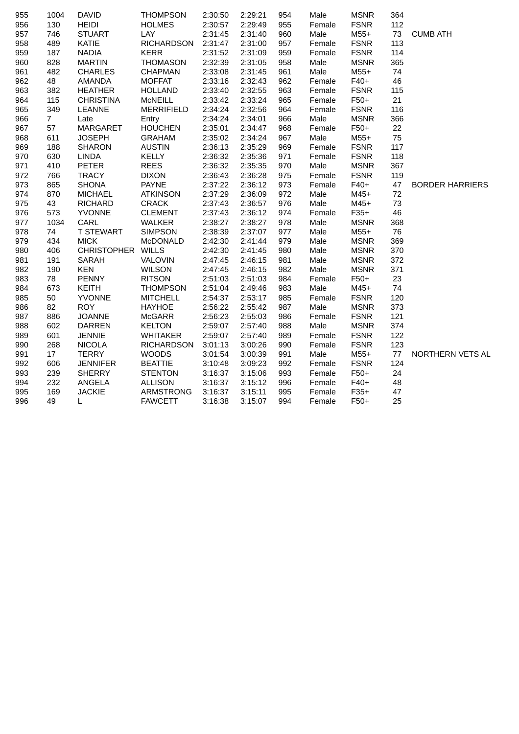| 955 | 1004           | <b>DAVID</b>      | <b>THOMPSON</b>   | 2:30:50 | 2:29:21 | 954 | Male   | <b>MSNR</b> | 364 |                        |
|-----|----------------|-------------------|-------------------|---------|---------|-----|--------|-------------|-----|------------------------|
| 956 | 130            | <b>HEIDI</b>      | <b>HOLMES</b>     | 2:30:57 | 2:29:49 | 955 | Female | <b>FSNR</b> | 112 |                        |
| 957 | 746            | <b>STUART</b>     | <b>LAY</b>        | 2:31:45 | 2:31:40 | 960 | Male   | $M55+$      | 73  | <b>CUMB ATH</b>        |
| 958 | 489            | KATIE             | <b>RICHARDSON</b> | 2:31:47 | 2:31:00 | 957 | Female | <b>FSNR</b> | 113 |                        |
| 959 | 187            | <b>NADIA</b>      | <b>KERR</b>       | 2:31:52 | 2:31:09 | 959 | Female | <b>FSNR</b> | 114 |                        |
| 960 | 828            | <b>MARTIN</b>     | <b>THOMASON</b>   | 2:32:39 | 2:31:05 | 958 | Male   | <b>MSNR</b> | 365 |                        |
| 961 | 482            | <b>CHARLES</b>    | <b>CHAPMAN</b>    | 2:33:08 | 2:31:45 | 961 | Male   | $M55+$      | 74  |                        |
| 962 | 48             | AMANDA            | <b>MOFFAT</b>     | 2:33:16 | 2:32:43 | 962 | Female | $F40+$      | 46  |                        |
| 963 | 382            | <b>HEATHER</b>    | <b>HOLLAND</b>    | 2:33:40 | 2:32:55 | 963 | Female | <b>FSNR</b> | 115 |                        |
| 964 | 115            | <b>CHRISTINA</b>  | McNEILL           | 2:33:42 | 2:33:24 | 965 | Female | $F50+$      | 21  |                        |
| 965 | 349            | <b>LEANNE</b>     | <b>MERRIFIELD</b> | 2:34:24 | 2:32:56 | 964 | Female | <b>FSNR</b> | 116 |                        |
| 966 | $\overline{7}$ | Late              | Entry             | 2:34:24 | 2:34:01 | 966 | Male   | <b>MSNR</b> | 366 |                        |
| 967 | 57             | <b>MARGARET</b>   | <b>HOUCHEN</b>    | 2:35:01 | 2:34:47 | 968 | Female | $F50+$      | 22  |                        |
| 968 | 611            | <b>JOSEPH</b>     | <b>GRAHAM</b>     | 2:35:02 | 2:34:24 | 967 | Male   | $M55+$      | 75  |                        |
| 969 | 188            | <b>SHARON</b>     | <b>AUSTIN</b>     | 2:36:13 | 2:35:29 | 969 | Female | <b>FSNR</b> | 117 |                        |
| 970 | 630            | <b>LINDA</b>      | <b>KELLY</b>      | 2:36:32 | 2:35:36 | 971 | Female | <b>FSNR</b> | 118 |                        |
| 971 | 410            | <b>PETER</b>      | <b>REES</b>       | 2:36:32 | 2:35:35 | 970 | Male   | <b>MSNR</b> | 367 |                        |
| 972 | 766            | <b>TRACY</b>      | <b>DIXON</b>      | 2:36:43 | 2:36:28 | 975 | Female | <b>FSNR</b> | 119 |                        |
| 973 | 865            | <b>SHONA</b>      | <b>PAYNE</b>      | 2:37:22 | 2:36:12 | 973 | Female | $F40+$      | 47  | <b>BORDER HARRIERS</b> |
| 974 | 870            | <b>MICHAEL</b>    | <b>ATKINSON</b>   | 2:37:29 | 2:36:09 | 972 | Male   | $M45+$      | 72  |                        |
| 975 | 43             | <b>RICHARD</b>    | <b>CRACK</b>      | 2:37:43 | 2:36:57 | 976 | Male   | $M45+$      | 73  |                        |
| 976 | 573            | <b>YVONNE</b>     | <b>CLEMENT</b>    | 2:37:43 | 2:36:12 | 974 | Female | $F35+$      | 46  |                        |
| 977 | 1034           | CARL              | WALKER            | 2:38:27 | 2:38:27 | 978 | Male   | <b>MSNR</b> | 368 |                        |
| 978 | 74             | <b>T STEWART</b>  | <b>SIMPSON</b>    | 2:38:39 | 2:37:07 | 977 | Male   | $M55+$      | 76  |                        |
| 979 | 434            | <b>MICK</b>       | McDONALD          | 2:42:30 | 2:41:44 | 979 | Male   | <b>MSNR</b> | 369 |                        |
| 980 | 406            | CHRISTOPHER WILLS |                   | 2:42:30 | 2:41:45 | 980 | Male   | <b>MSNR</b> | 370 |                        |
| 981 | 191            | SARAH             | <b>VALOVIN</b>    | 2:47:45 | 2:46:15 | 981 | Male   | <b>MSNR</b> | 372 |                        |
| 982 | 190            | <b>KEN</b>        | <b>WILSON</b>     | 2:47:45 | 2:46:15 | 982 | Male   | <b>MSNR</b> | 371 |                        |
| 983 | 78             | <b>PENNY</b>      | <b>RITSON</b>     | 2:51:03 | 2:51:03 | 984 | Female | $F50+$      | 23  |                        |
| 984 | 673            | KEITH             | <b>THOMPSON</b>   | 2:51:04 | 2:49:46 | 983 | Male   | M45+        | 74  |                        |
| 985 | 50             | <b>YVONNE</b>     | <b>MITCHELL</b>   | 2:54:37 | 2:53:17 | 985 | Female | <b>FSNR</b> | 120 |                        |
| 986 | 82             | <b>ROY</b>        | <b>HAYHOE</b>     | 2:56:22 | 2:55:42 | 987 | Male   | <b>MSNR</b> | 373 |                        |
| 987 | 886            | <b>JOANNE</b>     | <b>McGARR</b>     | 2:56:23 | 2:55:03 | 986 | Female | <b>FSNR</b> | 121 |                        |
| 988 | 602            | <b>DARREN</b>     | <b>KELTON</b>     | 2:59:07 | 2:57:40 | 988 | Male   | <b>MSNR</b> | 374 |                        |
| 989 | 601            | <b>JENNIE</b>     | <b>WHITAKER</b>   | 2:59:07 | 2:57:40 | 989 | Female | <b>FSNR</b> | 122 |                        |
| 990 | 268            | <b>NICOLA</b>     | <b>RICHARDSON</b> | 3:01:13 | 3:00:26 | 990 | Female | <b>FSNR</b> | 123 |                        |
| 991 | 17             | <b>TERRY</b>      | <b>WOODS</b>      | 3:01:54 | 3:00:39 | 991 | Male   | $M55+$      | 77  | NORTHERN VETS AL       |
| 992 | 606            | <b>JENNIFER</b>   | <b>BEATTIE</b>    | 3:10:48 | 3:09:23 | 992 | Female | <b>FSNR</b> | 124 |                        |
| 993 | 239            | <b>SHERRY</b>     | <b>STENTON</b>    | 3:16:37 | 3:15:06 | 993 | Female | $F50+$      | 24  |                        |
| 994 | 232            | ANGELA            | <b>ALLISON</b>    | 3:16:37 | 3:15:12 | 996 | Female | $F40+$      | 48  |                        |
| 995 | 169            | <b>JACKIE</b>     | ARMSTRONG         | 3:16:37 | 3:15:11 | 995 | Female | $F35+$      | 47  |                        |
| 996 | 49             | L                 | <b>FAWCETT</b>    | 3:16:38 | 3:15:07 | 994 | Female | $F50+$      | 25  |                        |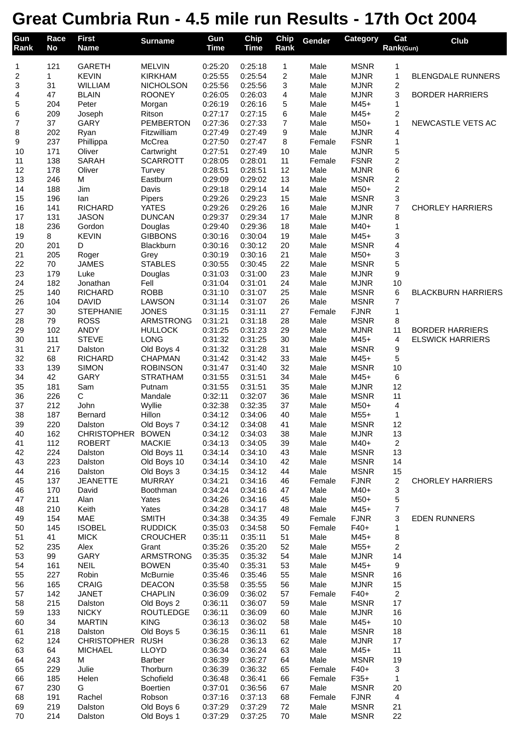## **Great Cumbria Run - 4.5 mile run Results - 17th Oct 2004**

| Gun<br>Rank         | Race<br>No | <b>First</b><br><b>Name</b>    | <b>Surname</b>                     | Gun<br><b>Time</b> | Chip<br><b>Time</b> | Chip<br>Rank        | Gender           | Category                   | Cat<br>Rank(Gun)        | Club                      |
|---------------------|------------|--------------------------------|------------------------------------|--------------------|---------------------|---------------------|------------------|----------------------------|-------------------------|---------------------------|
|                     |            |                                |                                    |                    |                     |                     |                  |                            |                         |                           |
| 1                   | 121        | <b>GARETH</b>                  | <b>MELVIN</b>                      | 0:25:20            | 0:25:18             | 1                   | Male             | <b>MSNR</b>                | 1                       |                           |
| $\overline{c}$<br>3 | 1<br>31    | <b>KEVIN</b><br><b>WILLIAM</b> | <b>KIRKHAM</b><br><b>NICHOLSON</b> | 0:25:55<br>0:25:56 | 0:25:54<br>0:25:56  | $\overline{c}$<br>3 | Male<br>Male     | <b>MJNR</b><br><b>MJNR</b> | 1<br>$\overline{c}$     | <b>BLENGDALE RUNNERS</b>  |
| 4                   | 47         | <b>BLAIN</b>                   | <b>ROONEY</b>                      | 0:26:05            | 0:26:03             | 4                   | Male             | <b>MJNR</b>                | 3                       | <b>BORDER HARRIERS</b>    |
| 5                   | 204        | Peter                          | Morgan                             | 0:26:19            | 0:26:16             | 5                   | Male             | $M45+$                     | 1                       |                           |
| 6                   | 209        | Joseph                         | Ritson                             | 0:27:17            | 0:27:15             | 6                   | Male             | $M45+$                     | $\overline{\mathbf{c}}$ |                           |
| $\overline{7}$      | 37         | <b>GARY</b>                    | <b>PEMBERTON</b>                   | 0:27:36            | 0:27:33             | $\overline{7}$      | Male             | M50+                       | $\mathbf{1}$            | NEWCASTLE VETS AC         |
| 8                   | 202        | Ryan                           | Fitzwilliam                        | 0:27:49            | 0:27:49             | 9                   | Male             | <b>MJNR</b>                | 4                       |                           |
| 9                   | 237<br>171 | Phillippa                      | McCrea                             | 0:27:50<br>0:27:51 | 0:27:47             | 8                   | Female           | <b>FSNR</b>                | $\mathbf{1}$            |                           |
| 10<br>11            | 138        | Oliver<br><b>SARAH</b>         | Cartwright<br><b>SCARROTT</b>      | 0:28:05            | 0:27:49<br>0:28:01  | 10<br>11            | Male<br>Female   | <b>MJNR</b><br><b>FSNR</b> | 5<br>$\overline{c}$     |                           |
| 12                  | 178        | Oliver                         | Turvey                             | 0:28:51            | 0:28:51             | 12                  | Male             | <b>MJNR</b>                | 6                       |                           |
| 13                  | 246        | M                              | Eastburn                           | 0:29:09            | 0:29:02             | 13                  | Male             | <b>MSNR</b>                | $\overline{c}$          |                           |
| 14                  | 188        | Jim                            | Davis                              | 0:29:18            | 0:29:14             | 14                  | Male             | $M50+$                     | $\overline{c}$          |                           |
| 15                  | 196        | lan                            | Pipers                             | 0:29:26            | 0:29:23             | 15                  | Male             | <b>MSNR</b>                | 3                       |                           |
| 16                  | 141        | <b>RICHARD</b>                 | <b>YATES</b>                       | 0:29:26            | 0:29:26             | 16                  | Male             | <b>MJNR</b>                | $\overline{7}$          | <b>CHORLEY HARRIERS</b>   |
| 17<br>18            | 131<br>236 | <b>JASON</b><br>Gordon         | <b>DUNCAN</b><br>Douglas           | 0:29:37<br>0:29:40 | 0:29:34<br>0:29:36  | 17<br>18            | Male<br>Male     | <b>MJNR</b><br>M40+        | 8<br>1                  |                           |
| 19                  | 8          | <b>KEVIN</b>                   | <b>GIBBONS</b>                     | 0:30:16            | 0:30:04             | 19                  | Male             | $M45+$                     | 3                       |                           |
| 20                  | 201        | D                              | Blackburn                          | 0:30:16            | 0:30:12             | 20                  | Male             | <b>MSNR</b>                | 4                       |                           |
| 21                  | 205        | Roger                          | Grey                               | 0:30:19            | 0:30:16             | 21                  | Male             | M50+                       | 3                       |                           |
| 22                  | 70         | <b>JAMES</b>                   | <b>STABLES</b>                     | 0:30:55            | 0:30:45             | 22                  | Male             | <b>MSNR</b>                | 5                       |                           |
| 23                  | 179        | Luke                           | Douglas                            | 0:31:03            | 0:31:00             | 23                  | Male             | <b>MJNR</b>                | 9                       |                           |
| 24                  | 182        | Jonathan                       | Fell                               | 0:31:04            | 0:31:01             | 24                  | Male             | <b>MJNR</b>                | 10                      |                           |
| 25<br>26            | 140<br>104 | <b>RICHARD</b><br><b>DAVID</b> | <b>ROBB</b><br><b>LAWSON</b>       | 0:31:10<br>0:31:14 | 0:31:07<br>0:31:07  | 25<br>26            | Male<br>Male     | <b>MSNR</b><br><b>MSNR</b> | 6<br>7                  | <b>BLACKBURN HARRIERS</b> |
| 27                  | 30         | <b>STEPHANIE</b>               | <b>JONES</b>                       | 0:31:15            | 0:31:11             | 27                  | Female           | <b>FJNR</b>                | 1                       |                           |
| 28                  | 79         | <b>ROSS</b>                    | ARMSTRONG                          | 0:31:21            | 0:31:18             | 28                  | Male             | <b>MSNR</b>                | 8                       |                           |
| 29                  | 102        | <b>ANDY</b>                    | <b>HULLOCK</b>                     | 0:31:25            | 0:31:23             | 29                  | Male             | <b>MJNR</b>                | 11                      | <b>BORDER HARRIERS</b>    |
| 30                  | 111        | <b>STEVE</b>                   | <b>LONG</b>                        | 0:31:32            | 0:31:25             | 30                  | Male             | $M45+$                     | 4                       | <b>ELSWICK HARRIERS</b>   |
| 31                  | 217        | Dalston                        | Old Boys 4                         | 0:31:32            | 0:31:28             | 31                  | Male             | <b>MSNR</b>                | 9                       |                           |
| 32                  | 68         | <b>RICHARD</b>                 | CHAPMAN                            | 0:31:42            | 0:31:42             | 33                  | Male             | $M45+$                     | 5                       |                           |
| 33<br>34            | 139<br>42  | <b>SIMON</b><br>GARY           | <b>ROBINSON</b><br><b>STRATHAM</b> | 0:31:47<br>0:31:55 | 0:31:40<br>0:31:51  | 32<br>34            | Male<br>Male     | <b>MSNR</b><br>$M45+$      | 10<br>6                 |                           |
| 35                  | 181        | Sam                            | Putnam                             | 0:31:55            | 0:31:51             | 35                  | Male             | <b>MJNR</b>                | 12                      |                           |
| 36                  | 226        | С                              | Mandale                            | 0:32:11            | 0:32:07             | 36                  | Male             | <b>MSNR</b>                | 11                      |                           |
| 37                  | 212        | John                           | Wyllie                             | 0:32:38            | 0:32:35             | 37                  | Male             | M50+                       | 4                       |                           |
| 38                  | 187        | Bernard                        | Hillon                             | 0:34:12            | 0:34:06             | 40                  | Male             | $M55+$                     | 1                       |                           |
| 39                  | 220        | Dalston                        | Old Boys 7                         | 0:34:12            | 0:34:08             | 41                  | Male             | <b>MSNR</b>                | 12                      |                           |
| 40                  | 162        | CHRISTOPHER BOWEN              |                                    | 0:34:12            | 0:34:03             | 38                  | Male             | <b>MJNR</b>                | 13                      |                           |
| 41<br>42            | 112<br>224 | <b>ROBERT</b><br>Dalston       | <b>MACKIE</b><br>Old Boys 11       | 0:34:13<br>0:34:14 | 0:34:05<br>0:34:10  | 39<br>43            | Male<br>Male     | M40+<br><b>MSNR</b>        | $\overline{c}$<br>13    |                           |
| 43                  | 223        | Dalston                        | Old Boys 10                        | 0:34:14            | 0:34:10             | 42                  | Male             | <b>MSNR</b>                | 14                      |                           |
| 44                  | 216        | Dalston                        | Old Boys 3                         | 0:34:15            | 0:34:12             | 44                  | Male             | <b>MSNR</b>                | 15                      |                           |
| 45                  | 137        | <b>JEANETTE</b>                | <b>MURRAY</b>                      | 0:34:21            | 0:34:16             | 46                  | Female           | <b>FJNR</b>                | $\overline{c}$          | <b>CHORLEY HARRIERS</b>   |
| 46                  | 170        | David                          | Boothman                           | 0:34:24            | 0:34:16             | 47                  | Male             | M40+                       | 3                       |                           |
| 47                  | 211        | Alan                           | Yates                              | 0:34:26            | 0:34:16             | 45                  | Male             | M50+                       | 5                       |                           |
| 48                  | 210        | Keith                          | Yates                              | 0:34:28            | 0:34:17             | 48                  | Male             | $M45+$                     | $\overline{\mathbf{7}}$ |                           |
| 49<br>50            | 154<br>145 | <b>MAE</b><br><b>ISOBEL</b>    | <b>SMITH</b><br><b>RUDDICK</b>     | 0:34:38<br>0:35:03 | 0:34:35<br>0:34:58  | 49<br>50            | Female<br>Female | <b>FJNR</b><br>$F40+$      | 3<br>1                  | <b>EDEN RUNNERS</b>       |
| 51                  | 41         | <b>MICK</b>                    | <b>CROUCHER</b>                    | 0:35:11            | 0:35:11             | 51                  | Male             | M45+                       | 8                       |                           |
| 52                  | 235        | Alex                           | Grant                              | 0:35:26            | 0:35:20             | 52                  | Male             | $M55+$                     | $\overline{\mathbf{c}}$ |                           |
| 53                  | 99         | <b>GARY</b>                    | ARMSTRONG                          | 0:35:35            | 0:35:32             | 54                  | Male             | <b>MJNR</b>                | 14                      |                           |
| 54                  | 161        | <b>NEIL</b>                    | <b>BOWEN</b>                       | 0:35:40            | 0:35:31             | 53                  | Male             | $M45+$                     | 9                       |                           |
| 55                  | 227        | Robin                          | McBurnie                           | 0:35:46            | 0:35:46             | 55                  | Male             | <b>MSNR</b>                | 16                      |                           |
| 56                  | 165        | <b>CRAIG</b>                   | <b>DEACON</b>                      | 0:35:58            | 0:35:55             | 56                  | Male             | <b>MJNR</b>                | 15                      |                           |
| 57<br>58            | 142<br>215 | <b>JANET</b><br>Dalston        | <b>CHAPLIN</b><br>Old Boys 2       | 0:36:09<br>0:36:11 | 0:36:02<br>0:36:07  | 57<br>59            | Female<br>Male   | $F40+$<br><b>MSNR</b>      | $\overline{a}$<br>17    |                           |
| 59                  | 133        | <b>NICKY</b>                   | <b>ROUTLEDGE</b>                   | 0:36:11            | 0:36:09             | 60                  | Male             | <b>MJNR</b>                | 16                      |                           |
| 60                  | 34         | <b>MARTIN</b>                  | <b>KING</b>                        | 0:36:13            | 0:36:02             | 58                  | Male             | M45+                       | 10                      |                           |
| 61                  | 218        | Dalston                        | Old Boys 5                         | 0:36:15            | 0:36:11             | 61                  | Male             | <b>MSNR</b>                | 18                      |                           |
| 62                  | 124        | CHRISTOPHER RUSH               |                                    | 0:36:28            | 0:36:13             | 62                  | Male             | <b>MJNR</b>                | 17                      |                           |
| 63                  | 64         | <b>MICHAEL</b>                 | <b>LLOYD</b>                       | 0:36:34            | 0:36:24             | 63                  | Male             | $M45+$                     | 11                      |                           |
| 64                  | 243        | м                              | Barber                             | 0:36:39            | 0:36:27             | 64                  | Male             | <b>MSNR</b>                | 19                      |                           |
| 65<br>66            | 229<br>185 | Julie<br>Helen                 | Thorburn<br>Schofield              | 0:36:39<br>0:36:48 | 0:36:32<br>0:36:41  | 65<br>66            | Female<br>Female | $F40+$<br>$F35+$           | 3<br>1                  |                           |
| 67                  | 230        | G                              | <b>Boertien</b>                    | 0:37:01            | 0:36:56             | 67                  | Male             | <b>MSNR</b>                | 20                      |                           |
| 68                  | 191        | Rachel                         | Robson                             | 0:37:16            | 0:37:13             | 68                  | Female           | <b>FJNR</b>                | $\overline{4}$          |                           |
| 69                  | 219        | Dalston                        | Old Boys 6                         | 0:37:29            | 0:37:29             | 72                  | Male             | <b>MSNR</b>                | 21                      |                           |
| 70                  | 214        | Dalston                        | Old Boys 1                         | 0:37:29            | 0:37:25             | 70                  | Male             | <b>MSNR</b>                | 22                      |                           |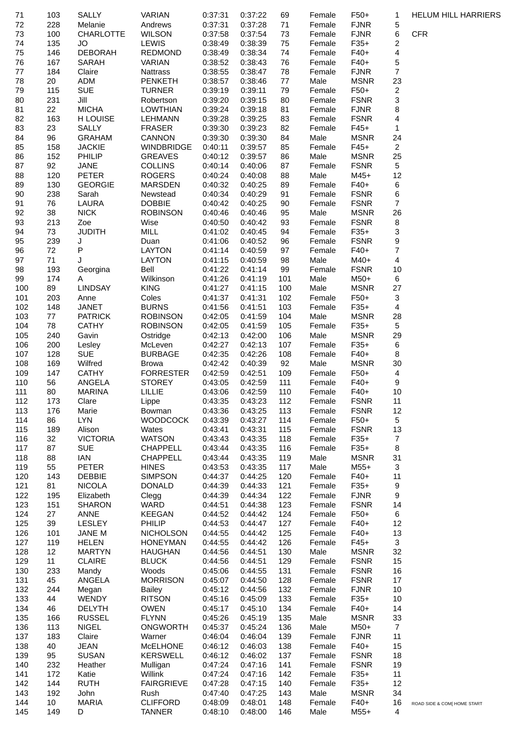| 71         | 103        | SALLY                          | <b>VARIAN</b>                      | 0:37:31            | 0:37:22            | 69         | Female           | $F50+$                | 1                            | <b>HELUM HILL HARRIERS</b>  |
|------------|------------|--------------------------------|------------------------------------|--------------------|--------------------|------------|------------------|-----------------------|------------------------------|-----------------------------|
| 72         | 228        | Melanie                        | Andrews                            | 0:37:31            | 0:37:28            | 71         | Female           | <b>FJNR</b>           | 5                            |                             |
| 73         | 100        | <b>CHARLOTTE</b>               | <b>WILSON</b>                      | 0:37:58            | 0:37:54            | 73         | Female           | <b>FJNR</b>           | 6                            | <b>CFR</b>                  |
| 74         | 135<br>146 | JO<br><b>DEBORAH</b>           | <b>LEWIS</b><br><b>REDMOND</b>     | 0:38:49<br>0:38:49 | 0:38:39<br>0:38:34 | 75<br>74   | Female           | $F35+$<br>$F40+$      | 2<br>$\overline{\mathbf{4}}$ |                             |
| 75<br>76   | 167        | SARAH                          | VARIAN                             | 0:38:52            | 0:38:43            | 76         | Female<br>Female | $F40+$                | 5                            |                             |
| 77         | 184        | Claire                         | Nattrass                           | 0:38:55            | 0:38:47            | 78         | Female           | <b>FJNR</b>           | $\overline{7}$               |                             |
| 78         | 20         | ADM                            | <b>PENKETH</b>                     | 0:38:57            | 0:38:46            | 77         | Male             | <b>MSNR</b>           | 23                           |                             |
| 79         | 115        | <b>SUE</b>                     | <b>TURNER</b>                      | 0:39:19            | 0:39:11            | 79         | Female           | $F50+$                | $\overline{\mathbf{c}}$      |                             |
| 80         | 231        | Jill                           | Robertson                          | 0:39:20            | 0:39:15            | 80         | Female           | <b>FSNR</b>           | 3                            |                             |
| 81         | 22         | <b>MICHA</b>                   | <b>LOWTHIAN</b>                    | 0:39:24            | 0:39:18            | 81         | Female           | <b>FJNR</b>           | 8                            |                             |
| 82         | 163        | H LOUISE                       | LEHMANN                            | 0:39:28            | 0:39:25            | 83         | Female           | <b>FSNR</b>           | 4                            |                             |
| 83         | 23         | <b>SALLY</b>                   | <b>FRASER</b>                      | 0:39:30            | 0:39:23            | 82         | Female           | $F45+$                | $\mathbf{1}$                 |                             |
| 84         | 96         | <b>GRAHAM</b>                  | CANNON                             | 0:39:30            | 0:39:30            | 84         | Male             | <b>MSNR</b>           | 24                           |                             |
| 85         | 158        | <b>JACKIE</b>                  | <b>WINDBRIDGE</b>                  | 0:40:11            | 0:39:57            | 85         | Female           | $F45+$                | $\overline{c}$               |                             |
| 86         | 152        | <b>PHILIP</b>                  | <b>GREAVES</b>                     | 0:40:12            | 0:39:57            | 86         | Male             | <b>MSNR</b>           | 25                           |                             |
| 87<br>88   | 92<br>120  | JANE<br><b>PETER</b>           | <b>COLLINS</b><br><b>ROGERS</b>    | 0:40:14<br>0:40:24 | 0:40:06<br>0:40:08 | 87<br>88   | Female<br>Male   | <b>FSNR</b><br>$M45+$ | 5<br>12                      |                             |
| 89         | 130        | <b>GEORGIE</b>                 | <b>MARSDEN</b>                     | 0:40:32            | 0:40:25            | 89         | Female           | $F40+$                | 6                            |                             |
| 90         | 238        | Sarah                          | Newstead                           | 0:40:34            | 0:40:29            | 91         | Female           | <b>FSNR</b>           | 6                            |                             |
| 91         | 76         | LAURA                          | <b>DOBBIE</b>                      | 0:40:42            | 0:40:25            | 90         | Female           | <b>FSNR</b>           | 7                            |                             |
| 92         | 38         | <b>NICK</b>                    | <b>ROBINSON</b>                    | 0:40:46            | 0:40:46            | 95         | Male             | <b>MSNR</b>           | 26                           |                             |
| 93         | 213        | Zoe                            | Wise                               | 0:40:50            | 0:40:42            | 93         | Female           | <b>FSNR</b>           | 8                            |                             |
| 94         | 73         | <b>JUDITH</b>                  | MILL                               | 0:41:02            | 0:40:45            | 94         | Female           | $F35+$                | 3                            |                             |
| 95         | 239        | J                              | Duan                               | 0:41:06            | 0:40:52            | 96         | Female           | <b>FSNR</b>           | 9                            |                             |
| 96         | 72         | P                              | <b>LAYTON</b>                      | 0:41:14            | 0:40:59            | 97         | Female           | $F40+$                | 7                            |                             |
| 97         | 71         | J                              | <b>LAYTON</b>                      | 0:41:15            | 0:40:59            | 98         | Male             | M40+                  | 4                            |                             |
| 98         | 193        | Georgina                       | Bell                               | 0:41:22            | 0:41:14            | 99         | Female           | <b>FSNR</b>           | 10                           |                             |
| 99         | 174        | Α                              | Wilkinson                          | 0:41:26            | 0:41:19            | 101        | Male             | M50+                  | 6                            |                             |
| 100        | 89         | <b>LINDSAY</b>                 | <b>KING</b>                        | 0:41:27            | 0:41:15            | 100        | Male             | <b>MSNR</b>           | 27                           |                             |
| 101        | 203        | Anne                           | Coles                              | 0:41:37            | 0:41:31            | 102        | Female           | $F50+$                | 3                            |                             |
| 102        | 148        | <b>JANET</b>                   | <b>BURNS</b>                       | 0:41:56            | 0:41:51            | 103        | Female           | $F35+$                | $\overline{4}$               |                             |
| 103<br>104 | 77<br>78   | <b>PATRICK</b><br><b>CATHY</b> | <b>ROBINSON</b><br><b>ROBINSON</b> | 0:42:05<br>0:42:05 | 0:41:59<br>0:41:59 | 104<br>105 | Male<br>Female   | <b>MSNR</b><br>$F35+$ | 28<br>5                      |                             |
| 105        | 240        | Gavin                          | Ostridge                           | 0:42:13            | 0:42:00            | 106        | Male             | <b>MSNR</b>           | 29                           |                             |
| 106        | 200        | Lesley                         | McLeven                            | 0:42:27            | 0:42:13            | 107        | Female           | $F35+$                | 6                            |                             |
| 107        | 128        | <b>SUE</b>                     | <b>BURBAGE</b>                     | 0:42:35            | 0:42:26            | 108        | Female           | $F40+$                | 8                            |                             |
| 108        | 169        | Wilfred                        | <b>Browa</b>                       | 0:42:42            | 0:40:39            | 92         | Male             | <b>MSNR</b>           | 30                           |                             |
| 109        | 147        | <b>CATHY</b>                   | <b>FORRESTER</b>                   | 0:42:59            | 0:42:51            | 109        | Female           | $F50+$                | $\overline{4}$               |                             |
| 110        | 56         | ANGELA                         | <b>STOREY</b>                      | 0:43:05            | 0:42:59            | 111        | Female           | $F40+$                | 9                            |                             |
| 111        | 80         | <b>MARINA</b>                  | LILLIE                             | 0:43:06            | 0:42:59            | 110        | Female           | $F40+$                | 10                           |                             |
| 112        | 173        | Clare                          | Lippe                              | 0:43:35            | 0:43:23            | 112        | Female           | <b>FSNR</b>           | 11                           |                             |
| 113        | 176        | Marie                          | Bowman                             | 0:43:36            | 0:43:25            | 113        | Female           | <b>FSNR</b>           | 12                           |                             |
| 114        | 86         | <b>LYN</b>                     | <b>WOODCOCK</b>                    | 0:43:39            | 0:43:27            | 114        | Female           | $F50+$                | 5                            |                             |
| 115        | 189        | Alison                         | Wates                              | 0:43:41            | 0:43:31            | 115        | Female           | <b>FSNR</b>           | 13                           |                             |
| 116        | 32         | <b>VICTORIA</b>                | <b>WATSON</b>                      | 0:43:43            | 0:43:35            | 118        | Female           | $F35+$                | 7                            |                             |
| 117        | 87         | <b>SUE</b><br><b>IAN</b>       | CHAPPELL                           | 0:43:44            | 0:43:35            | 116        | Female           | $F35+$<br><b>MSNR</b> | 8<br>31                      |                             |
| 118<br>119 | 88<br>55   | <b>PETER</b>                   | <b>CHAPPELL</b><br><b>HINES</b>    | 0:43:44<br>0:43:53 | 0:43:35<br>0:43:35 | 119<br>117 | Male<br>Male     | $M55+$                | 3                            |                             |
| 120        | 143        | <b>DEBBIE</b>                  | <b>SIMPSON</b>                     | 0:44:37            | 0:44:25            | 120        | Female           | $F40+$                | 11                           |                             |
| 121        | 81         | <b>NICOLA</b>                  | <b>DONALD</b>                      | 0:44:39            | 0:44:33            | 121        | Female           | $F35+$                | 9                            |                             |
| 122        | 195        | Elizabeth                      | Clegg                              | 0:44:39            | 0:44:34            | 122        | Female           | <b>FJNR</b>           | 9                            |                             |
| 123        | 151        | <b>SHARON</b>                  | WARD                               | 0:44:51            | 0:44:38            | 123        | Female           | <b>FSNR</b>           | 14                           |                             |
| 124        | 27         | <b>ANNE</b>                    | <b>KEEGAN</b>                      | 0:44:52            | 0:44:42            | 124        | Female           | $F50+$                | 6                            |                             |
| 125        | 39         | <b>LESLEY</b>                  | PHILIP                             | 0:44:53            | 0:44:47            | 127        | Female           | $F40+$                | 12                           |                             |
| 126        | 101        | JANE M                         | <b>NICHOLSON</b>                   | 0:44:55            | 0:44:42            | 125        | Female           | $F40+$                | 13                           |                             |
| 127        | 119        | <b>HELEN</b>                   | <b>HONEYMAN</b>                    | 0:44:55            | 0:44:42            | 126        | Female           | $F45+$                | 3                            |                             |
| 128        | 12         | <b>MARTYN</b>                  | <b>HAUGHAN</b>                     | 0:44:56            | 0:44:51            | 130        | Male             | <b>MSNR</b>           | 32                           |                             |
| 129        | 11         | <b>CLAIRE</b>                  | <b>BLUCK</b>                       | 0:44:56            | 0:44:51            | 129        | Female           | <b>FSNR</b>           | 15                           |                             |
| 130        | 233        | Mandy                          | Woods                              | 0:45:06            | 0:44:55            | 131        | Female           | <b>FSNR</b>           | 16                           |                             |
| 131        | 45         | ANGELA                         | <b>MORRISON</b>                    | 0:45:07            | 0:44:50            | 128        | Female           | <b>FSNR</b>           | 17                           |                             |
| 132<br>133 | 244<br>44  | Megan<br><b>WENDY</b>          | <b>Bailey</b><br><b>RITSON</b>     | 0:45:12<br>0:45:16 | 0:44:56<br>0:45:09 | 132<br>133 | Female<br>Female | <b>FJNR</b><br>$F35+$ | 10<br>10                     |                             |
| 134        | 46         | <b>DELYTH</b>                  | <b>OWEN</b>                        | 0:45:17            | 0:45:10            | 134        | Female           | $F40+$                | 14                           |                             |
| 135        | 166        | <b>RUSSEL</b>                  | <b>FLYNN</b>                       | 0:45:26            | 0:45:19            | 135        | Male             | <b>MSNR</b>           | 33                           |                             |
| 136        | 113        | <b>NIGEL</b>                   | <b>ONGWORTH</b>                    | 0:45:37            | 0:45:24            | 136        | Male             | M50+                  | $\overline{7}$               |                             |
| 137        | 183        | Claire                         | Warner                             | 0:46:04            | 0:46:04            | 139        | Female           | <b>FJNR</b>           | 11                           |                             |
| 138        | 40         | <b>JEAN</b>                    | <b>McELHONE</b>                    | 0:46:12            | 0:46:03            | 138        | Female           | $F40+$                | 15                           |                             |
| 139        | 95         | <b>SUSAN</b>                   | <b>KERSWELL</b>                    | 0:46:12            | 0:46:02            | 137        | Female           | <b>FSNR</b>           | 18                           |                             |
| 140        | 232        | Heather                        | Mulligan                           | 0:47:24            | 0:47:16            | 141        | Female           | <b>FSNR</b>           | 19                           |                             |
| 141        | 172        | Katie                          | Willink                            | 0:47:24            | 0:47:16            | 142        | Female           | $F35+$                | 11                           |                             |
| 142        | 144        | <b>RUTH</b>                    | <b>FAIRGRIEVE</b>                  | 0:47:28            | 0:47:15            | 140        | Female           | $F35+$                | 12                           |                             |
| 143        | 192        | John                           | Rush                               | 0:47:40            | 0:47:25            | 143        | Male             | <b>MSNR</b>           | 34                           |                             |
| 144        | 10         | <b>MARIA</b>                   | <b>CLIFFORD</b>                    | 0:48:09            | 0:48:01            | 148        | Female           | $F40+$                | 16                           | ROAD SIDE & COM[ HOME START |
| 145        | 149        | D                              | <b>TANNER</b>                      | 0:48:10            | 0:48:00            | 146        | Male             | $M55+$                | 4                            |                             |